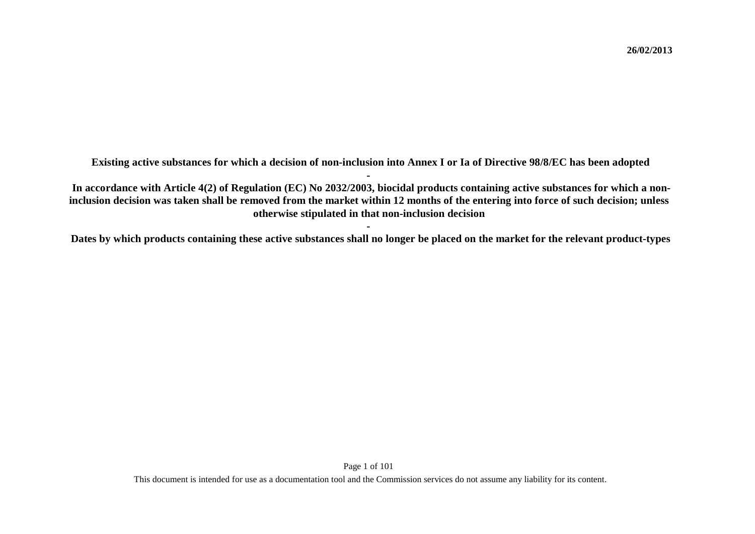**Existing active substances for which a decision of non-inclusion into Annex I or Ia of Directive 98/8/EC has been adopted -**

**In accordance with Article 4(2) of Regulation (EC) No 2032/2003, biocidal products containing active substances for which a noninclusion decision was taken shall be removed from the market within 12 months of the entering into force of such decision; unless otherwise stipulated in that non-inclusion decision**

**-Dates by which products containing these active substances shall no longer be placed on the market for the relevant product-types**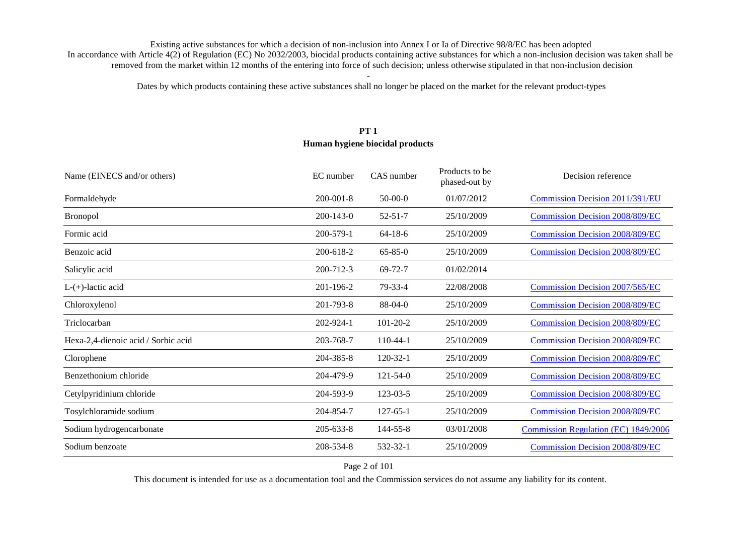Dates by which products containing these active substances shall no longer be placed on the market for the relevant product-types

# **PT 1 Human hygiene biocidal products**

| Name (EINECS and/or others)         | EC number       | CAS number     | Products to be<br>phased-out by | Decision reference                     |
|-------------------------------------|-----------------|----------------|---------------------------------|----------------------------------------|
| Formaldehyde                        | $200 - 001 - 8$ | $50-00-0$      | 01/07/2012                      | <b>Commission Decision 2011/391/EU</b> |
| <b>Bronopol</b>                     | $200 - 143 - 0$ | $52 - 51 - 7$  | 25/10/2009                      | <b>Commission Decision 2008/809/EC</b> |
| Formic acid                         | 200-579-1       | $64-18-6$      | 25/10/2009                      | <b>Commission Decision 2008/809/EC</b> |
| Benzoic acid                        | 200-618-2       | $65 - 85 - 0$  | 25/10/2009                      | <b>Commission Decision 2008/809/EC</b> |
| Salicylic acid                      | 200-712-3       | $69 - 72 - 7$  | 01/02/2014                      |                                        |
| $L-(+)$ -lactic acid                | 201-196-2       | 79-33-4        | 22/08/2008                      | <b>Commission Decision 2007/565/EC</b> |
| Chloroxylenol                       | 201-793-8       | $88-04-0$      | 25/10/2009                      | <b>Commission Decision 2008/809/EC</b> |
| Triclocarban                        | 202-924-1       | $101 - 20 - 2$ | 25/10/2009                      | <b>Commission Decision 2008/809/EC</b> |
| Hexa-2,4-dienoic acid / Sorbic acid | 203-768-7       | $110-44-1$     | 25/10/2009                      | <b>Commission Decision 2008/809/EC</b> |
| Clorophene                          | 204-385-8       | $120 - 32 - 1$ | 25/10/2009                      | <b>Commission Decision 2008/809/EC</b> |
| Benzethonium chloride               | 204-479-9       | $121 - 54 - 0$ | 25/10/2009                      | <b>Commission Decision 2008/809/EC</b> |
| Cetylpyridinium chloride            | 204-593-9       | 123-03-5       | 25/10/2009                      | <b>Commission Decision 2008/809/EC</b> |
| Tosylchloramide sodium              | 204-854-7       | $127 - 65 - 1$ | 25/10/2009                      | <b>Commission Decision 2008/809/EC</b> |
| Sodium hydrogencarbonate            | $205 - 633 - 8$ | 144-55-8       | 03/01/2008                      | Commission Regulation (EC) 1849/2006   |
| Sodium benzoate                     | 208-534-8       | 532-32-1       | 25/10/2009                      | <b>Commission Decision 2008/809/EC</b> |

Page 2 of 101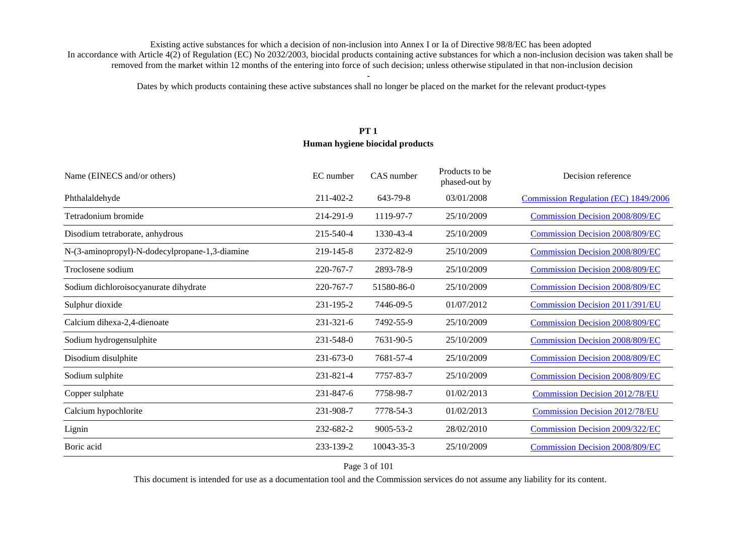Dates by which products containing these active substances shall no longer be placed on the market for the relevant product-types

# **PT 1 Human hygiene biocidal products**

| Name (EINECS and/or others)                    | EC number       | CAS number      | Products to be<br>phased-out by | Decision reference                     |
|------------------------------------------------|-----------------|-----------------|---------------------------------|----------------------------------------|
| Phthalaldehyde                                 | 211-402-2       | 643-79-8        | 03/01/2008                      | Commission Regulation (EC) 1849/2006   |
| Tetradonium bromide                            | 214-291-9       | 1119-97-7       | 25/10/2009                      | <b>Commission Decision 2008/809/EC</b> |
| Disodium tetraborate, anhydrous                | 215-540-4       | 1330-43-4       | 25/10/2009                      | <b>Commission Decision 2008/809/EC</b> |
| N-(3-aminopropyl)-N-dodecylpropane-1,3-diamine | 219-145-8       | 2372-82-9       | 25/10/2009                      | <b>Commission Decision 2008/809/EC</b> |
| Troclosene sodium                              | 220-767-7       | 2893-78-9       | 25/10/2009                      | <b>Commission Decision 2008/809/EC</b> |
| Sodium dichloroisocyanurate dihydrate          | 220-767-7       | 51580-86-0      | 25/10/2009                      | <b>Commission Decision 2008/809/EC</b> |
| Sulphur dioxide                                | 231-195-2       | 7446-09-5       | 01/07/2012                      | <b>Commission Decision 2011/391/EU</b> |
| Calcium dihexa-2,4-dienoate                    | 231-321-6       | 7492-55-9       | 25/10/2009                      | <b>Commission Decision 2008/809/EC</b> |
| Sodium hydrogensulphite                        | 231-548-0       | 7631-90-5       | 25/10/2009                      | <b>Commission Decision 2008/809/EC</b> |
| Disodium disulphite                            | $231 - 673 - 0$ | 7681-57-4       | 25/10/2009                      | <b>Commission Decision 2008/809/EC</b> |
| Sodium sulphite                                | 231-821-4       | 7757-83-7       | 25/10/2009                      | <b>Commission Decision 2008/809/EC</b> |
| Copper sulphate                                | 231-847-6       | 7758-98-7       | 01/02/2013                      | <b>Commission Decision 2012/78/EU</b>  |
| Calcium hypochlorite                           | 231-908-7       | 7778-54-3       | 01/02/2013                      | <b>Commission Decision 2012/78/EU</b>  |
| Lignin                                         | 232-682-2       | $9005 - 53 - 2$ | 28/02/2010                      | <b>Commission Decision 2009/322/EC</b> |
| Boric acid                                     | 233-139-2       | 10043-35-3      | 25/10/2009                      | <b>Commission Decision 2008/809/EC</b> |

Page 3 of 101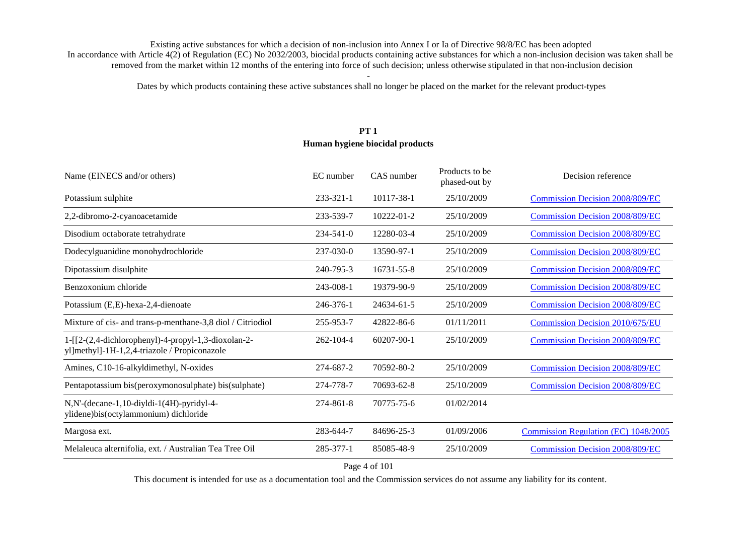Dates by which products containing these active substances shall no longer be placed on the market for the relevant product-types

# **PT 1 Human hygiene biocidal products**

| Name (EINECS and/or others)                                                                         | EC number       | CAS number | Products to be<br>phased-out by | Decision reference                     |
|-----------------------------------------------------------------------------------------------------|-----------------|------------|---------------------------------|----------------------------------------|
| Potassium sulphite                                                                                  | $233 - 321 - 1$ | 10117-38-1 | 25/10/2009                      | <b>Commission Decision 2008/809/EC</b> |
| 2,2-dibromo-2-cyanoacetamide                                                                        | 233-539-7       | 10222-01-2 | 25/10/2009                      | <b>Commission Decision 2008/809/EC</b> |
| Disodium octaborate tetrahydrate                                                                    | $234 - 541 - 0$ | 12280-03-4 | 25/10/2009                      | <b>Commission Decision 2008/809/EC</b> |
| Dodecylguanidine monohydrochloride                                                                  | 237-030-0       | 13590-97-1 | 25/10/2009                      | <b>Commission Decision 2008/809/EC</b> |
| Dipotassium disulphite                                                                              | 240-795-3       | 16731-55-8 | 25/10/2009                      | <b>Commission Decision 2008/809/EC</b> |
| Benzoxonium chloride                                                                                | 243-008-1       | 19379-90-9 | 25/10/2009                      | <b>Commission Decision 2008/809/EC</b> |
| Potassium (E,E)-hexa-2,4-dienoate                                                                   | 246-376-1       | 24634-61-5 | 25/10/2009                      | <b>Commission Decision 2008/809/EC</b> |
| Mixture of cis- and trans-p-menthane-3,8 diol / Citriodiol                                          | 255-953-7       | 42822-86-6 | 01/11/2011                      | Commission Decision 2010/675/EU        |
| 1-[[2-(2,4-dichlorophenyl)-4-propyl-1,3-dioxolan-2-<br>yl]methyl]-1H-1,2,4-triazole / Propiconazole | $262 - 104 - 4$ | 60207-90-1 | 25/10/2009                      | <b>Commission Decision 2008/809/EC</b> |
| Amines, C10-16-alkyldimethyl, N-oxides                                                              | 274-687-2       | 70592-80-2 | 25/10/2009                      | <b>Commission Decision 2008/809/EC</b> |
| Pentapotassium bis(peroxymonosulphate) bis(sulphate)                                                | 274-778-7       | 70693-62-8 | 25/10/2009                      | <b>Commission Decision 2008/809/EC</b> |
| N, N'-(decane-1, 10-diyldi-1(4H)-pyridyl-4-<br>ylidene)bis(octylammonium) dichloride                | 274-861-8       | 70775-75-6 | 01/02/2014                      |                                        |
| Margosa ext.                                                                                        | 283-644-7       | 84696-25-3 | 01/09/2006                      | Commission Regulation (EC) 1048/2005   |
| Melaleuca alternifolia, ext. / Australian Tea Tree Oil                                              | 285-377-1       | 85085-48-9 | 25/10/2009                      | <b>Commission Decision 2008/809/EC</b> |

Page 4 of 101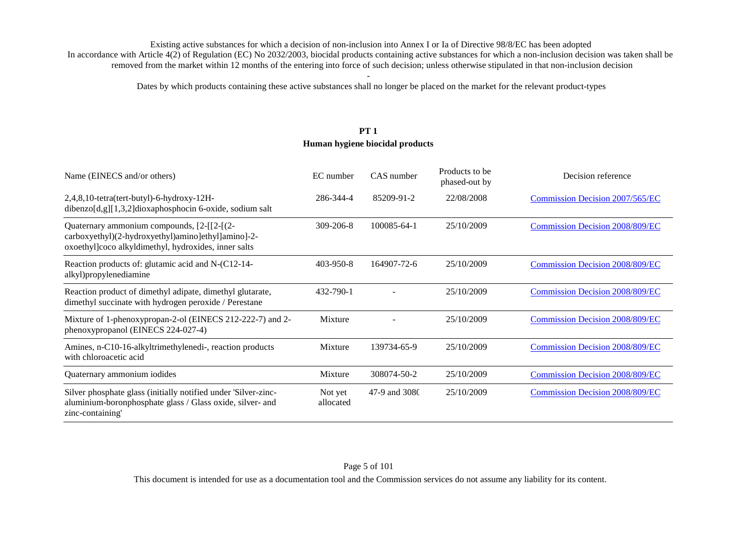Dates by which products containing these active substances shall no longer be placed on the market for the relevant product-types

# **PT 1 Human hygiene biocidal products**

| Name (EINECS and/or others)                                                                                                                              | EC number            | CAS number    | Products to be<br>phased-out by | Decision reference                     |
|----------------------------------------------------------------------------------------------------------------------------------------------------------|----------------------|---------------|---------------------------------|----------------------------------------|
| 2,4,8,10-tetra(tert-butyl)-6-hydroxy-12H-<br>dibenzo[d,g][1,3,2]dioxaphosphocin 6-oxide, sodium salt                                                     | 286-344-4            | 85209-91-2    | 22/08/2008                      | <b>Commission Decision 2007/565/EC</b> |
| Quaternary ammonium compounds, [2-[[2-[(2-<br>carboxyethyl)(2-hydroxyethyl)amino]ethyl]amino]-2-<br>oxoethyl]coco alkyldimethyl, hydroxides, inner salts | $309 - 206 - 8$      | 100085-64-1   | 25/10/2009                      | <b>Commission Decision 2008/809/EC</b> |
| Reaction products of: glutamic acid and N-(C12-14-<br>alkyl)propylenediamine                                                                             | 403-950-8            | 164907-72-6   | 25/10/2009                      | <b>Commission Decision 2008/809/EC</b> |
| Reaction product of dimethyl adipate, dimethyl glutarate,<br>dimethyl succinate with hydrogen peroxide / Perestane                                       | 432-790-1            |               | 25/10/2009                      | <b>Commission Decision 2008/809/EC</b> |
| Mixture of 1-phenoxypropan-2-ol (EINECS 212-222-7) and 2-<br>phenoxypropanol (EINECS 224-027-4)                                                          | Mixture              |               | 25/10/2009                      | <b>Commission Decision 2008/809/EC</b> |
| Amines, n-C10-16-alkyltrimethylenedi-, reaction products<br>with chloroacetic acid                                                                       | Mixture              | 139734-65-9   | 25/10/2009                      | <b>Commission Decision 2008/809/EC</b> |
| Quaternary ammonium iodides                                                                                                                              | Mixture              | 308074-50-2   | 25/10/2009                      | <b>Commission Decision 2008/809/EC</b> |
| Silver phosphate glass (initially notified under 'Silver-zinc-<br>aluminium-boronphosphate glass / Glass oxide, silver- and<br>zinc-containing'          | Not yet<br>allocated | 47-9 and 3080 | 25/10/2009                      | <b>Commission Decision 2008/809/EC</b> |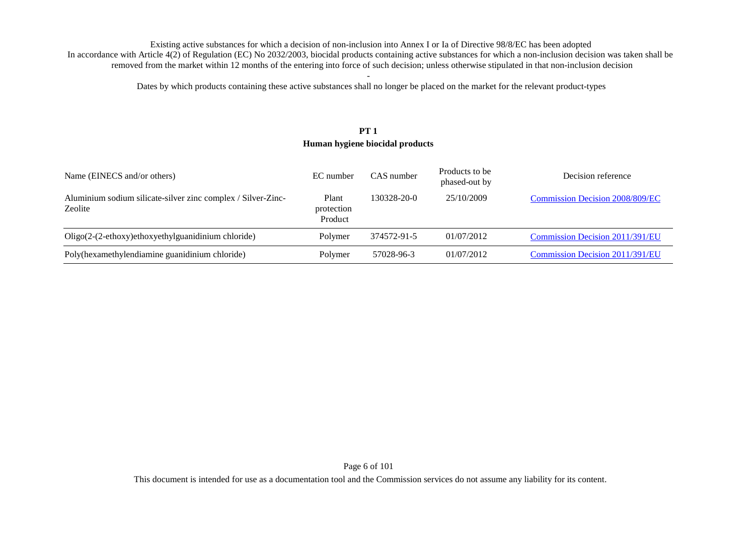Dates by which products containing these active substances shall no longer be placed on the market for the relevant product-types

# **PT 1 Human hygiene biocidal products**

| Name (EINECS and/or others)                                             | EC number                      | CAS number  | Products to be<br>phased-out by | Decision reference                     |
|-------------------------------------------------------------------------|--------------------------------|-------------|---------------------------------|----------------------------------------|
| Aluminium sodium silicate-silver zinc complex / Silver-Zinc-<br>Zeolite | Plant<br>protection<br>Product | 130328-20-0 | 25/10/2009                      | <b>Commission Decision 2008/809/EC</b> |
| $Oligo(2-(2-ethoxy)ethoxyethylguanidinium chloride)$                    | Polymer                        | 374572-91-5 | 01/07/2012                      | Commission Decision 2011/391/EU        |
| Poly(hexamethylendiamine guanidinium chloride)                          | Polymer                        | 57028-96-3  | 01/07/2012                      | Commission Decision 2011/391/EU        |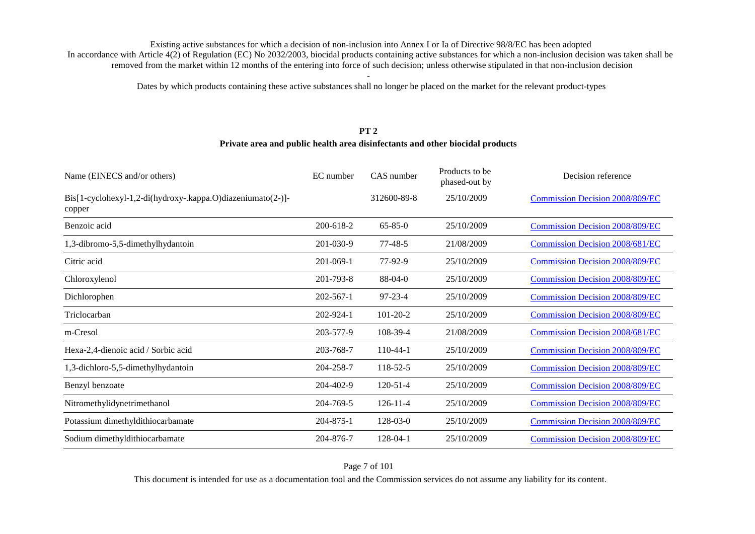Dates by which products containing these active substances shall no longer be placed on the market for the relevant product-types

#### **PT 2Private area and public health area disinfectants and other biocidal products**

| Name (EINECS and/or others)                                           | EC number       | CAS number     | Products to be<br>phased-out by | Decision reference                     |
|-----------------------------------------------------------------------|-----------------|----------------|---------------------------------|----------------------------------------|
| Bis[1-cyclohexyl-1,2-di(hydroxy-.kappa.O)diazeniumato(2-)]-<br>copper |                 | 312600-89-8    | 25/10/2009                      | <b>Commission Decision 2008/809/EC</b> |
| Benzoic acid                                                          | $200 - 618 - 2$ | $65 - 85 - 0$  | 25/10/2009                      | <b>Commission Decision 2008/809/EC</b> |
| 1,3-dibromo-5,5-dimethylhydantoin                                     | 201-030-9       | $77 - 48 - 5$  | 21/08/2009                      | <b>Commission Decision 2008/681/EC</b> |
| Citric acid                                                           | $201 - 069 - 1$ | 77-92-9        | 25/10/2009                      | <b>Commission Decision 2008/809/EC</b> |
| Chloroxylenol                                                         | 201-793-8       | 88-04-0        | 25/10/2009                      | <b>Commission Decision 2008/809/EC</b> |
| Dichlorophen                                                          | $202 - 567 - 1$ | $97 - 23 - 4$  | 25/10/2009                      | <b>Commission Decision 2008/809/EC</b> |
| Triclocarban                                                          | 202-924-1       | $101 - 20 - 2$ | 25/10/2009                      | <b>Commission Decision 2008/809/EC</b> |
| m-Cresol                                                              | 203-577-9       | 108-39-4       | 21/08/2009                      | <b>Commission Decision 2008/681/EC</b> |
| Hexa-2,4-dienoic acid / Sorbic acid                                   | 203-768-7       | $110-44-1$     | 25/10/2009                      | <b>Commission Decision 2008/809/EC</b> |
| 1,3-dichloro-5,5-dimethylhydantoin                                    | 204-258-7       | 118-52-5       | 25/10/2009                      | <b>Commission Decision 2008/809/EC</b> |
| Benzyl benzoate                                                       | 204-402-9       | $120 - 51 - 4$ | 25/10/2009                      | <b>Commission Decision 2008/809/EC</b> |
| Nitromethylidynetrimethanol                                           | 204-769-5       | $126 - 11 - 4$ | 25/10/2009                      | <b>Commission Decision 2008/809/EC</b> |
| Potassium dimethyldithiocarbamate                                     | 204-875-1       | $128 - 03 - 0$ | 25/10/2009                      | <b>Commission Decision 2008/809/EC</b> |
| Sodium dimethyldithiocarbamate                                        | 204-876-7       | 128-04-1       | 25/10/2009                      | <b>Commission Decision 2008/809/EC</b> |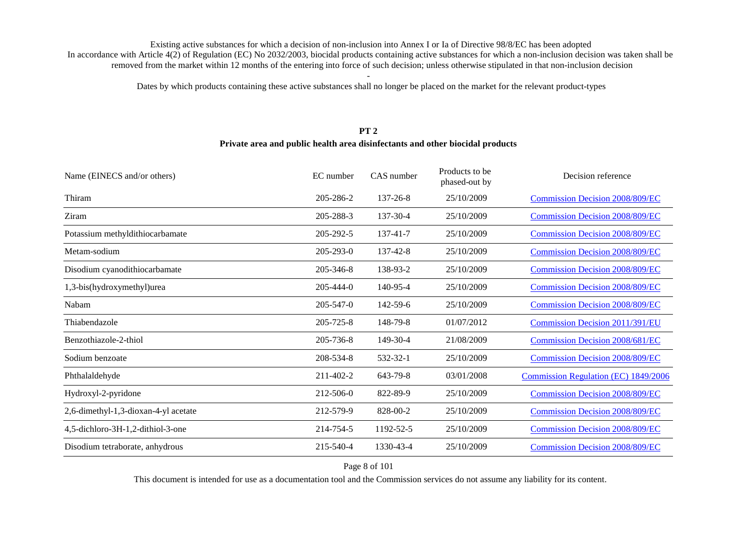Dates by which products containing these active substances shall no longer be placed on the market for the relevant product-types

# **PT 2**

#### **Private area and public health area disinfectants and other biocidal products**

| Name (EINECS and/or others)          | EC number       | CAS number | Products to be<br>phased-out by | Decision reference                     |
|--------------------------------------|-----------------|------------|---------------------------------|----------------------------------------|
| Thiram                               | 205-286-2       | 137-26-8   | 25/10/2009                      | <b>Commission Decision 2008/809/EC</b> |
| Ziram                                | 205-288-3       | 137-30-4   | 25/10/2009                      | <b>Commission Decision 2008/809/EC</b> |
| Potassium methyldithiocarbamate      | 205-292-5       | 137-41-7   | 25/10/2009                      | <b>Commission Decision 2008/809/EC</b> |
| Metam-sodium                         | 205-293-0       | 137-42-8   | 25/10/2009                      | <b>Commission Decision 2008/809/EC</b> |
| Disodium cyanodithiocarbamate        | 205-346-8       | 138-93-2   | 25/10/2009                      | <b>Commission Decision 2008/809/EC</b> |
| 1,3-bis(hydroxymethyl)urea           | $205 - 444 - 0$ | 140-95-4   | 25/10/2009                      | <b>Commission Decision 2008/809/EC</b> |
| Nabam                                | 205-547-0       | 142-59-6   | 25/10/2009                      | <b>Commission Decision 2008/809/EC</b> |
| Thiabendazole                        | 205-725-8       | 148-79-8   | 01/07/2012                      | <b>Commission Decision 2011/391/EU</b> |
| Benzothiazole-2-thiol                | 205-736-8       | 149-30-4   | 21/08/2009                      | <b>Commission Decision 2008/681/EC</b> |
| Sodium benzoate                      | 208-534-8       | 532-32-1   | 25/10/2009                      | <b>Commission Decision 2008/809/EC</b> |
| Phthalaldehyde                       | 211-402-2       | 643-79-8   | 03/01/2008                      | Commission Regulation (EC) 1849/2006   |
| Hydroxyl-2-pyridone                  | 212-506-0       | 822-89-9   | 25/10/2009                      | <b>Commission Decision 2008/809/EC</b> |
| 2,6-dimethyl-1,3-dioxan-4-yl acetate | 212-579-9       | 828-00-2   | 25/10/2009                      | <b>Commission Decision 2008/809/EC</b> |
| 4,5-dichloro-3H-1,2-dithiol-3-one    | 214-754-5       | 1192-52-5  | 25/10/2009                      | <b>Commission Decision 2008/809/EC</b> |
| Disodium tetraborate, anhydrous      | 215-540-4       | 1330-43-4  | 25/10/2009                      | <b>Commission Decision 2008/809/EC</b> |
|                                      |                 |            |                                 |                                        |

#### Page 8 of 101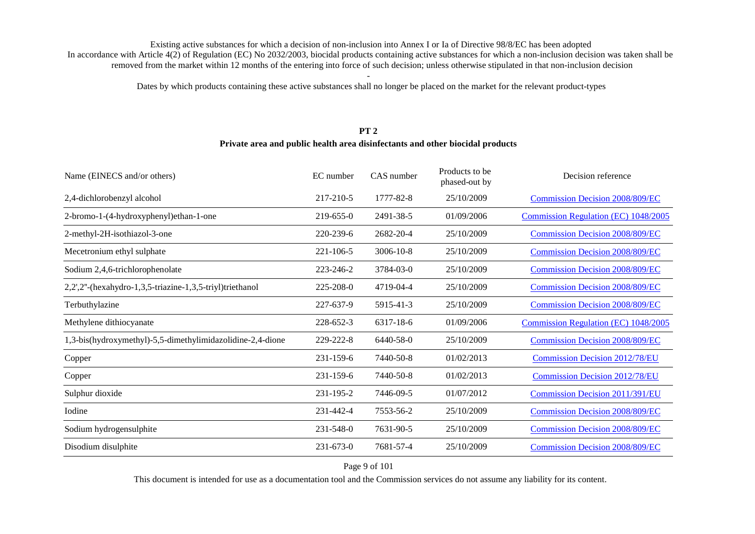Dates by which products containing these active substances shall no longer be placed on the market for the relevant product-types

#### **PT 2**

#### **Private area and public health area disinfectants and other biocidal products**

| EC number | CAS number      | Products to be<br>phased-out by | Decision reference                     |
|-----------|-----------------|---------------------------------|----------------------------------------|
| 217-210-5 | 1777-82-8       | 25/10/2009                      | <b>Commission Decision 2008/809/EC</b> |
| 219-655-0 | 2491-38-5       | 01/09/2006                      | Commission Regulation (EC) 1048/2005   |
| 220-239-6 | 2682-20-4       | 25/10/2009                      | <b>Commission Decision 2008/809/EC</b> |
| 221-106-5 | $3006 - 10 - 8$ | 25/10/2009                      | <b>Commission Decision 2008/809/EC</b> |
| 223-246-2 | 3784-03-0       | 25/10/2009                      | <b>Commission Decision 2008/809/EC</b> |
| 225-208-0 | 4719-04-4       | 25/10/2009                      | <b>Commission Decision 2008/809/EC</b> |
| 227-637-9 | 5915-41-3       | 25/10/2009                      | <b>Commission Decision 2008/809/EC</b> |
| 228-652-3 | 6317-18-6       | 01/09/2006                      | Commission Regulation (EC) 1048/2005   |
| 229-222-8 | 6440-58-0       | 25/10/2009                      | <b>Commission Decision 2008/809/EC</b> |
| 231-159-6 | 7440-50-8       | 01/02/2013                      | <b>Commission Decision 2012/78/EU</b>  |
| 231-159-6 | 7440-50-8       | 01/02/2013                      | <b>Commission Decision 2012/78/EU</b>  |
| 231-195-2 | 7446-09-5       | 01/07/2012                      | <b>Commission Decision 2011/391/EU</b> |
| 231-442-4 | 7553-56-2       | 25/10/2009                      | <b>Commission Decision 2008/809/EC</b> |
| 231-548-0 | 7631-90-5       | 25/10/2009                      | <b>Commission Decision 2008/809/EC</b> |
| 231-673-0 | 7681-57-4       | 25/10/2009                      | <b>Commission Decision 2008/809/EC</b> |
|           |                 |                                 |                                        |

Page 9 of 101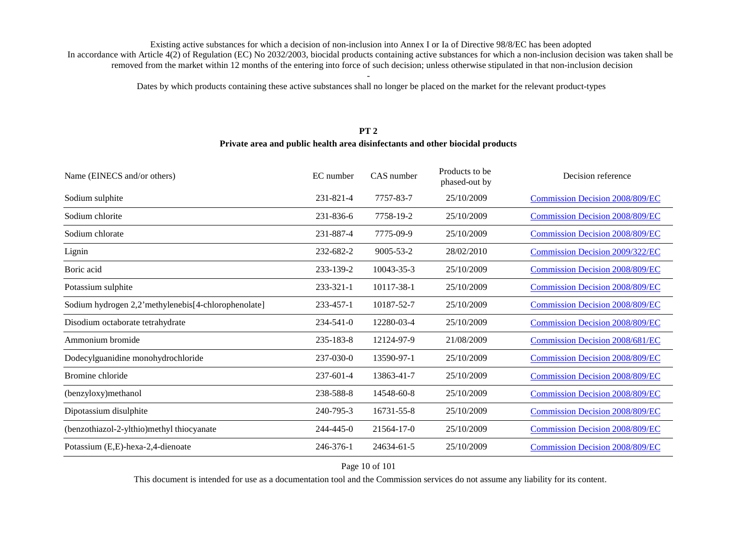Dates by which products containing these active substances shall no longer be placed on the market for the relevant product-types

#### **PT 2**

#### **Private area and public health area disinfectants and other biocidal products**

| Name (EINECS and/or others)                         | EC number | CAS number      | Products to be<br>phased-out by | Decision reference                     |
|-----------------------------------------------------|-----------|-----------------|---------------------------------|----------------------------------------|
| Sodium sulphite                                     | 231-821-4 | 7757-83-7       | 25/10/2009                      | <b>Commission Decision 2008/809/EC</b> |
| Sodium chlorite                                     | 231-836-6 | 7758-19-2       | 25/10/2009                      | <b>Commission Decision 2008/809/EC</b> |
| Sodium chlorate                                     | 231-887-4 | 7775-09-9       | 25/10/2009                      | <b>Commission Decision 2008/809/EC</b> |
| Lignin                                              | 232-682-2 | $9005 - 53 - 2$ | 28/02/2010                      | <b>Commission Decision 2009/322/EC</b> |
| Boric acid                                          | 233-139-2 | 10043-35-3      | 25/10/2009                      | <b>Commission Decision 2008/809/EC</b> |
| Potassium sulphite                                  | 233-321-1 | 10117-38-1      | 25/10/2009                      | <b>Commission Decision 2008/809/EC</b> |
| Sodium hydrogen 2,2'methylenebis[4-chlorophenolate] | 233-457-1 | 10187-52-7      | 25/10/2009                      | <b>Commission Decision 2008/809/EC</b> |
| Disodium octaborate tetrahydrate                    | 234-541-0 | 12280-03-4      | 25/10/2009                      | <b>Commission Decision 2008/809/EC</b> |
| Ammonium bromide                                    | 235-183-8 | 12124-97-9      | 21/08/2009                      | <b>Commission Decision 2008/681/EC</b> |
| Dodecylguanidine monohydrochloride                  | 237-030-0 | 13590-97-1      | 25/10/2009                      | <b>Commission Decision 2008/809/EC</b> |
| Bromine chloride                                    | 237-601-4 | 13863-41-7      | 25/10/2009                      | <b>Commission Decision 2008/809/EC</b> |
| (benzyloxy)methanol                                 | 238-588-8 | 14548-60-8      | 25/10/2009                      | <b>Commission Decision 2008/809/EC</b> |
| Dipotassium disulphite                              | 240-795-3 | 16731-55-8      | 25/10/2009                      | <b>Commission Decision 2008/809/EC</b> |
| (benzothiazol-2-ylthio)methyl thiocyanate           | 244-445-0 | 21564-17-0      | 25/10/2009                      | <b>Commission Decision 2008/809/EC</b> |
| Potassium (E,E)-hexa-2,4-dienoate                   | 246-376-1 | 24634-61-5      | 25/10/2009                      | <b>Commission Decision 2008/809/EC</b> |

#### Page 10 of 101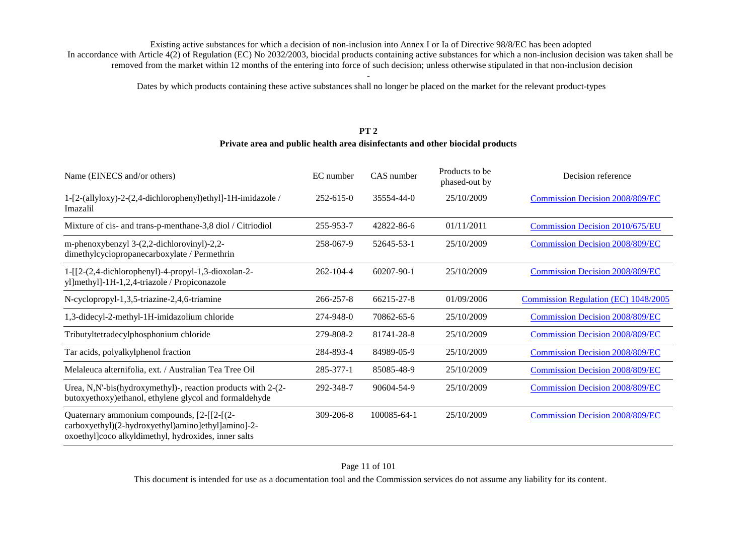Dates by which products containing these active substances shall no longer be placed on the market for the relevant product-types

#### **PT 2Private area and public health area disinfectants and other biocidal products**

| Name (EINECS and/or others)                                                                                                                              | EC number       | CAS number       | Products to be<br>phased-out by | Decision reference                     |
|----------------------------------------------------------------------------------------------------------------------------------------------------------|-----------------|------------------|---------------------------------|----------------------------------------|
| 1-[2-(allyloxy)-2-(2,4-dichlorophenyl)ethyl]-1H-imidazole /<br>Imazalil                                                                                  | $252 - 615 - 0$ | 35554-44-0       | 25/10/2009                      | <b>Commission Decision 2008/809/EC</b> |
| Mixture of cis- and trans-p-menthane-3,8 diol / Citriodiol                                                                                               | 255-953-7       | 42822-86-6       | 01/11/2011                      | Commission Decision 2010/675/EU        |
| m-phenoxybenzyl 3-(2,2-dichlorovinyl)-2,2-<br>dimethylcyclopropanecarboxylate / Permethrin                                                               | 258-067-9       | 52645-53-1       | 25/10/2009                      | <b>Commission Decision 2008/809/EC</b> |
| $1 - [[2-(2,4-dichloropheny)] - 4-propy] - 1,3-dioxolan-2-$<br>yl]methyl]-1H-1,2,4-triazole / Propiconazole                                              | 262-104-4       | $60207 - 90 - 1$ | 25/10/2009                      | <b>Commission Decision 2008/809/EC</b> |
| N-cyclopropyl-1,3,5-triazine-2,4,6-triamine                                                                                                              | 266-257-8       | 66215-27-8       | 01/09/2006                      | Commission Regulation (EC) 1048/2005   |
| 1,3-didecyl-2-methyl-1H-imidazolium chloride                                                                                                             | 274-948-0       | 70862-65-6       | 25/10/2009                      | <b>Commission Decision 2008/809/EC</b> |
| Tributyltetradecylphosphonium chloride                                                                                                                   | 279-808-2       | 81741-28-8       | 25/10/2009                      | <b>Commission Decision 2008/809/EC</b> |
| Tar acids, polyalkylphenol fraction                                                                                                                      | 284-893-4       | 84989-05-9       | 25/10/2009                      | <b>Commission Decision 2008/809/EC</b> |
| Melaleuca alternifolia, ext. / Australian Tea Tree Oil                                                                                                   | 285-377-1       | 85085-48-9       | 25/10/2009                      | <b>Commission Decision 2008/809/EC</b> |
| Urea, N,N'-bis(hydroxymethyl)-, reaction products with 2-(2-<br>butoxyethoxy) ethanol, ethylene glycol and formaldehyde                                  | 292-348-7       | 90604-54-9       | 25/10/2009                      | <b>Commission Decision 2008/809/EC</b> |
| Quaternary ammonium compounds, [2-[[2-[(2-<br>carboxyethyl)(2-hydroxyethyl)amino]ethyl]amino]-2-<br>oxoethyl]coco alkyldimethyl, hydroxides, inner salts | 309-206-8       | 100085-64-1      | 25/10/2009                      | <b>Commission Decision 2008/809/EC</b> |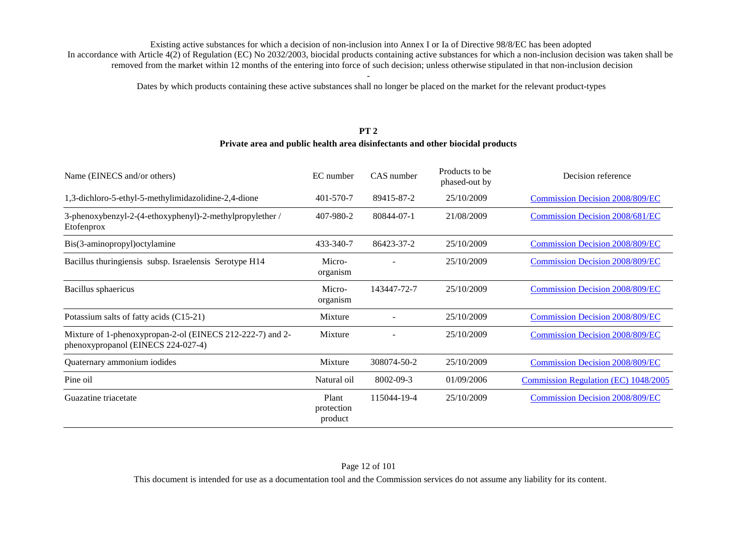Dates by which products containing these active substances shall no longer be placed on the market for the relevant product-types

#### **PT 2Private area and public health area disinfectants and other biocidal products**

| Name (EINECS and/or others)                                                                     | EC number                      | CAS number  | Products to be<br>phased-out by | Decision reference                     |
|-------------------------------------------------------------------------------------------------|--------------------------------|-------------|---------------------------------|----------------------------------------|
| 1,3-dichloro-5-ethyl-5-methylimidazolidine-2,4-dione                                            | 401-570-7                      | 89415-87-2  | 25/10/2009                      | Commission Decision 2008/809/EC        |
| 3-phenoxybenzyl-2-(4-ethoxyphenyl)-2-methylpropylether /<br>Etofenprox                          | 407-980-2                      | 80844-07-1  | 21/08/2009                      | Commission Decision 2008/681/EC        |
| Bis(3-aminopropyl)octylamine                                                                    | 433-340-7                      | 86423-37-2  | 25/10/2009                      | <b>Commission Decision 2008/809/EC</b> |
| Bacillus thuringiensis subsp. Israelensis Serotype H14                                          | Micro-<br>organism             |             | 25/10/2009                      | <b>Commission Decision 2008/809/EC</b> |
| Bacillus sphaericus                                                                             | Micro-<br>organism             | 143447-72-7 | 25/10/2009                      | <b>Commission Decision 2008/809/EC</b> |
| Potassium salts of fatty acids (C15-21)                                                         | Mixture                        |             | 25/10/2009                      | <b>Commission Decision 2008/809/EC</b> |
| Mixture of 1-phenoxypropan-2-ol (EINECS 212-222-7) and 2-<br>phenoxypropanol (EINECS 224-027-4) | Mixture                        |             | 25/10/2009                      | <b>Commission Decision 2008/809/EC</b> |
| Quaternary ammonium iodides                                                                     | Mixture                        | 308074-50-2 | 25/10/2009                      | <b>Commission Decision 2008/809/EC</b> |
| Pine oil                                                                                        | Natural oil                    | 8002-09-3   | 01/09/2006                      | Commission Regulation (EC) 1048/2005   |
| Guazatine triacetate                                                                            | Plant<br>protection<br>product | 115044-19-4 | 25/10/2009                      | <b>Commission Decision 2008/809/EC</b> |

This document is intended for use as a documentation tool and the Commission services do not assume any liability for its content.

#### Page 12 of 101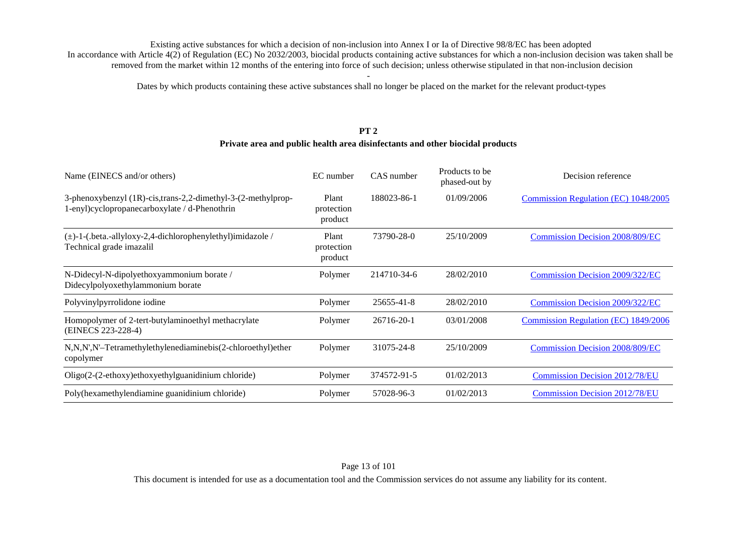Dates by which products containing these active substances shall no longer be placed on the market for the relevant product-types

#### **PT 2Private area and public health area disinfectants and other biocidal products**

| Name (EINECS and/or others)                                                                                   | EC number                      | CAS number  | Products to be.<br>phased-out by | Decision reference                     |
|---------------------------------------------------------------------------------------------------------------|--------------------------------|-------------|----------------------------------|----------------------------------------|
| 3-phenoxybenzyl (1R)-cis,trans-2,2-dimethyl-3-(2-methylprop-<br>1-enyl)cyclopropanecarboxylate / d-Phenothrin | Plant<br>protection<br>product | 188023-86-1 | 01/09/2006                       | Commission Regulation (EC) 1048/2005   |
| $(\pm)$ -1-(.beta.-allyloxy-2,4-dichlorophenylethyl)imidazole /<br>Technical grade imazalil                   | Plant<br>protection<br>product | 73790-28-0  | 25/10/2009                       | <b>Commission Decision 2008/809/EC</b> |
| N-Didecyl-N-dipolyethoxyammonium borate /<br>Didecylpolyoxethylammonium borate                                | Polymer                        | 214710-34-6 | 28/02/2010                       | Commission Decision 2009/322/EC        |
| Polyvinylpyrrolidone iodine                                                                                   | Polymer                        | 25655-41-8  | 28/02/2010                       | Commission Decision 2009/322/EC        |
| Homopolymer of 2-tert-butylaminoethyl methacrylate<br>(EINECS 223-228-4)                                      | Polymer                        | 26716-20-1  | 03/01/2008                       | Commission Regulation (EC) 1849/2006   |
| N,N,N',N'-Tetramethylethylenediaminebis(2-chloroethyl)ether<br>copolymer                                      | Polymer                        | 31075-24-8  | 25/10/2009                       | <b>Commission Decision 2008/809/EC</b> |
| Oligo(2-(2-ethoxy)ethoxyethylguanidinium chloride)                                                            | Polymer                        | 374572-91-5 | 01/02/2013                       | <b>Commission Decision 2012/78/EU</b>  |
| Poly(hexamethylendiamine guanidinium chloride)                                                                | Polymer                        | 57028-96-3  | 01/02/2013                       | <b>Commission Decision 2012/78/EU</b>  |

This document is intended for use as a documentation tool and the Commission services do not assume any liability for its content.

#### Page 13 of 101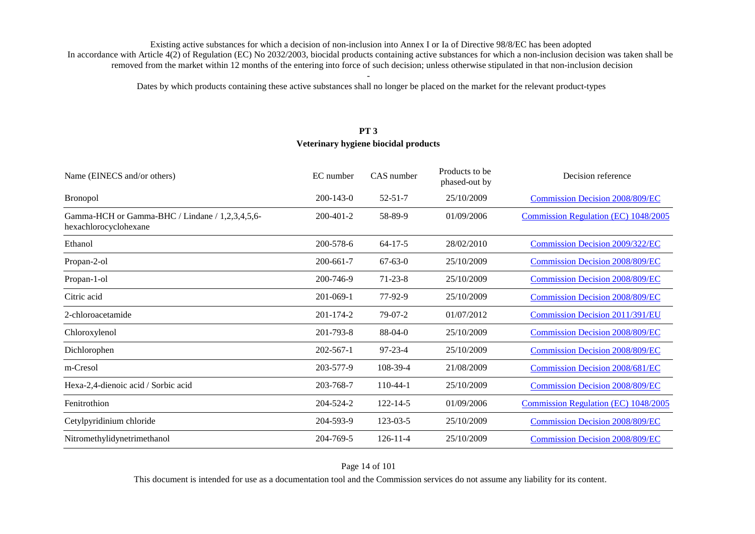Dates by which products containing these active substances shall no longer be placed on the market for the relevant product-types

# **PT 3 Veterinary hygiene biocidal products**

| Name (EINECS and/or others)                                              | EC number       | CAS number     | Products to be<br>phased-out by | Decision reference                     |
|--------------------------------------------------------------------------|-----------------|----------------|---------------------------------|----------------------------------------|
| <b>Bronopol</b>                                                          | $200 - 143 - 0$ | $52 - 51 - 7$  | 25/10/2009                      | <b>Commission Decision 2008/809/EC</b> |
| Gamma-HCH or Gamma-BHC / Lindane / 1,2,3,4,5,6-<br>hexachlorocyclohexane | $200 - 401 - 2$ | 58-89-9        | 01/09/2006                      | Commission Regulation (EC) 1048/2005   |
| Ethanol                                                                  | 200-578-6       | $64-17-5$      | 28/02/2010                      | <b>Commission Decision 2009/322/EC</b> |
| Propan-2-ol                                                              | 200-661-7       | $67 - 63 - 0$  | 25/10/2009                      | <b>Commission Decision 2008/809/EC</b> |
| Propan-1-ol                                                              | 200-746-9       | $71 - 23 - 8$  | 25/10/2009                      | <b>Commission Decision 2008/809/EC</b> |
| Citric acid                                                              | $201 - 069 - 1$ | 77-92-9        | 25/10/2009                      | <b>Commission Decision 2008/809/EC</b> |
| 2-chloroacetamide                                                        | $201 - 174 - 2$ | $79-07-2$      | 01/07/2012                      | <b>Commission Decision 2011/391/EU</b> |
| Chloroxylenol                                                            | 201-793-8       | 88-04-0        | 25/10/2009                      | <b>Commission Decision 2008/809/EC</b> |
| Dichlorophen                                                             | $202 - 567 - 1$ | $97 - 23 - 4$  | 25/10/2009                      | <b>Commission Decision 2008/809/EC</b> |
| m-Cresol                                                                 | 203-577-9       | 108-39-4       | 21/08/2009                      | <b>Commission Decision 2008/681/EC</b> |
| Hexa-2,4-dienoic acid / Sorbic acid                                      | 203-768-7       | $110-44-1$     | 25/10/2009                      | <b>Commission Decision 2008/809/EC</b> |
| Fenitrothion                                                             | 204-524-2       | $122 - 14 - 5$ | 01/09/2006                      | Commission Regulation (EC) 1048/2005   |
| Cetylpyridinium chloride                                                 | 204-593-9       | $123 - 03 - 5$ | 25/10/2009                      | <b>Commission Decision 2008/809/EC</b> |
| Nitromethylidynetrimethanol                                              | 204-769-5       | $126 - 11 - 4$ | 25/10/2009                      | <b>Commission Decision 2008/809/EC</b> |

Page 14 of 101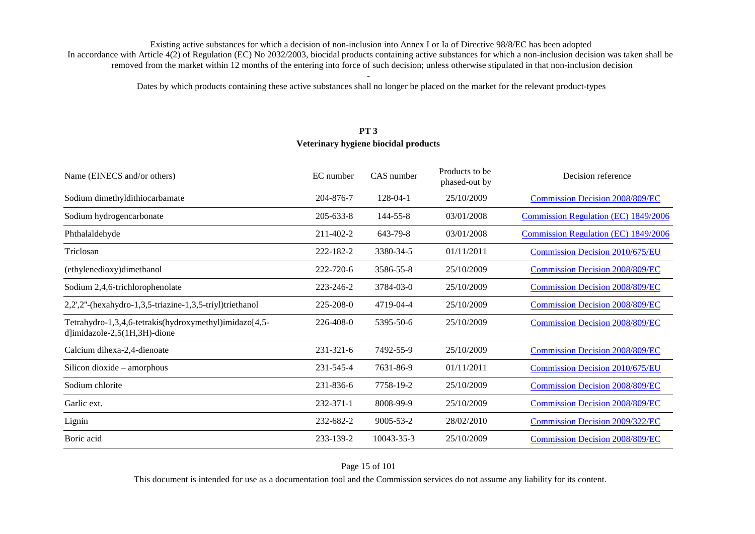Dates by which products containing these active substances shall no longer be placed on the market for the relevant product-types

# **PT 3 Veterinary hygiene biocidal products**

| Name (EINECS and/or others)                                                            | EC number | CAS number      | Products to be<br>phased-out by | Decision reference                     |
|----------------------------------------------------------------------------------------|-----------|-----------------|---------------------------------|----------------------------------------|
| Sodium dimethyldithiocarbamate                                                         | 204-876-7 | $128-04-1$      | 25/10/2009                      | <b>Commission Decision 2008/809/EC</b> |
| Sodium hydrogencarbonate                                                               | 205-633-8 | 144-55-8        | 03/01/2008                      | Commission Regulation (EC) 1849/2006   |
| Phthalaldehyde                                                                         | 211-402-2 | 643-79-8        | 03/01/2008                      | Commission Regulation (EC) 1849/2006   |
| Triclosan                                                                              | 222-182-2 | 3380-34-5       | 01/11/2011                      | <b>Commission Decision 2010/675/EU</b> |
| (ethylenedioxy)dimethanol                                                              | 222-720-6 | 3586-55-8       | 25/10/2009                      | <b>Commission Decision 2008/809/EC</b> |
| Sodium 2,4,6-trichlorophenolate                                                        | 223-246-2 | 3784-03-0       | 25/10/2009                      | <b>Commission Decision 2008/809/EC</b> |
| 2,2',2"-(hexahydro-1,3,5-triazine-1,3,5-triyl)triethanol                               | 225-208-0 | 4719-04-4       | 25/10/2009                      | <b>Commission Decision 2008/809/EC</b> |
| Tetrahydro-1,3,4,6-tetrakis(hydroxymethyl)imidazo[4,5-<br>d]imidazole-2,5(1H,3H)-dione | 226-408-0 | 5395-50-6       | 25/10/2009                      | <b>Commission Decision 2008/809/EC</b> |
| Calcium dihexa-2,4-dienoate                                                            | 231-321-6 | 7492-55-9       | 25/10/2009                      | Commission Decision 2008/809/EC        |
| Silicon dioxide – amorphous                                                            | 231-545-4 | 7631-86-9       | 01/11/2011                      | Commission Decision 2010/675/EU        |
| Sodium chlorite                                                                        | 231-836-6 | 7758-19-2       | 25/10/2009                      | <b>Commission Decision 2008/809/EC</b> |
| Garlic ext.                                                                            | 232-371-1 | 8008-99-9       | 25/10/2009                      | <b>Commission Decision 2008/809/EC</b> |
| Lignin                                                                                 | 232-682-2 | $9005 - 53 - 2$ | 28/02/2010                      | Commission Decision 2009/322/EC        |
| Boric acid                                                                             | 233-139-2 | 10043-35-3      | 25/10/2009                      | <b>Commission Decision 2008/809/EC</b> |

Page 15 of 101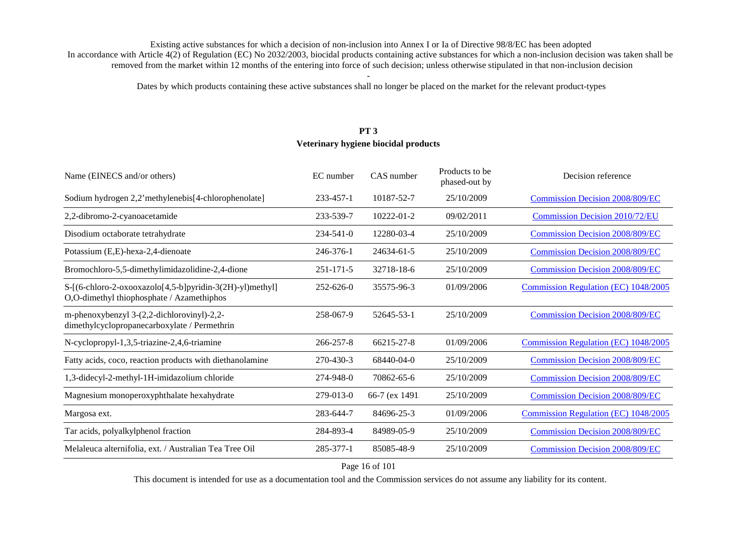Dates by which products containing these active substances shall no longer be placed on the market for the relevant product-types

# **PT 3 Veterinary hygiene biocidal products**

| Name (EINECS and/or others)                                                                           | EC number       | CAS number     | Products to be<br>phased-out by | Decision reference                     |
|-------------------------------------------------------------------------------------------------------|-----------------|----------------|---------------------------------|----------------------------------------|
| Sodium hydrogen 2,2'methylenebis[4-chlorophenolate]                                                   | 233-457-1       | 10187-52-7     | 25/10/2009                      | <b>Commission Decision 2008/809/EC</b> |
| 2,2-dibromo-2-cyanoacetamide                                                                          | 233-539-7       | 10222-01-2     | 09/02/2011                      | <b>Commission Decision 2010/72/EU</b>  |
| Disodium octaborate tetrahydrate                                                                      | $234 - 541 - 0$ | 12280-03-4     | 25/10/2009                      | <b>Commission Decision 2008/809/EC</b> |
| Potassium (E,E)-hexa-2,4-dienoate                                                                     | 246-376-1       | 24634-61-5     | 25/10/2009                      | <b>Commission Decision 2008/809/EC</b> |
| Bromochloro-5,5-dimethylimidazolidine-2,4-dione                                                       | 251-171-5       | 32718-18-6     | 25/10/2009                      | <b>Commission Decision 2008/809/EC</b> |
| S-[(6-chloro-2-oxooxazolo[4,5-b]pyridin-3(2H)-yl)methyl]<br>O,O-dimethyl thiophosphate / Azamethiphos | 252-626-0       | 35575-96-3     | 01/09/2006                      | Commission Regulation (EC) 1048/2005   |
| m-phenoxybenzyl 3-(2,2-dichlorovinyl)-2,2-<br>dimethylcyclopropanecarboxylate / Permethrin            | 258-067-9       | 52645-53-1     | 25/10/2009                      | <b>Commission Decision 2008/809/EC</b> |
| N-cyclopropyl-1,3,5-triazine-2,4,6-triamine                                                           | 266-257-8       | 66215-27-8     | 01/09/2006                      | Commission Regulation (EC) 1048/2005   |
| Fatty acids, coco, reaction products with diethanolamine                                              | 270-430-3       | 68440-04-0     | 25/10/2009                      | <b>Commission Decision 2008/809/EC</b> |
| 1,3-didecyl-2-methyl-1H-imidazolium chloride                                                          | 274-948-0       | 70862-65-6     | 25/10/2009                      | <b>Commission Decision 2008/809/EC</b> |
| Magnesium monoperoxyphthalate hexahydrate                                                             | 279-013-0       | 66-7 (ex 1491: | 25/10/2009                      | <b>Commission Decision 2008/809/EC</b> |
| Margosa ext.                                                                                          | 283-644-7       | 84696-25-3     | 01/09/2006                      | Commission Regulation (EC) 1048/2005   |
| Tar acids, polyalkylphenol fraction                                                                   | 284-893-4       | 84989-05-9     | 25/10/2009                      | <b>Commission Decision 2008/809/EC</b> |
| Melaleuca alternifolia, ext. / Australian Tea Tree Oil                                                | 285-377-1       | 85085-48-9     | 25/10/2009                      | <b>Commission Decision 2008/809/EC</b> |

Page 16 of 101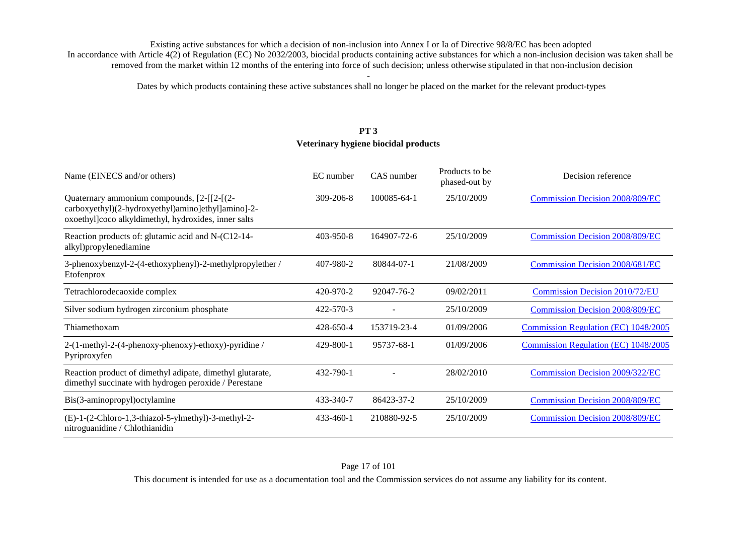Dates by which products containing these active substances shall no longer be placed on the market for the relevant product-types

# **PT 3 Veterinary hygiene biocidal products**

| Name (EINECS and/or others)                                                                                                                                    | EC number       | CAS number  | Products to be<br>phased-out by | Decision reference                     |
|----------------------------------------------------------------------------------------------------------------------------------------------------------------|-----------------|-------------|---------------------------------|----------------------------------------|
| Quaternary ammonium compounds, [2-1][2-1][2-2-1]<br>carboxyethyl)(2-hydroxyethyl)amino]ethyl]amino]-2-<br>oxoethyl]coco alkyldimethyl, hydroxides, inner salts | 309-206-8       | 100085-64-1 | 25/10/2009                      | <b>Commission Decision 2008/809/EC</b> |
| Reaction products of: glutamic acid and N-(C12-14-<br>alkyl)propylenediamine                                                                                   | 403-950-8       | 164907-72-6 | 25/10/2009                      | <b>Commission Decision 2008/809/EC</b> |
| 3-phenoxybenzyl-2-(4-ethoxyphenyl)-2-methylpropylether /<br>Etofenprox                                                                                         | 407-980-2       | 80844-07-1  | 21/08/2009                      | Commission Decision 2008/681/EC        |
| Tetrachlorodecaoxide complex                                                                                                                                   | 420-970-2       | 92047-76-2  | 09/02/2011                      | <b>Commission Decision 2010/72/EU</b>  |
| Silver sodium hydrogen zirconium phosphate                                                                                                                     | $422 - 570 - 3$ |             | 25/10/2009                      | <b>Commission Decision 2008/809/EC</b> |
| Thiamethoxam                                                                                                                                                   | 428-650-4       | 153719-23-4 | 01/09/2006                      | Commission Regulation (EC) 1048/2005   |
| 2-(1-methyl-2-(4-phenoxy-phenoxy)-ethoxy)-pyridine /<br>Pyriproxyfen                                                                                           | 429-800-1       | 95737-68-1  | 01/09/2006                      | Commission Regulation (EC) 1048/2005   |
| Reaction product of dimethyl adipate, dimethyl glutarate,<br>dimethyl succinate with hydrogen peroxide / Perestane                                             | 432-790-1       |             | 28/02/2010                      | Commission Decision 2009/322/EC        |
| Bis(3-aminopropyl)octylamine                                                                                                                                   | 433-340-7       | 86423-37-2  | 25/10/2009                      | <b>Commission Decision 2008/809/EC</b> |
| (E)-1-(2-Chloro-1,3-thiazol-5-ylmethyl)-3-methyl-2-<br>nitroguanidine / Chlothianidin                                                                          | $433 - 460 - 1$ | 210880-92-5 | 25/10/2009                      | <b>Commission Decision 2008/809/EC</b> |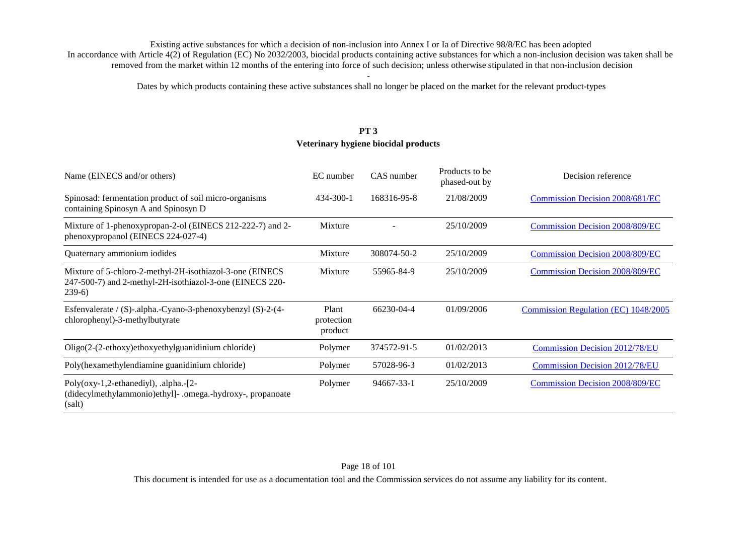Dates by which products containing these active substances shall no longer be placed on the market for the relevant product-types

# **PT 3 Veterinary hygiene biocidal products**

| Name (EINECS and/or others)                                                                                                     | EC number                      | CAS number  | Products to be<br>phased-out by | Decision reference                     |
|---------------------------------------------------------------------------------------------------------------------------------|--------------------------------|-------------|---------------------------------|----------------------------------------|
| Spinosad: fermentation product of soil micro-organisms<br>containing Spinosyn A and Spinosyn D                                  | 434-300-1                      | 168316-95-8 | 21/08/2009                      | Commission Decision 2008/681/EC        |
| Mixture of 1-phenoxypropan-2-ol (EINECS 212-222-7) and 2-<br>phenoxypropanol (EINECS 224-027-4)                                 | Mixture                        |             | 25/10/2009                      | <b>Commission Decision 2008/809/EC</b> |
| Quaternary ammonium iodides                                                                                                     | Mixture                        | 308074-50-2 | 25/10/2009                      | <b>Commission Decision 2008/809/EC</b> |
| Mixture of 5-chloro-2-methyl-2H-isothiazol-3-one (EINECS<br>247-500-7) and 2-methyl-2H-isothiazol-3-one (EINECS 220-<br>$239-6$ | Mixture                        | 55965-84-9  | 25/10/2009                      | <b>Commission Decision 2008/809/EC</b> |
| Esfenvalerate / (S)-.alpha.-Cyano-3-phenoxybenzyl (S)-2-(4-<br>chlorophenyl)-3-methylbutyrate                                   | Plant<br>protection<br>product | 66230-04-4  | 01/09/2006                      | Commission Regulation (EC) 1048/2005   |
| Oligo(2-(2-ethoxy)ethoxyethylguanidinium chloride)                                                                              | Polymer                        | 374572-91-5 | 01/02/2013                      | <b>Commission Decision 2012/78/EU</b>  |
| Poly(hexamethylendiamine guanidinium chloride)                                                                                  | Polymer                        | 57028-96-3  | 01/02/2013                      | <b>Commission Decision 2012/78/EU</b>  |
| Poly(oxy-1,2-ethanediyl), .alpha.-[2-<br>(didecylmethylammonio)ethyl]- .omega.-hydroxy-, propanoate<br>(salt)                   | Polymer                        | 94667-33-1  | 25/10/2009                      | <b>Commission Decision 2008/809/EC</b> |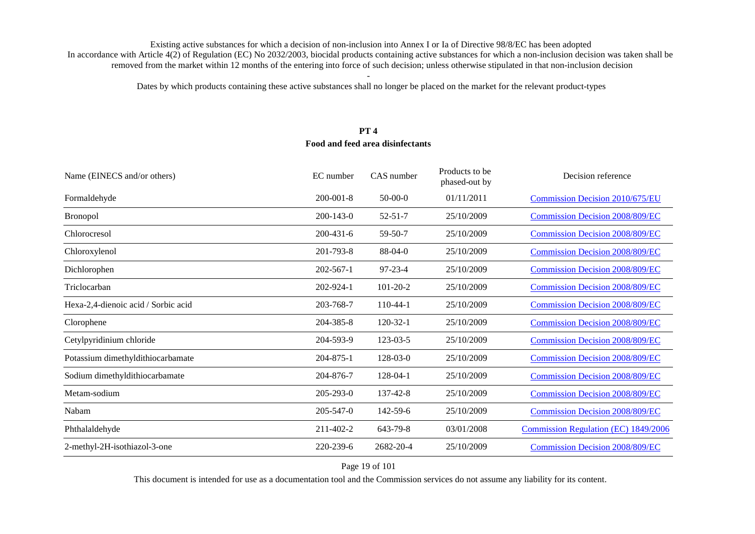Dates by which products containing these active substances shall no longer be placed on the market for the relevant product-types

## **PT 4 Food and feed area disinfectants**

| Name (EINECS and/or others)         | EC number       | CAS number     | Products to be<br>phased-out by | Decision reference                     |
|-------------------------------------|-----------------|----------------|---------------------------------|----------------------------------------|
| Formaldehyde                        | $200 - 001 - 8$ | $50-00-0$      | 01/11/2011                      | <b>Commission Decision 2010/675/EU</b> |
| <b>Bronopol</b>                     | $200 - 143 - 0$ | $52 - 51 - 7$  | 25/10/2009                      | <b>Commission Decision 2008/809/EC</b> |
| Chlorocresol                        | 200-431-6       | 59-50-7        | 25/10/2009                      | <b>Commission Decision 2008/809/EC</b> |
| Chloroxylenol                       | 201-793-8       | $88-04-0$      | 25/10/2009                      | <b>Commission Decision 2008/809/EC</b> |
| Dichlorophen                        | $202 - 567 - 1$ | $97 - 23 - 4$  | 25/10/2009                      | <b>Commission Decision 2008/809/EC</b> |
| Triclocarban                        | 202-924-1       | $101 - 20 - 2$ | 25/10/2009                      | <b>Commission Decision 2008/809/EC</b> |
| Hexa-2,4-dienoic acid / Sorbic acid | 203-768-7       | $110-44-1$     | 25/10/2009                      | <b>Commission Decision 2008/809/EC</b> |
| Clorophene                          | 204-385-8       | $120 - 32 - 1$ | 25/10/2009                      | <b>Commission Decision 2008/809/EC</b> |
| Cetylpyridinium chloride            | 204-593-9       | 123-03-5       | 25/10/2009                      | <b>Commission Decision 2008/809/EC</b> |
| Potassium dimethyldithiocarbamate   | 204-875-1       | 128-03-0       | 25/10/2009                      | <b>Commission Decision 2008/809/EC</b> |
| Sodium dimethyldithiocarbamate      | 204-876-7       | 128-04-1       | 25/10/2009                      | <b>Commission Decision 2008/809/EC</b> |
| Metam-sodium                        | 205-293-0       | 137-42-8       | 25/10/2009                      | <b>Commission Decision 2008/809/EC</b> |
| Nabam                               | 205-547-0       | 142-59-6       | 25/10/2009                      | <b>Commission Decision 2008/809/EC</b> |
| Phthalaldehyde                      | 211-402-2       | 643-79-8       | 03/01/2008                      | Commission Regulation (EC) 1849/2006   |
| 2-methyl-2H-isothiazol-3-one        | 220-239-6       | 2682-20-4      | 25/10/2009                      | <b>Commission Decision 2008/809/EC</b> |

Page 19 of 101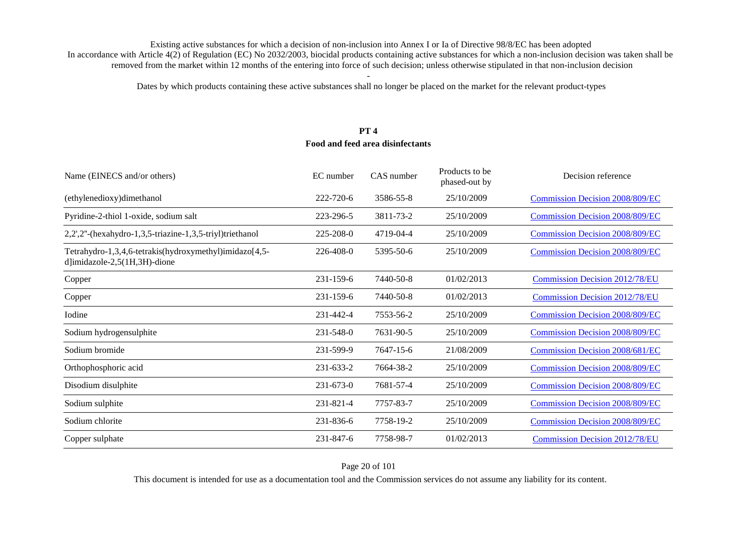Dates by which products containing these active substances shall no longer be placed on the market for the relevant product-types

### **PT 4 Food and feed area disinfectants**

| Name (EINECS and/or others)                                                                | EC number       | CAS number | Products to be<br>phased-out by | Decision reference                     |
|--------------------------------------------------------------------------------------------|-----------------|------------|---------------------------------|----------------------------------------|
| (ethylenedioxy)dimethanol                                                                  | 222-720-6       | 3586-55-8  | 25/10/2009                      | <b>Commission Decision 2008/809/EC</b> |
| Pyridine-2-thiol 1-oxide, sodium salt                                                      | 223-296-5       | 3811-73-2  | 25/10/2009                      | <b>Commission Decision 2008/809/EC</b> |
| 2,2',2"-(hexahydro-1,3,5-triazine-1,3,5-triyl)triethanol                                   | 225-208-0       | 4719-04-4  | 25/10/2009                      | <b>Commission Decision 2008/809/EC</b> |
| Tetrahydro-1,3,4,6-tetrakis(hydroxymethyl)imidazo[4,5-<br>d]imidazole- $2,5(1H,3H)$ -dione | $226 - 408 - 0$ | 5395-50-6  | 25/10/2009                      | <b>Commission Decision 2008/809/EC</b> |
| Copper                                                                                     | 231-159-6       | 7440-50-8  | 01/02/2013                      | <b>Commission Decision 2012/78/EU</b>  |
| Copper                                                                                     | 231-159-6       | 7440-50-8  | 01/02/2013                      | <b>Commission Decision 2012/78/EU</b>  |
| Iodine                                                                                     | 231-442-4       | 7553-56-2  | 25/10/2009                      | <b>Commission Decision 2008/809/EC</b> |
| Sodium hydrogensulphite                                                                    | 231-548-0       | 7631-90-5  | 25/10/2009                      | <b>Commission Decision 2008/809/EC</b> |
| Sodium bromide                                                                             | 231-599-9       | 7647-15-6  | 21/08/2009                      | <b>Commission Decision 2008/681/EC</b> |
| Orthophosphoric acid                                                                       | 231-633-2       | 7664-38-2  | 25/10/2009                      | <b>Commission Decision 2008/809/EC</b> |
| Disodium disulphite                                                                        | 231-673-0       | 7681-57-4  | 25/10/2009                      | <b>Commission Decision 2008/809/EC</b> |
| Sodium sulphite                                                                            | 231-821-4       | 7757-83-7  | 25/10/2009                      | <b>Commission Decision 2008/809/EC</b> |
| Sodium chlorite                                                                            | 231-836-6       | 7758-19-2  | 25/10/2009                      | <b>Commission Decision 2008/809/EC</b> |
| Copper sulphate                                                                            | 231-847-6       | 7758-98-7  | 01/02/2013                      | <b>Commission Decision 2012/78/EU</b>  |

Page 20 of 101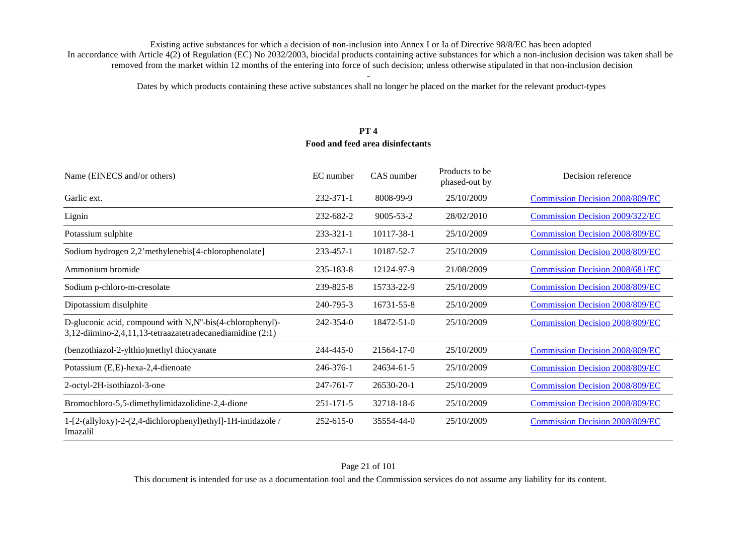Dates by which products containing these active substances shall no longer be placed on the market for the relevant product-types

### **PT 4 Food and feed area disinfectants**

| Name (EINECS and/or others)                                                                                           | EC number       | CAS number       | Products to be<br>phased-out by | Decision reference                     |
|-----------------------------------------------------------------------------------------------------------------------|-----------------|------------------|---------------------------------|----------------------------------------|
| Garlic ext.                                                                                                           | 232-371-1       | 8008-99-9        | 25/10/2009                      | <b>Commission Decision 2008/809/EC</b> |
| Lignin                                                                                                                | 232-682-2       | $9005 - 53 - 2$  | 28/02/2010                      | Commission Decision 2009/322/EC        |
| Potassium sulphite                                                                                                    | $233 - 321 - 1$ | 10117-38-1       | 25/10/2009                      | <b>Commission Decision 2008/809/EC</b> |
| Sodium hydrogen 2,2'methylenebis[4-chlorophenolate]                                                                   | 233-457-1       | 10187-52-7       | 25/10/2009                      | <b>Commission Decision 2008/809/EC</b> |
| Ammonium bromide                                                                                                      | 235-183-8       | 12124-97-9       | 21/08/2009                      | <b>Commission Decision 2008/681/EC</b> |
| Sodium p-chloro-m-cresolate                                                                                           | 239-825-8       | 15733-22-9       | 25/10/2009                      | <b>Commission Decision 2008/809/EC</b> |
| Dipotassium disulphite                                                                                                | 240-795-3       | 16731-55-8       | 25/10/2009                      | <b>Commission Decision 2008/809/EC</b> |
| D-gluconic acid, compound with N,N"-bis(4-chlorophenyl)-<br>3,12-diimino-2,4,11,13-tetraazatetradecanediamidine (2:1) | 242-354-0       | 18472-51-0       | 25/10/2009                      | <b>Commission Decision 2008/809/EC</b> |
| (benzothiazol-2-ylthio)methyl thiocyanate                                                                             | $244 - 445 - 0$ | $21564 - 17 - 0$ | 25/10/2009                      | <b>Commission Decision 2008/809/EC</b> |
| Potassium (E,E)-hexa-2,4-dienoate                                                                                     | 246-376-1       | 24634-61-5       | 25/10/2009                      | <b>Commission Decision 2008/809/EC</b> |
| 2-octyl-2H-isothiazol-3-one                                                                                           | 247-761-7       | 26530-20-1       | 25/10/2009                      | <b>Commission Decision 2008/809/EC</b> |
| Bromochloro-5,5-dimethylimidazolidine-2,4-dione                                                                       | $251 - 171 - 5$ | 32718-18-6       | 25/10/2009                      | <b>Commission Decision 2008/809/EC</b> |
| 1-[2-(allyloxy)-2-(2,4-dichlorophenyl)ethyl]-1H-imidazole /<br>Imazalil                                               | 252-615-0       | 35554-44-0       | 25/10/2009                      | <b>Commission Decision 2008/809/EC</b> |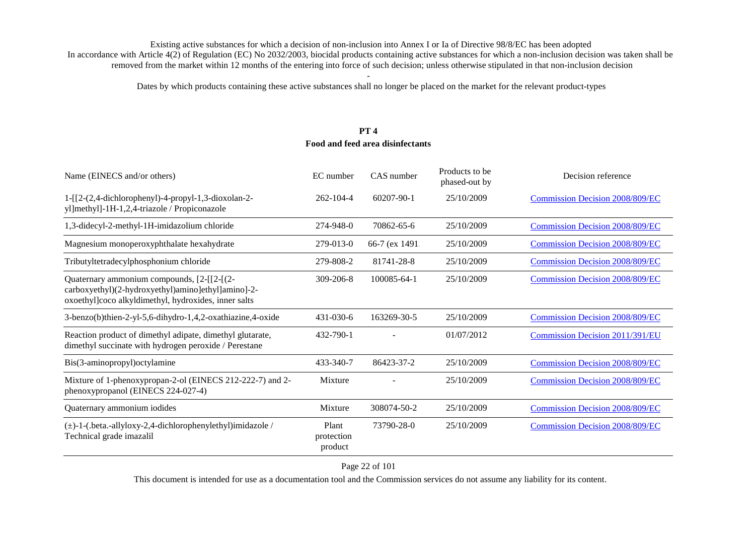Dates by which products containing these active substances shall no longer be placed on the market for the relevant product-types

# **PT 4 Food and feed area disinfectants**

| Name (EINECS and/or others)                                                                                                                              | EC number                      | CAS number     | Products to be<br>phased-out by | Decision reference                     |
|----------------------------------------------------------------------------------------------------------------------------------------------------------|--------------------------------|----------------|---------------------------------|----------------------------------------|
| $1 - [[2-(2,4-dichloropheny)] - 4-propy] - 1,3-dioxolan-2-$<br>yl]methyl]-1H-1,2,4-triazole / Propiconazole                                              | 262-104-4                      | 60207-90-1     | 25/10/2009                      | <b>Commission Decision 2008/809/EC</b> |
| 1,3-didecyl-2-methyl-1H-imidazolium chloride                                                                                                             | 274-948-0                      | 70862-65-6     | 25/10/2009                      | <b>Commission Decision 2008/809/EC</b> |
| Magnesium monoperoxyphthalate hexahydrate                                                                                                                | 279-013-0                      | 66-7 (ex 1491. | 25/10/2009                      | <b>Commission Decision 2008/809/EC</b> |
| Tributyltetradecylphosphonium chloride                                                                                                                   | 279-808-2                      | 81741-28-8     | 25/10/2009                      | <b>Commission Decision 2008/809/EC</b> |
| Quaternary ammonium compounds, [2-[[2-[(2-<br>carboxyethyl)(2-hydroxyethyl)amino]ethyl]amino]-2-<br>oxoethyl]coco alkyldimethyl, hydroxides, inner salts | 309-206-8                      | 100085-64-1    | 25/10/2009                      | <b>Commission Decision 2008/809/EC</b> |
| 3-benzo(b)thien-2-yl-5,6-dihydro-1,4,2-oxathiazine,4-oxide                                                                                               | $431 - 030 - 6$                | 163269-30-5    | 25/10/2009                      | <b>Commission Decision 2008/809/EC</b> |
| Reaction product of dimethyl adipate, dimethyl glutarate,<br>dimethyl succinate with hydrogen peroxide / Perestane                                       | 432-790-1                      |                | 01/07/2012                      | <b>Commission Decision 2011/391/EU</b> |
| Bis(3-aminopropyl)octylamine                                                                                                                             | 433-340-7                      | 86423-37-2     | 25/10/2009                      | <b>Commission Decision 2008/809/EC</b> |
| Mixture of 1-phenoxypropan-2-ol (EINECS 212-222-7) and 2-<br>phenoxypropanol (EINECS 224-027-4)                                                          | Mixture                        |                | 25/10/2009                      | <b>Commission Decision 2008/809/EC</b> |
| Quaternary ammonium iodides                                                                                                                              | Mixture                        | 308074-50-2    | 25/10/2009                      | <b>Commission Decision 2008/809/EC</b> |
| $(\pm)$ -1-(.beta.-allyloxy-2,4-dichlorophenylethyl)imidazole /<br>Technical grade imazalil                                                              | Plant<br>protection<br>product | 73790-28-0     | 25/10/2009                      | <b>Commission Decision 2008/809/EC</b> |

Page 22 of 101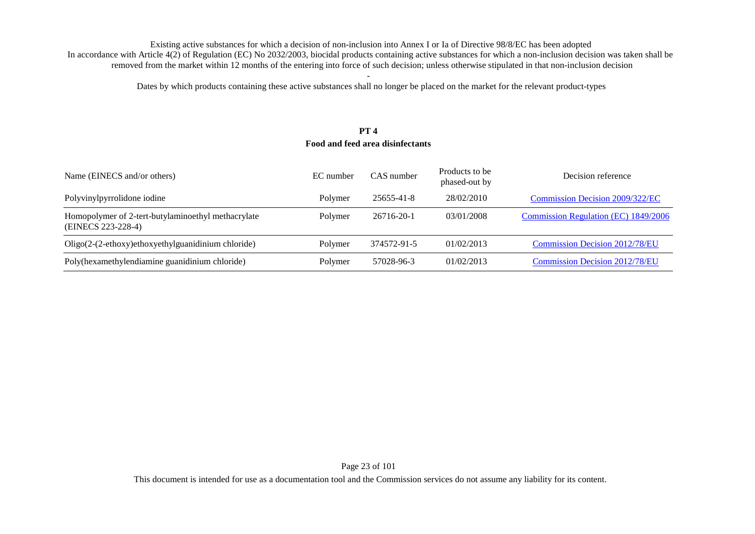Dates by which products containing these active substances shall no longer be placed on the market for the relevant product-types

#### **PT 4 Food and feed area disinfectants**

| Name (EINECS and/or others)                                              | EC number | CAS number  | Products to be<br>phased-out by | Decision reference                    |
|--------------------------------------------------------------------------|-----------|-------------|---------------------------------|---------------------------------------|
| Polyvinylpyrrolidone iodine                                              | Polymer   | 25655-41-8  | 28/02/2010                      | Commission Decision 2009/322/EC       |
| Homopolymer of 2-tert-butylaminoethyl methacrylate<br>(EINECS 223-228-4) | Polymer   | 26716-20-1  | 03/01/2008                      | Commission Regulation (EC) 1849/2006  |
| Oligo(2-(2-ethoxy)ethoxyethylguanidinium chloride)                       | Polymer   | 374572-91-5 | 01/02/2013                      | <b>Commission Decision 2012/78/EU</b> |
| Poly(hexamethylendiamine guanidinium chloride)                           | Polymer   | 57028-96-3  | 01/02/2013                      | <b>Commission Decision 2012/78/EU</b> |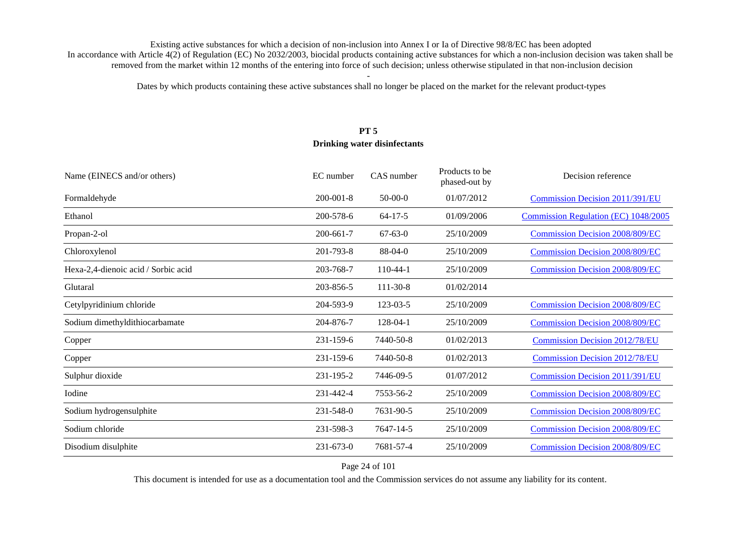Dates by which products containing these active substances shall no longer be placed on the market for the relevant product-types

# **PT 5 Drinking water disinfectants**

| Name (EINECS and/or others)         | EC number       | CAS number     | Products to be<br>phased-out by | Decision reference                     |
|-------------------------------------|-----------------|----------------|---------------------------------|----------------------------------------|
| Formaldehyde                        | $200 - 001 - 8$ | $50-00-0$      | 01/07/2012                      | Commission Decision 2011/391/EU        |
| Ethanol                             | 200-578-6       | $64 - 17 - 5$  | 01/09/2006                      | Commission Regulation (EC) 1048/2005   |
| Propan-2-ol                         | 200-661-7       | $67 - 63 - 0$  | 25/10/2009                      | <b>Commission Decision 2008/809/EC</b> |
| Chloroxylenol                       | 201-793-8       | $88-04-0$      | 25/10/2009                      | <b>Commission Decision 2008/809/EC</b> |
| Hexa-2,4-dienoic acid / Sorbic acid | 203-768-7       | $110-44-1$     | 25/10/2009                      | <b>Commission Decision 2008/809/EC</b> |
| Glutaral                            | 203-856-5       | $111 - 30 - 8$ | 01/02/2014                      |                                        |
| Cetylpyridinium chloride            | 204-593-9       | 123-03-5       | 25/10/2009                      | <b>Commission Decision 2008/809/EC</b> |
| Sodium dimethyldithiocarbamate      | 204-876-7       | 128-04-1       | 25/10/2009                      | <b>Commission Decision 2008/809/EC</b> |
| Copper                              | 231-159-6       | 7440-50-8      | 01/02/2013                      | <b>Commission Decision 2012/78/EU</b>  |
| Copper                              | 231-159-6       | 7440-50-8      | 01/02/2013                      | <b>Commission Decision 2012/78/EU</b>  |
| Sulphur dioxide                     | 231-195-2       | 7446-09-5      | 01/07/2012                      | <b>Commission Decision 2011/391/EU</b> |
| Iodine                              | 231-442-4       | 7553-56-2      | 25/10/2009                      | <b>Commission Decision 2008/809/EC</b> |
| Sodium hydrogensulphite             | 231-548-0       | 7631-90-5      | 25/10/2009                      | <b>Commission Decision 2008/809/EC</b> |
| Sodium chloride                     | 231-598-3       | 7647-14-5      | 25/10/2009                      | <b>Commission Decision 2008/809/EC</b> |
| Disodium disulphite                 | 231-673-0       | 7681-57-4      | 25/10/2009                      | <b>Commission Decision 2008/809/EC</b> |

Page 24 of 101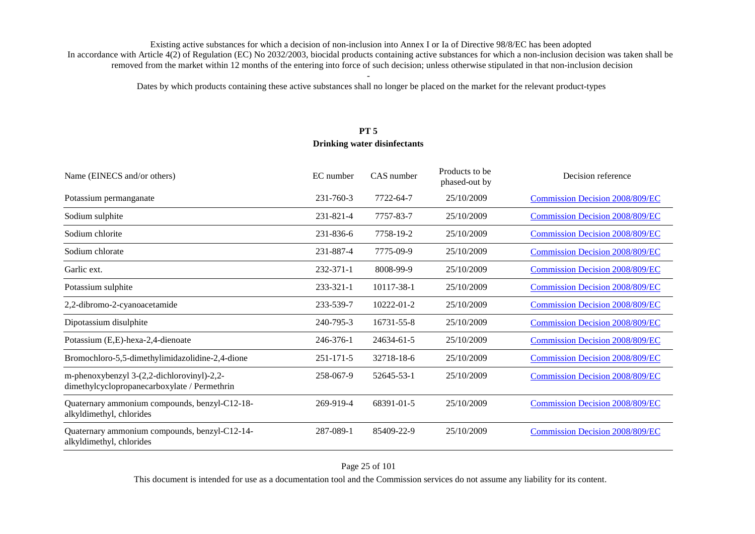Dates by which products containing these active substances shall no longer be placed on the market for the relevant product-types

## **PT 5 Drinking water disinfectants**

| Name (EINECS and/or others)                                                                | EC number       | CAS number | Products to be<br>phased-out by | Decision reference                     |
|--------------------------------------------------------------------------------------------|-----------------|------------|---------------------------------|----------------------------------------|
| Potassium permanganate                                                                     | $231 - 760 - 3$ | 7722-64-7  | 25/10/2009                      | <b>Commission Decision 2008/809/EC</b> |
| Sodium sulphite                                                                            | 231-821-4       | 7757-83-7  | 25/10/2009                      | <b>Commission Decision 2008/809/EC</b> |
| Sodium chlorite                                                                            | 231-836-6       | 7758-19-2  | 25/10/2009                      | <b>Commission Decision 2008/809/EC</b> |
| Sodium chlorate                                                                            | 231-887-4       | 7775-09-9  | 25/10/2009                      | <b>Commission Decision 2008/809/EC</b> |
| Garlic ext.                                                                                | 232-371-1       | 8008-99-9  | 25/10/2009                      | <b>Commission Decision 2008/809/EC</b> |
| Potassium sulphite                                                                         | $233 - 321 - 1$ | 10117-38-1 | 25/10/2009                      | <b>Commission Decision 2008/809/EC</b> |
| 2,2-dibromo-2-cyanoacetamide                                                               | 233-539-7       | 10222-01-2 | 25/10/2009                      | <b>Commission Decision 2008/809/EC</b> |
| Dipotassium disulphite                                                                     | 240-795-3       | 16731-55-8 | 25/10/2009                      | <b>Commission Decision 2008/809/EC</b> |
| Potassium (E,E)-hexa-2,4-dienoate                                                          | 246-376-1       | 24634-61-5 | 25/10/2009                      | <b>Commission Decision 2008/809/EC</b> |
| Bromochloro-5,5-dimethylimidazolidine-2,4-dione                                            | $251 - 171 - 5$ | 32718-18-6 | 25/10/2009                      | <b>Commission Decision 2008/809/EC</b> |
| m-phenoxybenzyl 3-(2,2-dichlorovinyl)-2,2-<br>dimethylcyclopropanecarboxylate / Permethrin | 258-067-9       | 52645-53-1 | 25/10/2009                      | <b>Commission Decision 2008/809/EC</b> |
| Quaternary ammonium compounds, benzyl-C12-18-<br>alkyldimethyl, chlorides                  | 269-919-4       | 68391-01-5 | 25/10/2009                      | <b>Commission Decision 2008/809/EC</b> |
| Quaternary ammonium compounds, benzyl-C12-14-<br>alkyldimethyl, chlorides                  | 287-089-1       | 85409-22-9 | 25/10/2009                      | <b>Commission Decision 2008/809/EC</b> |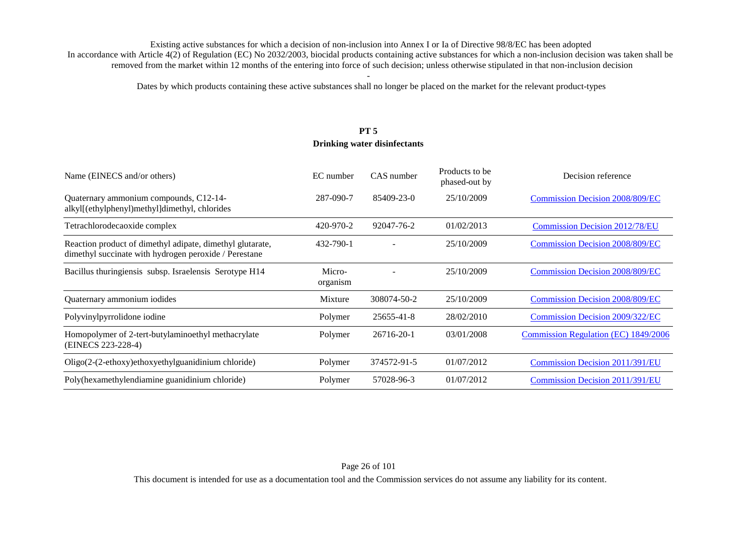Dates by which products containing these active substances shall no longer be placed on the market for the relevant product-types

# **PT 5 Drinking water disinfectants**

| Name (EINECS and/or others)                                                                                        | EC number          | CAS number  | Products to be.<br>phased-out by | Decision reference                     |
|--------------------------------------------------------------------------------------------------------------------|--------------------|-------------|----------------------------------|----------------------------------------|
| Quaternary ammonium compounds, C12-14-<br>alkyl[(ethylphenyl)methyl]dimethyl, chlorides                            | 287-090-7          | 85409-23-0  | 25/10/2009                       | <b>Commission Decision 2008/809/EC</b> |
| Tetrachlorodecaoxide complex                                                                                       | 420-970-2          | 92047-76-2  | 01/02/2013                       | <b>Commission Decision 2012/78/EU</b>  |
| Reaction product of dimethyl adipate, dimethyl glutarate,<br>dimethyl succinate with hydrogen peroxide / Perestane | 432-790-1          |             | 25/10/2009                       | <b>Commission Decision 2008/809/EC</b> |
| Bacillus thuringiensis subsp. Israelensis Serotype H14                                                             | Micro-<br>organism |             | 25/10/2009                       | <b>Commission Decision 2008/809/EC</b> |
| Quaternary ammonium iodides                                                                                        | Mixture            | 308074-50-2 | 25/10/2009                       | <b>Commission Decision 2008/809/EC</b> |
| Polyvinylpyrrolidone iodine                                                                                        | Polymer            | 25655-41-8  | 28/02/2010                       | <b>Commission Decision 2009/322/EC</b> |
| Homopolymer of 2-tert-butylaminoethyl methacrylate<br>(EINECS 223-228-4)                                           | Polymer            | 26716-20-1  | 03/01/2008                       | Commission Regulation (EC) 1849/2006   |
| Oligo(2-(2-ethoxy)ethoxyethylguanidinium chloride)                                                                 | Polymer            | 374572-91-5 | 01/07/2012                       | Commission Decision 2011/391/EU        |
| Poly(hexamethylendiamine guanidinium chloride)                                                                     | Polymer            | 57028-96-3  | 01/07/2012                       | Commission Decision 2011/391/EU        |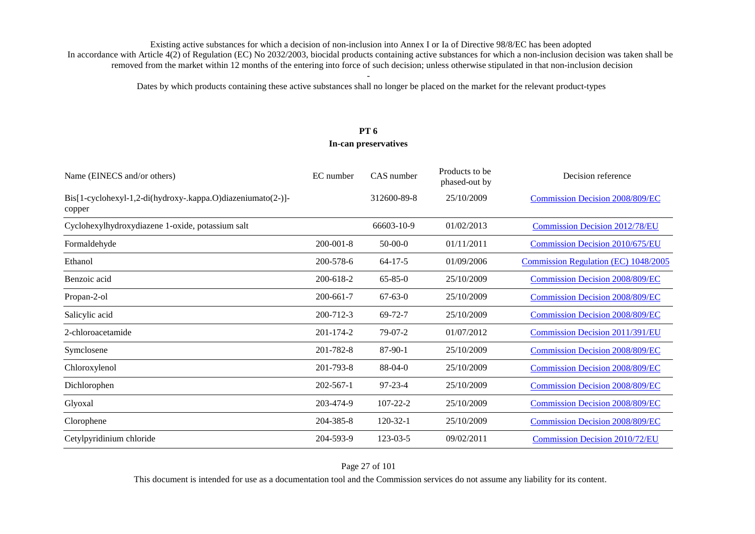Dates by which products containing these active substances shall no longer be placed on the market for the relevant product-types

#### **PT 6 In-can preservatives**

| Name (EINECS and/or others)                                           | EC number       | CAS number     | Products to be<br>phased-out by | Decision reference                     |
|-----------------------------------------------------------------------|-----------------|----------------|---------------------------------|----------------------------------------|
| Bis[1-cyclohexyl-1,2-di(hydroxy-.kappa.O)diazeniumato(2-)]-<br>copper |                 | 312600-89-8    | 25/10/2009                      | <b>Commission Decision 2008/809/EC</b> |
| Cyclohexylhydroxydiazene 1-oxide, potassium salt                      |                 | 66603-10-9     | 01/02/2013                      | <b>Commission Decision 2012/78/EU</b>  |
| Formaldehyde                                                          | $200 - 001 - 8$ | $50-00-0$      | 01/11/2011                      | <b>Commission Decision 2010/675/EU</b> |
| Ethanol                                                               | 200-578-6       | $64-17-5$      | 01/09/2006                      | Commission Regulation (EC) 1048/2005   |
| Benzoic acid                                                          | 200-618-2       | $65 - 85 - 0$  | 25/10/2009                      | <b>Commission Decision 2008/809/EC</b> |
| Propan-2-ol                                                           | 200-661-7       | $67 - 63 - 0$  | 25/10/2009                      | <b>Commission Decision 2008/809/EC</b> |
| Salicylic acid                                                        | 200-712-3       | $69 - 72 - 7$  | 25/10/2009                      | <b>Commission Decision 2008/809/EC</b> |
| 2-chloroacetamide                                                     | 201-174-2       | 79-07-2        | 01/07/2012                      | <b>Commission Decision 2011/391/EU</b> |
| Symclosene                                                            | 201-782-8       | $87-90-1$      | 25/10/2009                      | <b>Commission Decision 2008/809/EC</b> |
| Chloroxylenol                                                         | 201-793-8       | $88-04-0$      | 25/10/2009                      | <b>Commission Decision 2008/809/EC</b> |
| Dichlorophen                                                          | $202 - 567 - 1$ | $97 - 23 - 4$  | 25/10/2009                      | <b>Commission Decision 2008/809/EC</b> |
| Glyoxal                                                               | 203-474-9       | $107 - 22 - 2$ | 25/10/2009                      | <b>Commission Decision 2008/809/EC</b> |
| Clorophene                                                            | 204-385-8       | $120 - 32 - 1$ | 25/10/2009                      | <b>Commission Decision 2008/809/EC</b> |
| Cetylpyridinium chloride                                              | 204-593-9       | 123-03-5       | 09/02/2011                      | <b>Commission Decision 2010/72/EU</b>  |

#### Page 27 of 101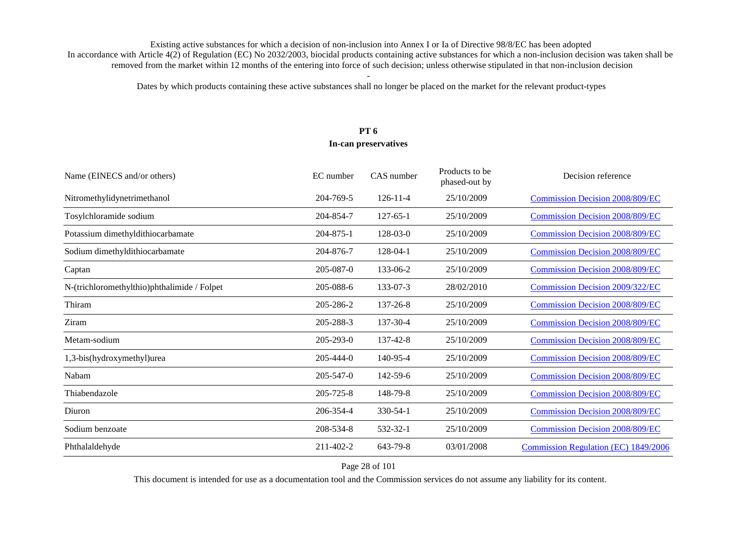Dates by which products containing these active substances shall no longer be placed on the market for the relevant product-types

# **PT 6**

#### **In-can preservatives**

| Name (EINECS and/or others)                 | EC number | CAS number     | Products to be<br>phased-out by | Decision reference                     |
|---------------------------------------------|-----------|----------------|---------------------------------|----------------------------------------|
| Nitromethylidynetrimethanol                 | 204-769-5 | $126 - 11 - 4$ | 25/10/2009                      | <b>Commission Decision 2008/809/EC</b> |
| Tosylchloramide sodium                      | 204-854-7 | $127 - 65 - 1$ | 25/10/2009                      | <b>Commission Decision 2008/809/EC</b> |
| Potassium dimethyldithiocarbamate           | 204-875-1 | $128-03-0$     | 25/10/2009                      | <b>Commission Decision 2008/809/EC</b> |
| Sodium dimethyldithiocarbamate              | 204-876-7 | 128-04-1       | 25/10/2009                      | <b>Commission Decision 2008/809/EC</b> |
| Captan                                      | 205-087-0 | 133-06-2       | 25/10/2009                      | <b>Commission Decision 2008/809/EC</b> |
| N-(trichloromethylthio)phthalimide / Folpet | 205-088-6 | 133-07-3       | 28/02/2010                      | Commission Decision 2009/322/EC        |
| Thiram                                      | 205-286-2 | 137-26-8       | 25/10/2009                      | <b>Commission Decision 2008/809/EC</b> |
| Ziram                                       | 205-288-3 | 137-30-4       | 25/10/2009                      | <b>Commission Decision 2008/809/EC</b> |
| Metam-sodium                                | 205-293-0 | 137-42-8       | 25/10/2009                      | <b>Commission Decision 2008/809/EC</b> |
| 1,3-bis(hydroxymethyl)urea                  | 205-444-0 | 140-95-4       | 25/10/2009                      | <b>Commission Decision 2008/809/EC</b> |
| Nabam                                       | 205-547-0 | 142-59-6       | 25/10/2009                      | <b>Commission Decision 2008/809/EC</b> |
| Thiabendazole                               | 205-725-8 | 148-79-8       | 25/10/2009                      | <b>Commission Decision 2008/809/EC</b> |
| Diuron                                      | 206-354-4 | 330-54-1       | 25/10/2009                      | <b>Commission Decision 2008/809/EC</b> |
| Sodium benzoate                             | 208-534-8 | 532-32-1       | 25/10/2009                      | <b>Commission Decision 2008/809/EC</b> |
| Phthalaldehyde                              | 211-402-2 | 643-79-8       | 03/01/2008                      | Commission Regulation (EC) 1849/2006   |

#### Page 28 of 101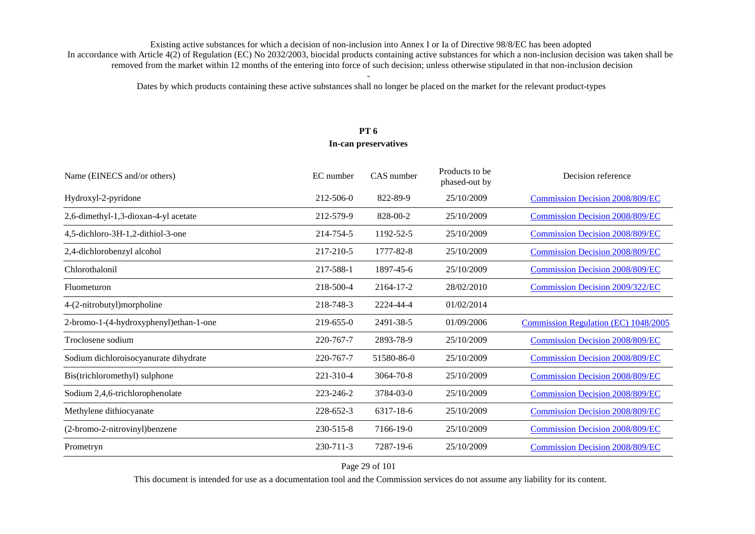Dates by which products containing these active substances shall no longer be placed on the market for the relevant product-types

# **PT 6**

#### **In-can preservatives**

| Name (EINECS and/or others)            | EC number | CAS number | Products to be<br>phased-out by | Decision reference                     |
|----------------------------------------|-----------|------------|---------------------------------|----------------------------------------|
| Hydroxyl-2-pyridone                    | 212-506-0 | 822-89-9   | 25/10/2009                      | <b>Commission Decision 2008/809/EC</b> |
| 2,6-dimethyl-1,3-dioxan-4-yl acetate   | 212-579-9 | 828-00-2   | 25/10/2009                      | <b>Commission Decision 2008/809/EC</b> |
| 4,5-dichloro-3H-1,2-dithiol-3-one      | 214-754-5 | 1192-52-5  | 25/10/2009                      | <b>Commission Decision 2008/809/EC</b> |
| 2,4-dichlorobenzyl alcohol             | 217-210-5 | 1777-82-8  | 25/10/2009                      | <b>Commission Decision 2008/809/EC</b> |
| Chlorothalonil                         | 217-588-1 | 1897-45-6  | 25/10/2009                      | <b>Commission Decision 2008/809/EC</b> |
| Fluometuron                            | 218-500-4 | 2164-17-2  | 28/02/2010                      | Commission Decision 2009/322/EC        |
| 4-(2-nitrobutyl)morpholine             | 218-748-3 | 2224-44-4  | 01/02/2014                      |                                        |
| 2-bromo-1-(4-hydroxyphenyl)ethan-1-one | 219-655-0 | 2491-38-5  | 01/09/2006                      | Commission Regulation (EC) 1048/2005   |
| Troclosene sodium                      | 220-767-7 | 2893-78-9  | 25/10/2009                      | <b>Commission Decision 2008/809/EC</b> |
| Sodium dichloroisocyanurate dihydrate  | 220-767-7 | 51580-86-0 | 25/10/2009                      | <b>Commission Decision 2008/809/EC</b> |
| Bis(trichloromethyl) sulphone          | 221-310-4 | 3064-70-8  | 25/10/2009                      | <b>Commission Decision 2008/809/EC</b> |
| Sodium 2,4,6-trichlorophenolate        | 223-246-2 | 3784-03-0  | 25/10/2009                      | <b>Commission Decision 2008/809/EC</b> |
| Methylene dithiocyanate                | 228-652-3 | 6317-18-6  | 25/10/2009                      | <b>Commission Decision 2008/809/EC</b> |
| (2-bromo-2-nitrovinyl) benzene         | 230-515-8 | 7166-19-0  | 25/10/2009                      | <b>Commission Decision 2008/809/EC</b> |
| Prometryn                              | 230-711-3 | 7287-19-6  | 25/10/2009                      | <b>Commission Decision 2008/809/EC</b> |

#### Page 29 of 101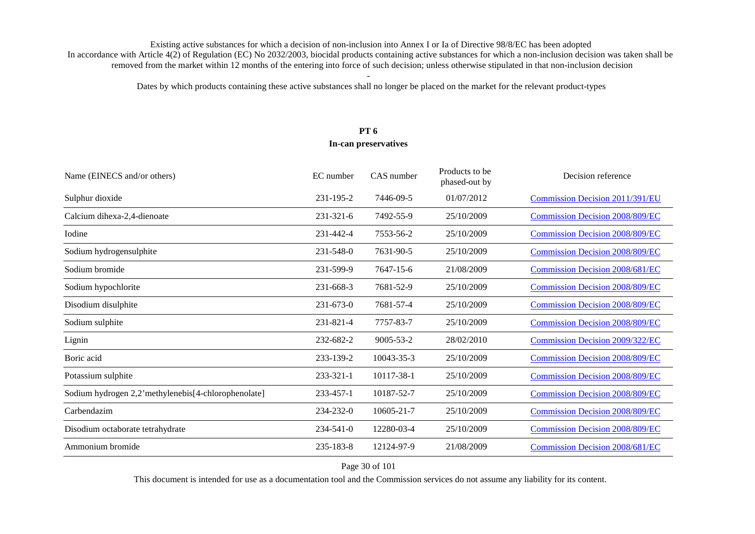Dates by which products containing these active substances shall no longer be placed on the market for the relevant product-types

# **PT 6**

#### **In-can preservatives**

| EC number       | CAS number | Products to be<br>phased-out by | Decision reference                     |
|-----------------|------------|---------------------------------|----------------------------------------|
| 231-195-2       | 7446-09-5  | 01/07/2012                      | Commission Decision 2011/391/EU        |
| 231-321-6       | 7492-55-9  | 25/10/2009                      | <b>Commission Decision 2008/809/EC</b> |
| 231-442-4       | 7553-56-2  | 25/10/2009                      | <b>Commission Decision 2008/809/EC</b> |
| 231-548-0       | 7631-90-5  | 25/10/2009                      | <b>Commission Decision 2008/809/EC</b> |
| 231-599-9       | 7647-15-6  | 21/08/2009                      | <b>Commission Decision 2008/681/EC</b> |
| 231-668-3       | 7681-52-9  | 25/10/2009                      | <b>Commission Decision 2008/809/EC</b> |
| $231 - 673 - 0$ | 7681-57-4  | 25/10/2009                      | <b>Commission Decision 2008/809/EC</b> |
| 231-821-4       | 7757-83-7  | 25/10/2009                      | <b>Commission Decision 2008/809/EC</b> |
| 232-682-2       | 9005-53-2  | 28/02/2010                      | <b>Commission Decision 2009/322/EC</b> |
| 233-139-2       | 10043-35-3 | 25/10/2009                      | <b>Commission Decision 2008/809/EC</b> |
| 233-321-1       | 10117-38-1 | 25/10/2009                      | <b>Commission Decision 2008/809/EC</b> |
| 233-457-1       | 10187-52-7 | 25/10/2009                      | <b>Commission Decision 2008/809/EC</b> |
| 234-232-0       | 10605-21-7 | 25/10/2009                      | <b>Commission Decision 2008/809/EC</b> |
| $234 - 541 - 0$ | 12280-03-4 | 25/10/2009                      | <b>Commission Decision 2008/809/EC</b> |
| 235-183-8       | 12124-97-9 | 21/08/2009                      | <b>Commission Decision 2008/681/EC</b> |
|                 |            |                                 |                                        |

Page 30 of 101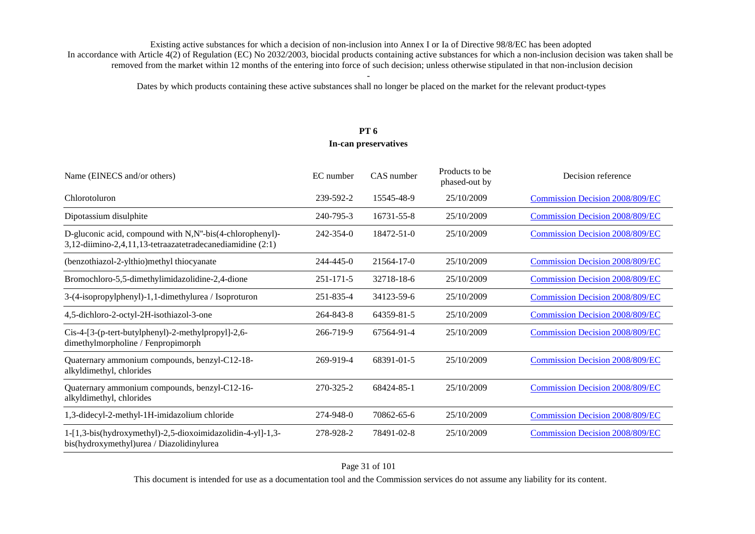Dates by which products containing these active substances shall no longer be placed on the market for the relevant product-types

# **PT 6**

| Name (EINECS and/or others)                                                                                           | EC number       | CAS number       | Products to be<br>phased-out by | Decision reference                     |
|-----------------------------------------------------------------------------------------------------------------------|-----------------|------------------|---------------------------------|----------------------------------------|
| Chlorotoluron                                                                                                         | 239-592-2       | 15545-48-9       | 25/10/2009                      | <b>Commission Decision 2008/809/EC</b> |
| Dipotassium disulphite                                                                                                | 240-795-3       | 16731-55-8       | 25/10/2009                      | <b>Commission Decision 2008/809/EC</b> |
| D-gluconic acid, compound with N,N"-bis(4-chlorophenyl)-<br>3,12-diimino-2,4,11,13-tetraazatetradecanediamidine (2:1) | $242 - 354 - 0$ | $18472 - 51 - 0$ | 25/10/2009                      | <b>Commission Decision 2008/809/EC</b> |
| (benzothiazol-2-ylthio)methyl thiocyanate                                                                             | $244 - 445 - 0$ | $21564 - 17 - 0$ | 25/10/2009                      | <b>Commission Decision 2008/809/EC</b> |
| Bromochloro-5,5-dimethylimidazolidine-2,4-dione                                                                       | $251 - 171 - 5$ | 32718-18-6       | 25/10/2009                      | <b>Commission Decision 2008/809/EC</b> |
| 3-(4-isopropylphenyl)-1,1-dimethylurea / Isoproturon                                                                  | 251-835-4       | 34123-59-6       | 25/10/2009                      | <b>Commission Decision 2008/809/EC</b> |
| 4,5-dichloro-2-octyl-2H-isothiazol-3-one                                                                              | 264-843-8       | 64359-81-5       | 25/10/2009                      | <b>Commission Decision 2008/809/EC</b> |
| Cis-4-[3-(p-tert-butylphenyl)-2-methylpropyl]-2,6-<br>dimethylmorpholine / Fenpropimorph                              | 266-719-9       | 67564-91-4       | 25/10/2009                      | <b>Commission Decision 2008/809/EC</b> |
| Quaternary ammonium compounds, benzyl-C12-18-<br>alkyldimethyl, chlorides                                             | 269-919-4       | 68391-01-5       | 25/10/2009                      | <b>Commission Decision 2008/809/EC</b> |
| Quaternary ammonium compounds, benzyl-C12-16-<br>alkyldimethyl, chlorides                                             | 270-325-2       | 68424-85-1       | 25/10/2009                      | <b>Commission Decision 2008/809/EC</b> |
| 1,3-didecyl-2-methyl-1H-imidazolium chloride                                                                          | 274-948-0       | 70862-65-6       | 25/10/2009                      | <b>Commission Decision 2008/809/EC</b> |
| 1-[1,3-bis(hydroxymethyl)-2,5-dioxoimidazolidin-4-yl]-1,3-<br>bis(hydroxymethyl)urea / Diazolidinylurea               | 278-928-2       | 78491-02-8       | 25/10/2009                      | <b>Commission Decision 2008/809/EC</b> |

#### Page 31 of 101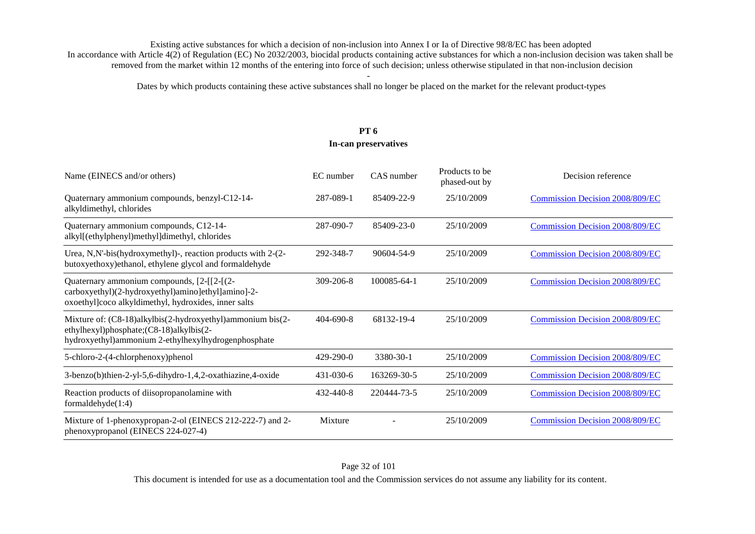Dates by which products containing these active substances shall no longer be placed on the market for the relevant product-types

# **PT 6**

#### **In-can preservatives**

| Name (EINECS and/or others)                                                                                                                                  | EC number       | CAS number  | Products to be<br>phased-out by | Decision reference                     |
|--------------------------------------------------------------------------------------------------------------------------------------------------------------|-----------------|-------------|---------------------------------|----------------------------------------|
| Quaternary ammonium compounds, benzyl-C12-14-<br>alkyldimethyl, chlorides                                                                                    | 287-089-1       | 85409-22-9  | 25/10/2009                      | <b>Commission Decision 2008/809/EC</b> |
| Quaternary ammonium compounds, C12-14-<br>alkyl[(ethylphenyl)methyl]dimethyl, chlorides                                                                      | 287-090-7       | 85409-23-0  | 25/10/2009                      | <b>Commission Decision 2008/809/EC</b> |
| Urea, N,N'-bis(hydroxymethyl)-, reaction products with 2-(2-<br>butoxyethoxy) ethanol, ethylene glycol and formaldehyde                                      | 292-348-7       | 90604-54-9  | 25/10/2009                      | <b>Commission Decision 2008/809/EC</b> |
| Quaternary ammonium compounds, [2-[[2-[(2-<br>carboxyethyl)(2-hydroxyethyl)amino]ethyl]amino]-2-<br>oxoethyl]coco alkyldimethyl, hydroxides, inner salts     | $309 - 206 - 8$ | 100085-64-1 | 25/10/2009                      | <b>Commission Decision 2008/809/EC</b> |
| Mixture of: (C8-18)alkylbis(2-hydroxyethyl)ammonium bis(2-<br>ethylhexyl)phosphate;(C8-18)alkylbis(2-<br>hydroxyethyl)ammonium 2-ethylhexylhydrogenphosphate | $404 - 690 - 8$ | 68132-19-4  | 25/10/2009                      | <b>Commission Decision 2008/809/EC</b> |
| 5-chloro-2-(4-chlorphenoxy)phenol                                                                                                                            | $429 - 290 - 0$ | 3380-30-1   | 25/10/2009                      | <b>Commission Decision 2008/809/EC</b> |
| 3-benzo(b)thien-2-yl-5,6-dihydro-1,4,2-oxathiazine,4-oxide                                                                                                   | 431-030-6       | 163269-30-5 | 25/10/2009                      | <b>Commission Decision 2008/809/EC</b> |
| Reaction products of diisopropanolamine with<br>formaldehyde $(1:4)$                                                                                         | $432 - 440 - 8$ | 220444-73-5 | 25/10/2009                      | <b>Commission Decision 2008/809/EC</b> |
| Mixture of 1-phenoxypropan-2-ol (EINECS 212-222-7) and 2-<br>phenoxypropanol (EINECS 224-027-4)                                                              | Mixture         |             | 25/10/2009                      | <b>Commission Decision 2008/809/EC</b> |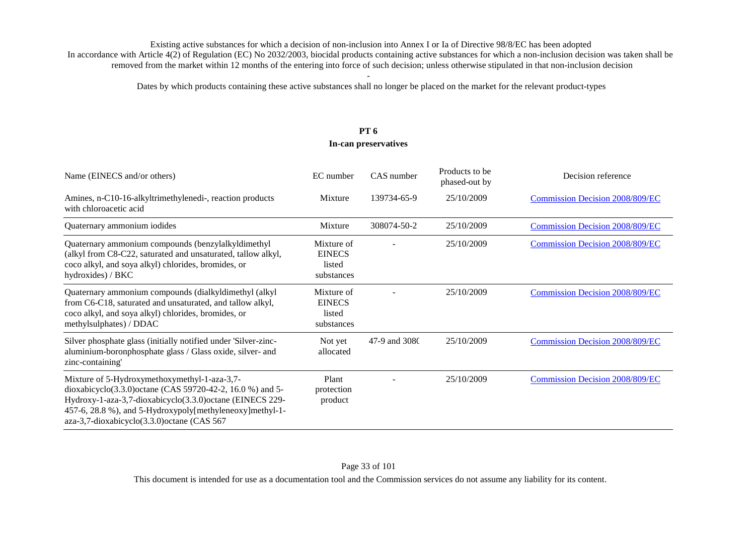Dates by which products containing these active substances shall no longer be placed on the market for the relevant product-types

#### **PT 6 In-can preservatives**

| Name (EINECS and/or others)                                                                                                                                                                                                                                                        | EC number                                           | CAS number    | Products to be<br>phased-out by | Decision reference                     |
|------------------------------------------------------------------------------------------------------------------------------------------------------------------------------------------------------------------------------------------------------------------------------------|-----------------------------------------------------|---------------|---------------------------------|----------------------------------------|
| Amines, n-C10-16-alkyltrimethylenedi-, reaction products<br>with chloroacetic acid                                                                                                                                                                                                 | Mixture                                             | 139734-65-9   | 25/10/2009                      | <b>Commission Decision 2008/809/EC</b> |
| Quaternary ammonium iodides                                                                                                                                                                                                                                                        | Mixture                                             | 308074-50-2   | 25/10/2009                      | Commission Decision 2008/809/EC        |
| Quaternary ammonium compounds (benzylalkyldimethyl<br>(alkyl from C8-C22, saturated and unsaturated, tallow alkyl,<br>coco alkyl, and soya alkyl) chlorides, bromides, or<br>hydroxides) / BKC                                                                                     | Mixture of<br><b>EINECS</b><br>listed<br>substances |               | 25/10/2009                      | <b>Commission Decision 2008/809/EC</b> |
| Quaternary ammonium compounds (dialkyldimethyl (alkyl<br>from C6-C18, saturated and unsaturated, and tallow alkyl,<br>coco alkyl, and soya alkyl) chlorides, bromides, or<br>methylsulphates) / DDAC                                                                               | Mixture of<br><b>EINECS</b><br>listed<br>substances |               | 25/10/2009                      | Commission Decision 2008/809/EC        |
| Silver phosphate glass (initially notified under 'Silver-zinc-<br>aluminium-boronphosphate glass / Glass oxide, silver- and<br>zinc-containing'                                                                                                                                    | Not yet<br>allocated                                | 47-9 and 3080 | 25/10/2009                      | <b>Commission Decision 2008/809/EC</b> |
| Mixture of 5-Hydroxymethoxymethyl-1-aza-3,7-<br>dioxabicyclo(3.3.0) octane (CAS 59720-42-2, 16.0 %) and 5-<br>Hydroxy-1-aza-3,7-dioxabicyclo(3.3.0) octane (EINECS 229-<br>457-6, 28.8 %), and 5-Hydroxypoly[methyleneoxy]methyl-1-<br>aza-3,7-dioxabicyclo(3.3.0) octane (CAS 567 | Plant<br>protection<br>product                      |               | 25/10/2009                      | <b>Commission Decision 2008/809/EC</b> |

This document is intended for use as a documentation tool and the Commission services do not assume any liability for its content.

#### Page 33 of 101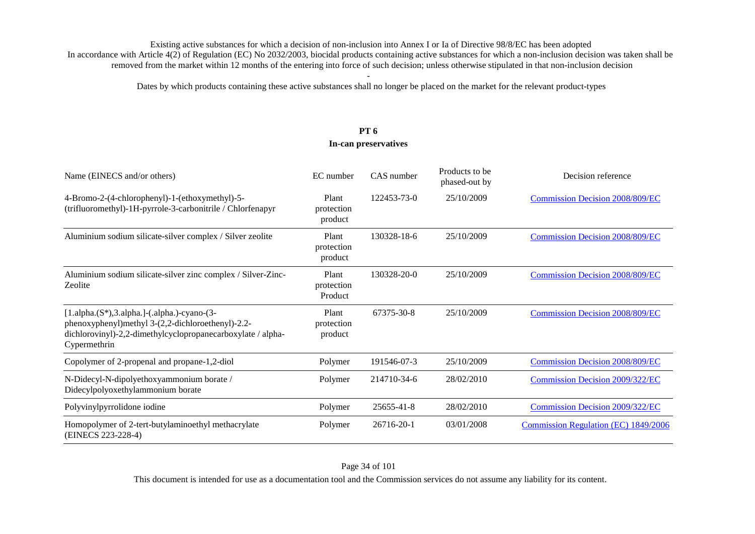Dates by which products containing these active substances shall no longer be placed on the market for the relevant product-types

# **PT 6 In-can preservatives**

| Name (EINECS and/or others)                                                                                                                                                        | EC number                      | CAS number  | Products to be<br>phased-out by | Decision reference                     |
|------------------------------------------------------------------------------------------------------------------------------------------------------------------------------------|--------------------------------|-------------|---------------------------------|----------------------------------------|
| 4-Bromo-2-(4-chlorophenyl)-1-(ethoxymethyl)-5-<br>(trifluoromethyl)-1H-pyrrole-3-carbonitrile / Chlorfenapyr                                                                       | Plant<br>protection<br>product | 122453-73-0 | 25/10/2009                      | <b>Commission Decision 2008/809/EC</b> |
| Aluminium sodium silicate-silver complex / Silver zeolite                                                                                                                          | Plant<br>protection<br>product | 130328-18-6 | 25/10/2009                      | <b>Commission Decision 2008/809/EC</b> |
| Aluminium sodium silicate-silver zinc complex / Silver-Zinc-<br>Zeolite                                                                                                            | Plant<br>protection<br>Product | 130328-20-0 | 25/10/2009                      | <b>Commission Decision 2008/809/EC</b> |
| $[1.aipha.(S*),3.aipha.]$ -(.alpha.)-cyano-(3-<br>phenoxyphenyl)methyl 3-(2,2-dichloroethenyl)-2.2-<br>dichlorovinyl)-2,2-dimethylcyclopropanecarboxylate / alpha-<br>Cypermethrin | Plant<br>protection<br>product | 67375-30-8  | 25/10/2009                      | <b>Commission Decision 2008/809/EC</b> |
| Copolymer of 2-propenal and propane-1,2-diol                                                                                                                                       | Polymer                        | 191546-07-3 | 25/10/2009                      | <b>Commission Decision 2008/809/EC</b> |
| N-Didecyl-N-dipolyethoxyammonium borate /<br>Didecylpolyoxethylammonium borate                                                                                                     | Polymer                        | 214710-34-6 | 28/02/2010                      | <b>Commission Decision 2009/322/EC</b> |
| Polyvinylpyrrolidone iodine                                                                                                                                                        | Polymer                        | 25655-41-8  | 28/02/2010                      | Commission Decision 2009/322/EC        |
| Homopolymer of 2-tert-butylaminoethyl methacrylate<br>(EINECS 223-228-4)                                                                                                           | Polymer                        | 26716-20-1  | 03/01/2008                      | Commission Regulation (EC) 1849/2006   |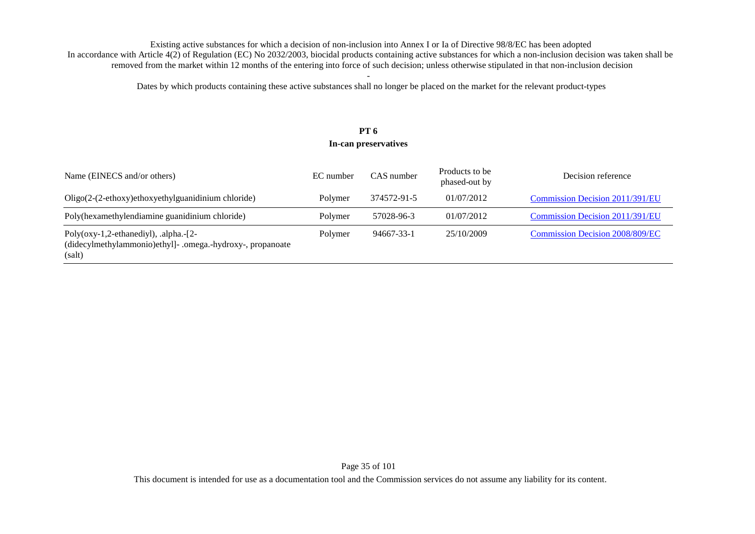Dates by which products containing these active substances shall no longer be placed on the market for the relevant product-types

## **PT 6 In-can preservatives**

| Name (EINECS and/or others)                                                                                          | EC number | CAS number  | Products to be<br>phased-out by | Decision reference                     |
|----------------------------------------------------------------------------------------------------------------------|-----------|-------------|---------------------------------|----------------------------------------|
| $Oligo(2-(2-ethoxy)ethoxyethylguanidinium chloride)$                                                                 | Polymer   | 374572-91-5 | 01/07/2012                      | Commission Decision 2011/391/EU        |
| Poly(hexamethylendiamine guanidinium chloride)                                                                       | Polymer   | 57028-96-3  | 01/07/2012                      | Commission Decision 2011/391/EU        |
| Poly( $oxy-1,2$ -ethanediyl), .alpha.- $[2-$<br>(didecylmethylammonio)ethyl]- .omega.-hydroxy-, propanoate<br>(salt) | Polymer   | 94667-33-1  | 25/10/2009                      | <b>Commission Decision 2008/809/EC</b> |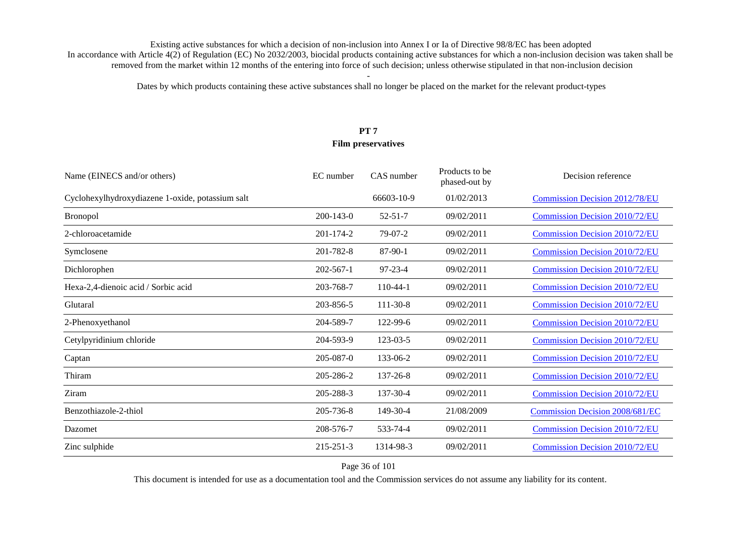Dates by which products containing these active substances shall no longer be placed on the market for the relevant product-types

# **PT 7 Film preservatives**

| Name (EINECS and/or others)                      | EC number       | CAS number    | Products to be<br>phased-out by | Decision reference                     |
|--------------------------------------------------|-----------------|---------------|---------------------------------|----------------------------------------|
| Cyclohexylhydroxydiazene 1-oxide, potassium salt |                 | 66603-10-9    | 01/02/2013                      | <b>Commission Decision 2012/78/EU</b>  |
| <b>Bronopol</b>                                  | $200 - 143 - 0$ | $52 - 51 - 7$ | 09/02/2011                      | <b>Commission Decision 2010/72/EU</b>  |
| 2-chloroacetamide                                | 201-174-2       | $79-07-2$     | 09/02/2011                      | <b>Commission Decision 2010/72/EU</b>  |
| Symclosene                                       | 201-782-8       | $87-90-1$     | 09/02/2011                      | <b>Commission Decision 2010/72/EU</b>  |
| Dichlorophen                                     | $202 - 567 - 1$ | 97-23-4       | 09/02/2011                      | <b>Commission Decision 2010/72/EU</b>  |
| Hexa-2,4-dienoic acid / Sorbic acid              | 203-768-7       | $110-44-1$    | 09/02/2011                      | <b>Commission Decision 2010/72/EU</b>  |
| Glutaral                                         | 203-856-5       | 111-30-8      | 09/02/2011                      | Commission Decision 2010/72/EU         |
| 2-Phenoxyethanol                                 | 204-589-7       | 122-99-6      | 09/02/2011                      | <b>Commission Decision 2010/72/EU</b>  |
| Cetylpyridinium chloride                         | 204-593-9       | 123-03-5      | 09/02/2011                      | <b>Commission Decision 2010/72/EU</b>  |
| Captan                                           | $205 - 087 - 0$ | 133-06-2      | 09/02/2011                      | <b>Commission Decision 2010/72/EU</b>  |
| Thiram                                           | 205-286-2       | 137-26-8      | 09/02/2011                      | <b>Commission Decision 2010/72/EU</b>  |
| Ziram                                            | 205-288-3       | 137-30-4      | 09/02/2011                      | <b>Commission Decision 2010/72/EU</b>  |
| Benzothiazole-2-thiol                            | 205-736-8       | 149-30-4      | 21/08/2009                      | <b>Commission Decision 2008/681/EC</b> |
| Dazomet                                          | 208-576-7       | 533-74-4      | 09/02/2011                      | <b>Commission Decision 2010/72/EU</b>  |
| Zinc sulphide                                    | $215 - 251 - 3$ | 1314-98-3     | 09/02/2011                      | <b>Commission Decision 2010/72/EU</b>  |

Page 36 of 101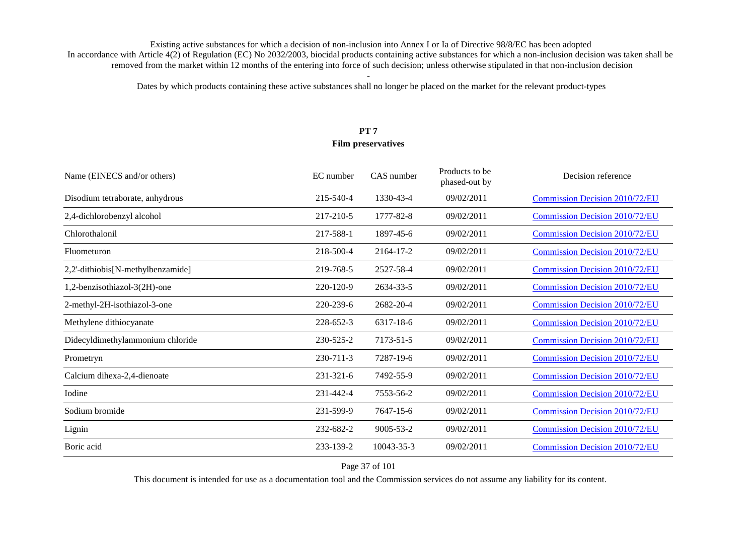Dates by which products containing these active substances shall no longer be placed on the market for the relevant product-types

# **PT 7 Film preservatives**

| Name (EINECS and/or others)       | EC number | CAS number      | Products to be<br>phased-out by | Decision reference                    |
|-----------------------------------|-----------|-----------------|---------------------------------|---------------------------------------|
| Disodium tetraborate, anhydrous   | 215-540-4 | 1330-43-4       | 09/02/2011                      | Commission Decision 2010/72/EU        |
| 2,4-dichlorobenzyl alcohol        | 217-210-5 | 1777-82-8       | 09/02/2011                      | <b>Commission Decision 2010/72/EU</b> |
| Chlorothalonil                    | 217-588-1 | 1897-45-6       | 09/02/2011                      | <b>Commission Decision 2010/72/EU</b> |
| Fluometuron                       | 218-500-4 | 2164-17-2       | 09/02/2011                      | <b>Commission Decision 2010/72/EU</b> |
| 2,2'-dithiobis[N-methylbenzamide] | 219-768-5 | 2527-58-4       | 09/02/2011                      | <b>Commission Decision 2010/72/EU</b> |
| 1,2-benzisothiazol-3(2H)-one      | 220-120-9 | 2634-33-5       | 09/02/2011                      | <b>Commission Decision 2010/72/EU</b> |
| 2-methyl-2H-isothiazol-3-one      | 220-239-6 | 2682-20-4       | 09/02/2011                      | <b>Commission Decision 2010/72/EU</b> |
| Methylene dithiocyanate           | 228-652-3 | 6317-18-6       | 09/02/2011                      | Commission Decision 2010/72/EU        |
| Didecyldimethylammonium chloride  | 230-525-2 | 7173-51-5       | 09/02/2011                      | <b>Commission Decision 2010/72/EU</b> |
| Prometryn                         | 230-711-3 | 7287-19-6       | 09/02/2011                      | Commission Decision 2010/72/EU        |
| Calcium dihexa-2,4-dienoate       | 231-321-6 | 7492-55-9       | 09/02/2011                      | <b>Commission Decision 2010/72/EU</b> |
| Iodine                            | 231-442-4 | 7553-56-2       | 09/02/2011                      | <b>Commission Decision 2010/72/EU</b> |
| Sodium bromide                    | 231-599-9 | 7647-15-6       | 09/02/2011                      | <b>Commission Decision 2010/72/EU</b> |
| Lignin                            | 232-682-2 | $9005 - 53 - 2$ | 09/02/2011                      | <b>Commission Decision 2010/72/EU</b> |
| Boric acid                        | 233-139-2 | 10043-35-3      | 09/02/2011                      | <b>Commission Decision 2010/72/EU</b> |

### Page 37 of 101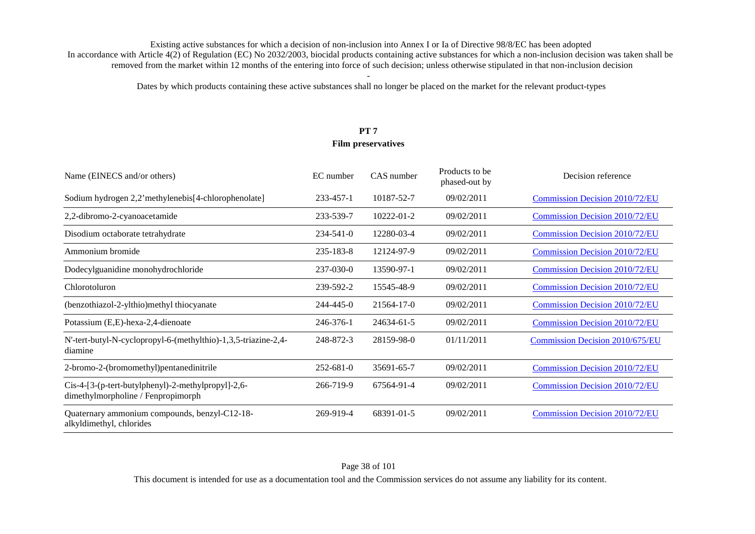Dates by which products containing these active substances shall no longer be placed on the market for the relevant product-types

# **PT 7 Film preservatives**

| Name (EINECS and/or others)                                                              | EC number       | CAS number | Products to be<br>phased-out by | Decision reference                    |
|------------------------------------------------------------------------------------------|-----------------|------------|---------------------------------|---------------------------------------|
| Sodium hydrogen 2,2'methylenebis[4-chlorophenolate]                                      | 233-457-1       | 10187-52-7 | 09/02/2011                      | Commission Decision 2010/72/EU        |
| 2,2-dibromo-2-cyanoacetamide                                                             | 233-539-7       | 10222-01-2 | 09/02/2011                      | <b>Commission Decision 2010/72/EU</b> |
| Disodium octaborate tetrahydrate                                                         | $234 - 541 - 0$ | 12280-03-4 | 09/02/2011                      | <b>Commission Decision 2010/72/EU</b> |
| Ammonium bromide                                                                         | $235 - 183 - 8$ | 12124-97-9 | 09/02/2011                      | <b>Commission Decision 2010/72/EU</b> |
| Dodecylguanidine monohydrochloride                                                       | 237-030-0       | 13590-97-1 | 09/02/2011                      | <b>Commission Decision 2010/72/EU</b> |
| Chlorotoluron                                                                            | 239-592-2       | 15545-48-9 | 09/02/2011                      | <b>Commission Decision 2010/72/EU</b> |
| (benzothiazol-2-ylthio) methyl thiocyanate                                               | 244-445-0       | 21564-17-0 | 09/02/2011                      | <b>Commission Decision 2010/72/EU</b> |
| Potassium (E,E)-hexa-2,4-dienoate                                                        | 246-376-1       | 24634-61-5 | 09/02/2011                      | <b>Commission Decision 2010/72/EU</b> |
| N'-tert-butyl-N-cyclopropyl-6-(methylthio)-1,3,5-triazine-2,4-<br>diamine                | 248-872-3       | 28159-98-0 | 01/11/2011                      | Commission Decision 2010/675/EU       |
| 2-bromo-2-(bromomethyl)pentanedinitrile                                                  | $252 - 681 - 0$ | 35691-65-7 | 09/02/2011                      | <b>Commission Decision 2010/72/EU</b> |
| Cis-4-[3-(p-tert-butylphenyl)-2-methylpropyl]-2,6-<br>dimethylmorpholine / Fenpropimorph | 266-719-9       | 67564-91-4 | 09/02/2011                      | <b>Commission Decision 2010/72/EU</b> |
| Quaternary ammonium compounds, benzyl-C12-18-<br>alkyldimethyl, chlorides                | 269-919-4       | 68391-01-5 | 09/02/2011                      | <b>Commission Decision 2010/72/EU</b> |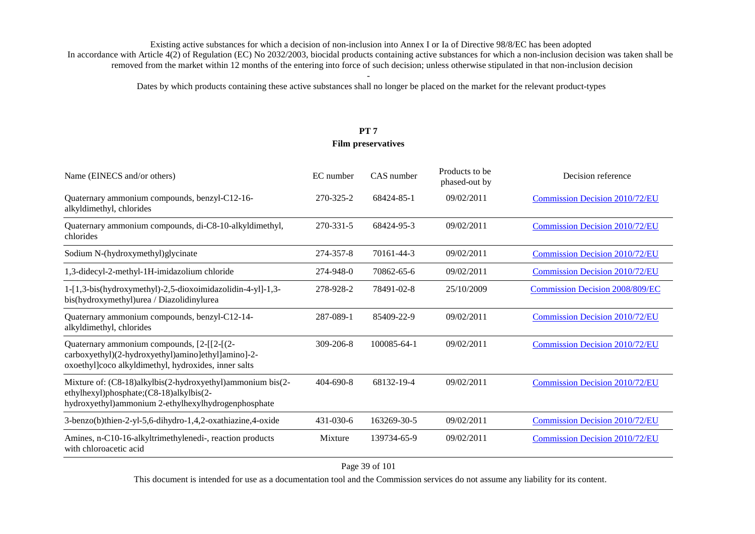Dates by which products containing these active substances shall no longer be placed on the market for the relevant product-types

# **PT 7 Film preservatives**

| Name (EINECS and/or others)                                                                                                                                  | EC number | CAS number  | Products to be<br>phased-out by | Decision reference                     |
|--------------------------------------------------------------------------------------------------------------------------------------------------------------|-----------|-------------|---------------------------------|----------------------------------------|
| Quaternary ammonium compounds, benzyl-C12-16-<br>alkyldimethyl, chlorides                                                                                    | 270-325-2 | 68424-85-1  | 09/02/2011                      | <b>Commission Decision 2010/72/EU</b>  |
| Quaternary ammonium compounds, di-C8-10-alkyldimethyl,<br>chlorides                                                                                          | 270-331-5 | 68424-95-3  | 09/02/2011                      | <b>Commission Decision 2010/72/EU</b>  |
| Sodium N-(hydroxymethyl) glycinate                                                                                                                           | 274-357-8 | 70161-44-3  | 09/02/2011                      | <b>Commission Decision 2010/72/EU</b>  |
| 1,3-didecyl-2-methyl-1H-imidazolium chloride                                                                                                                 | 274-948-0 | 70862-65-6  | 09/02/2011                      | <b>Commission Decision 2010/72/EU</b>  |
| 1-[1,3-bis(hydroxymethyl)-2,5-dioxoimidazolidin-4-yl]-1,3-<br>bis(hydroxymethyl)urea / Diazolidinylurea                                                      | 278-928-2 | 78491-02-8  | 25/10/2009                      | <b>Commission Decision 2008/809/EC</b> |
| Quaternary ammonium compounds, benzyl-C12-14-<br>alkyldimethyl, chlorides                                                                                    | 287-089-1 | 85409-22-9  | 09/02/2011                      | Commission Decision 2010/72/EU         |
| Quaternary ammonium compounds, [2-[[2-[(2-<br>carboxyethyl)(2-hydroxyethyl)amino]ethyl]amino]-2-<br>oxoethyl]coco alkyldimethyl, hydroxides, inner salts     | 309-206-8 | 100085-64-1 | 09/02/2011                      | <b>Commission Decision 2010/72/EU</b>  |
| Mixture of: (C8-18)alkylbis(2-hydroxyethyl)ammonium bis(2-<br>ethylhexyl)phosphate;(C8-18)alkylbis(2-<br>hydroxyethyl)ammonium 2-ethylhexylhydrogenphosphate | 404-690-8 | 68132-19-4  | 09/02/2011                      | <b>Commission Decision 2010/72/EU</b>  |
| 3-benzo(b)thien-2-yl-5,6-dihydro-1,4,2-oxathiazine,4-oxide                                                                                                   | 431-030-6 | 163269-30-5 | 09/02/2011                      | <b>Commission Decision 2010/72/EU</b>  |
| Amines, n-C10-16-alkyltrimethylenedi-, reaction products<br>with chloroacetic acid                                                                           | Mixture   | 139734-65-9 | 09/02/2011                      | <b>Commission Decision 2010/72/EU</b>  |

Page 39 of 101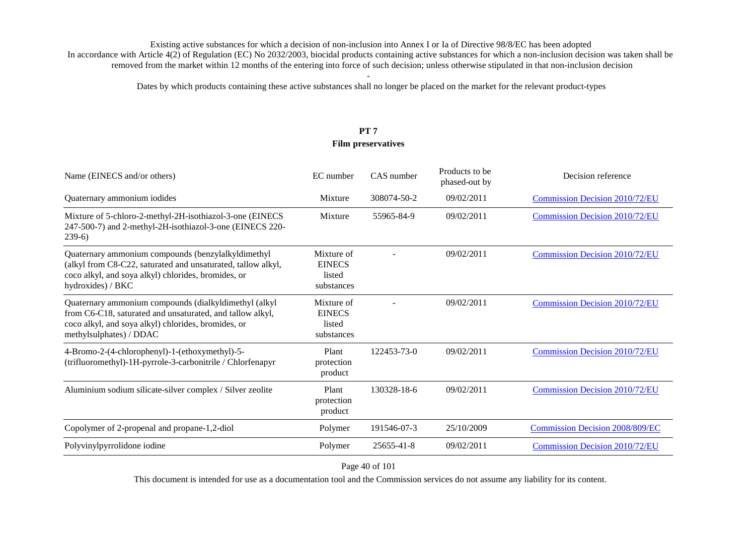Dates by which products containing these active substances shall no longer be placed on the market for the relevant product-types

# **PT 7 Film preservatives**

| Name (EINECS and/or others)                                                                                                                                                                          | EC number                                           | CAS number  | Products to be<br>phased-out by | Decision reference                     |
|------------------------------------------------------------------------------------------------------------------------------------------------------------------------------------------------------|-----------------------------------------------------|-------------|---------------------------------|----------------------------------------|
| Quaternary ammonium iodides                                                                                                                                                                          | Mixture                                             | 308074-50-2 | 09/02/2011                      | <b>Commission Decision 2010/72/EU</b>  |
| Mixture of 5-chloro-2-methyl-2H-isothiazol-3-one (EINECS<br>247-500-7) and 2-methyl-2H-isothiazol-3-one (EINECS 220-<br>$239-6$                                                                      | Mixture                                             | 55965-84-9  | 09/02/2011                      | <b>Commission Decision 2010/72/EU</b>  |
| Quaternary ammonium compounds (benzylalkyldimethyl<br>(alkyl from C8-C22, saturated and unsaturated, tallow alkyl,<br>coco alkyl, and soya alkyl) chlorides, bromides, or<br>hydroxides) / BKC       | Mixture of<br><b>EINECS</b><br>listed<br>substances |             | 09/02/2011                      | <b>Commission Decision 2010/72/EU</b>  |
| Quaternary ammonium compounds (dialkyldimethyl (alkyl<br>from C6-C18, saturated and unsaturated, and tallow alkyl,<br>coco alkyl, and soya alkyl) chlorides, bromides, or<br>methylsulphates) / DDAC | Mixture of<br><b>EINECS</b><br>listed<br>substances |             | 09/02/2011                      | <b>Commission Decision 2010/72/EU</b>  |
| 4-Bromo-2-(4-chlorophenyl)-1-(ethoxymethyl)-5-<br>(trifluoromethyl)-1H-pyrrole-3-carbonitrile / Chlorfenapyr                                                                                         | Plant<br>protection<br>product                      | 122453-73-0 | 09/02/2011                      | <b>Commission Decision 2010/72/EU</b>  |
| Aluminium sodium silicate-silver complex / Silver zeolite                                                                                                                                            | Plant<br>protection<br>product                      | 130328-18-6 | 09/02/2011                      | <b>Commission Decision 2010/72/EU</b>  |
| Copolymer of 2-propenal and propane-1,2-diol                                                                                                                                                         | Polymer                                             | 191546-07-3 | 25/10/2009                      | <b>Commission Decision 2008/809/EC</b> |
| Polyvinylpyrrolidone iodine                                                                                                                                                                          | Polymer                                             | 25655-41-8  | 09/02/2011                      | <b>Commission Decision 2010/72/EU</b>  |

Page 40 of 101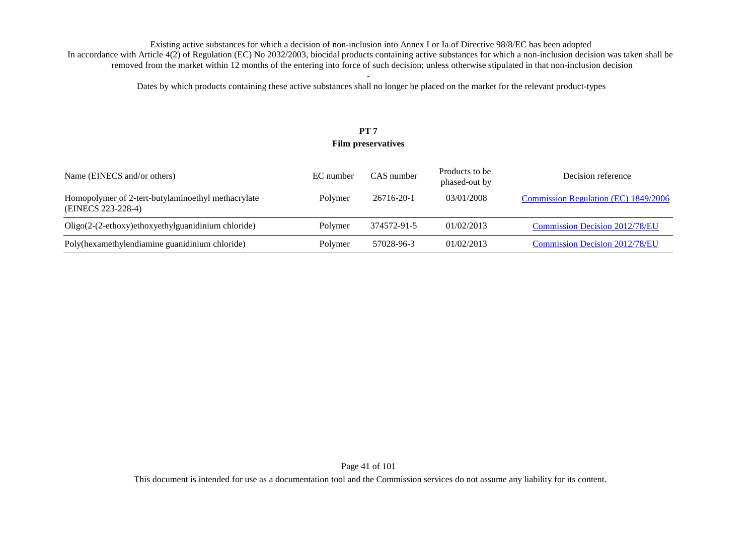Dates by which products containing these active substances shall no longer be placed on the market for the relevant product-types

# **PT 7 Film preservatives**

| Name (EINECS and/or others)                                              | EC number | CAS number  | Products to be<br>phased-out by | Decision reference                    |
|--------------------------------------------------------------------------|-----------|-------------|---------------------------------|---------------------------------------|
| Homopolymer of 2-tert-butylaminoethyl methacrylate<br>(EINECS 223-228-4) | Polymer   | 26716-20-1  | 03/01/2008                      | Commission Regulation (EC) 1849/2006  |
| Oligo(2-(2-ethoxy)ethoxyethylguanidinium chloride)                       | Polymer   | 374572-91-5 | 01/02/2013                      | <b>Commission Decision 2012/78/EU</b> |
| Poly(hexamethylendiamine guanidinium chloride)                           | Polymer   | 57028-96-3  | 01/02/2013                      | <b>Commission Decision 2012/78/EU</b> |

Page 41 of 101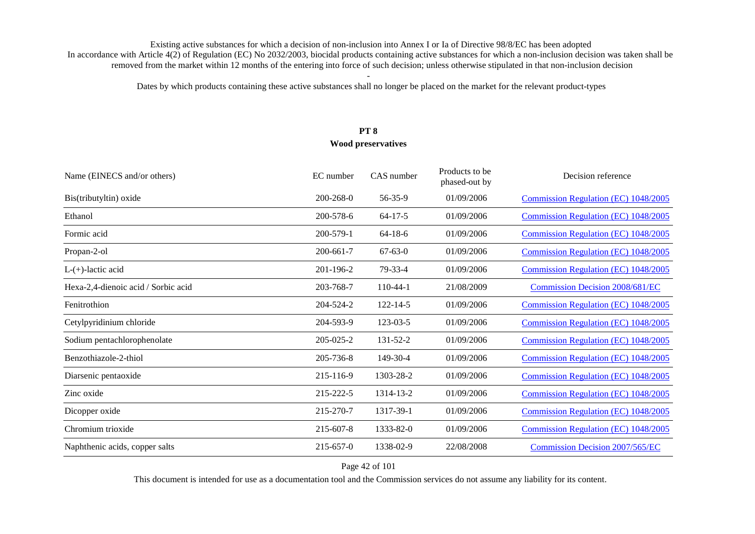Dates by which products containing these active substances shall no longer be placed on the market for the relevant product-types

# **PT 8 Wood preservatives**

| Name (EINECS and/or others)         | EC number       | CAS number     | Products to be<br>phased-out by | Decision reference                     |
|-------------------------------------|-----------------|----------------|---------------------------------|----------------------------------------|
| Bis(tributyltin) oxide              | $200 - 268 - 0$ | 56-35-9        | 01/09/2006                      | Commission Regulation (EC) 1048/2005   |
| Ethanol                             | 200-578-6       | $64 - 17 - 5$  | 01/09/2006                      | Commission Regulation (EC) 1048/2005   |
| Formic acid                         | 200-579-1       | $64-18-6$      | 01/09/2006                      | Commission Regulation (EC) 1048/2005   |
| Propan-2-ol                         | 200-661-7       | $67 - 63 - 0$  | 01/09/2006                      | Commission Regulation (EC) 1048/2005   |
| $L-(+)$ -lactic acid                | 201-196-2       | $79 - 33 - 4$  | 01/09/2006                      | Commission Regulation (EC) 1048/2005   |
| Hexa-2,4-dienoic acid / Sorbic acid | 203-768-7       | $110-44-1$     | 21/08/2009                      | <b>Commission Decision 2008/681/EC</b> |
| Fenitrothion                        | 204-524-2       | $122 - 14 - 5$ | 01/09/2006                      | Commission Regulation (EC) 1048/2005   |
| Cetylpyridinium chloride            | 204-593-9       | 123-03-5       | 01/09/2006                      | Commission Regulation (EC) 1048/2005   |
| Sodium pentachlorophenolate         | 205-025-2       | 131-52-2       | 01/09/2006                      | Commission Regulation (EC) 1048/2005   |
| Benzothiazole-2-thiol               | 205-736-8       | 149-30-4       | 01/09/2006                      | Commission Regulation (EC) 1048/2005   |
| Diarsenic pentaoxide                | 215-116-9       | 1303-28-2      | 01/09/2006                      | Commission Regulation (EC) 1048/2005   |
| Zinc oxide                          | 215-222-5       | 1314-13-2      | 01/09/2006                      | Commission Regulation (EC) 1048/2005   |
| Dicopper oxide                      | 215-270-7       | 1317-39-1      | 01/09/2006                      | Commission Regulation (EC) 1048/2005   |
| Chromium trioxide                   | 215-607-8       | 1333-82-0      | 01/09/2006                      | Commission Regulation (EC) 1048/2005   |
| Naphthenic acids, copper salts      | $215 - 657 - 0$ | 1338-02-9      | 22/08/2008                      | <b>Commission Decision 2007/565/EC</b> |

### Page 42 of 101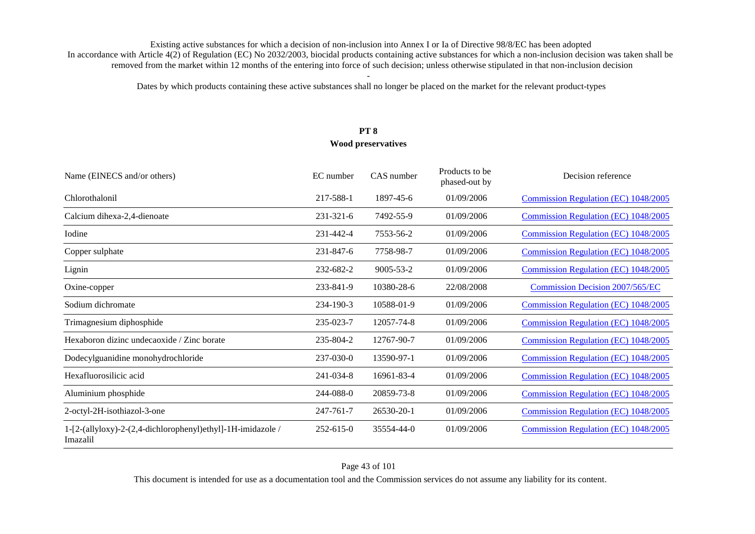Dates by which products containing these active substances shall no longer be placed on the market for the relevant product-types

# **PT 8 Wood preservatives**

| Name (EINECS and/or others)                                             | EC number       | CAS number      | Products to be<br>phased-out by | Decision reference                          |
|-------------------------------------------------------------------------|-----------------|-----------------|---------------------------------|---------------------------------------------|
| Chlorothalonil                                                          | 217-588-1       | 1897-45-6       | 01/09/2006                      | Commission Regulation (EC) 1048/2005        |
| Calcium dihexa-2,4-dienoate                                             | $231 - 321 - 6$ | 7492-55-9       | 01/09/2006                      | Commission Regulation (EC) 1048/2005        |
| Iodine                                                                  | 231-442-4       | 7553-56-2       | 01/09/2006                      | Commission Regulation (EC) 1048/2005        |
| Copper sulphate                                                         | 231-847-6       | 7758-98-7       | 01/09/2006                      | <b>Commission Regulation (EC) 1048/2005</b> |
| Lignin                                                                  | 232-682-2       | $9005 - 53 - 2$ | 01/09/2006                      | Commission Regulation (EC) 1048/2005        |
| Oxine-copper                                                            | 233-841-9       | 10380-28-6      | 22/08/2008                      | <b>Commission Decision 2007/565/EC</b>      |
| Sodium dichromate                                                       | 234-190-3       | 10588-01-9      | 01/09/2006                      | Commission Regulation (EC) 1048/2005        |
| Trimagnesium diphosphide                                                | 235-023-7       | 12057-74-8      | 01/09/2006                      | Commission Regulation (EC) 1048/2005        |
| Hexaboron dizinc undecaoxide / Zinc borate                              | 235-804-2       | 12767-90-7      | 01/09/2006                      | Commission Regulation (EC) 1048/2005        |
| Dodecylguanidine monohydrochloride                                      | 237-030-0       | 13590-97-1      | 01/09/2006                      | Commission Regulation (EC) 1048/2005        |
| Hexafluorosilicic acid                                                  | 241-034-8       | 16961-83-4      | 01/09/2006                      | <b>Commission Regulation (EC) 1048/2005</b> |
| Aluminium phosphide                                                     | 244-088-0       | 20859-73-8      | 01/09/2006                      | Commission Regulation (EC) 1048/2005        |
| 2-octyl-2H-isothiazol-3-one                                             | 247-761-7       | 26530-20-1      | 01/09/2006                      | Commission Regulation (EC) 1048/2005        |
| 1-[2-(allyloxy)-2-(2,4-dichlorophenyl)ethyl]-1H-imidazole /<br>Imazalil | $252 - 615 - 0$ | 35554-44-0      | 01/09/2006                      | Commission Regulation (EC) 1048/2005        |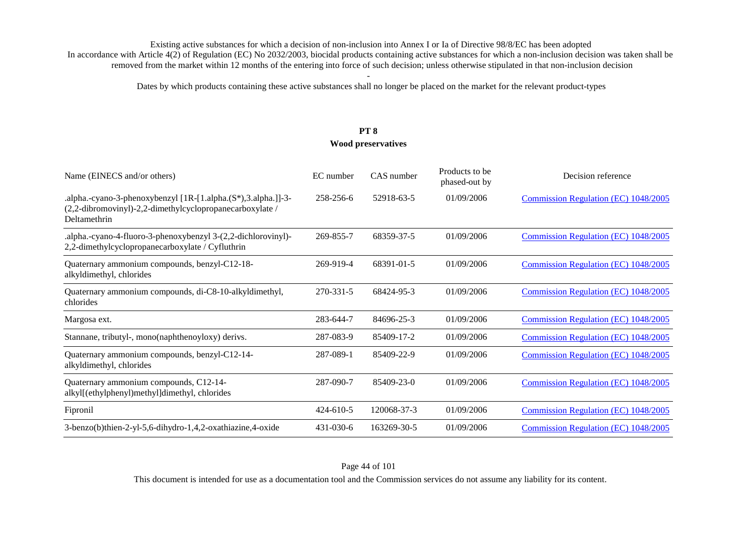Dates by which products containing these active substances shall no longer be placed on the market for the relevant product-types

# **PT 8 Wood preservatives**

| Name (EINECS and/or others)                                                                                                               | EC number       | CAS number  | Products to be<br>phased-out by | Decision reference                   |
|-------------------------------------------------------------------------------------------------------------------------------------------|-----------------|-------------|---------------------------------|--------------------------------------|
| .alpha.-cyano-3-phenoxybenzyl [1R-[1.alpha.(S*),3.alpha.]]-3-<br>(2,2-dibromovinyl)-2,2-dimethylcyclopropanecarboxylate /<br>Deltamethrin | 258-256-6       | 52918-63-5  | 01/09/2006                      | Commission Regulation (EC) 1048/2005 |
| .alpha.-cyano-4-fluoro-3-phenoxybenzyl 3-(2,2-dichlorovinyl)-<br>2,2-dimethylcyclopropanecarboxylate / Cyfluthrin                         | 269-855-7       | 68359-37-5  | 01/09/2006                      | Commission Regulation (EC) 1048/2005 |
| Quaternary ammonium compounds, benzyl-C12-18-<br>alkyldimethyl, chlorides                                                                 | 269-919-4       | 68391-01-5  | 01/09/2006                      | Commission Regulation (EC) 1048/2005 |
| Quaternary ammonium compounds, di-C8-10-alkyldimethyl,<br>chlorides                                                                       | 270-331-5       | 68424-95-3  | 01/09/2006                      | Commission Regulation (EC) 1048/2005 |
| Margosa ext.                                                                                                                              | 283-644-7       | 84696-25-3  | 01/09/2006                      | Commission Regulation (EC) 1048/2005 |
| Stannane, tributyl-, mono(naphthenoyloxy) derivs.                                                                                         | 287-083-9       | 85409-17-2  | 01/09/2006                      | Commission Regulation (EC) 1048/2005 |
| Quaternary ammonium compounds, benzyl-C12-14-<br>alkyldimethyl, chlorides                                                                 | 287-089-1       | 85409-22-9  | 01/09/2006                      | Commission Regulation (EC) 1048/2005 |
| Quaternary ammonium compounds, C12-14-<br>alkyl[(ethylphenyl)methyl]dimethyl, chlorides                                                   | 287-090-7       | 85409-23-0  | 01/09/2006                      | Commission Regulation (EC) 1048/2005 |
| Fipronil                                                                                                                                  | $424 - 610 - 5$ | 120068-37-3 | 01/09/2006                      | Commission Regulation (EC) 1048/2005 |
| 3-benzo(b)thien-2-yl-5,6-dihydro-1,4,2-oxathiazine,4-oxide                                                                                | $431 - 030 - 6$ | 163269-30-5 | 01/09/2006                      | Commission Regulation (EC) 1048/2005 |

### Page 44 of 101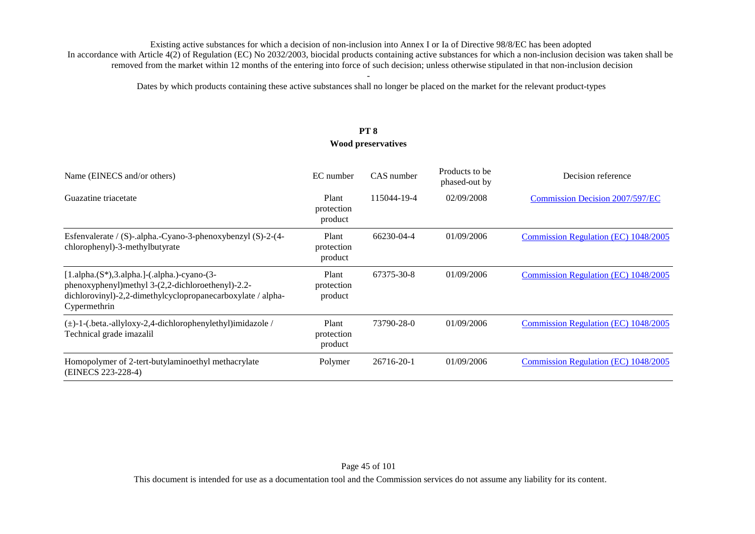Dates by which products containing these active substances shall no longer be placed on the market for the relevant product-types

# **PT 8**

### **Wood preservatives**

| Name (EINECS and/or others)                                                                                                                                                       | EC number                      | CAS number  | Products to be<br>phased-out by | Decision reference                     |
|-----------------------------------------------------------------------------------------------------------------------------------------------------------------------------------|--------------------------------|-------------|---------------------------------|----------------------------------------|
| Guazatine triacetate                                                                                                                                                              | Plant<br>protection<br>product | 115044-19-4 | 02/09/2008                      | <b>Commission Decision 2007/597/EC</b> |
| Esfenvalerate / (S)-.alpha.-Cyano-3-phenoxybenzyl (S)-2-(4-<br>chlorophenyl)-3-methylbutyrate                                                                                     | Plant<br>protection<br>product | 66230-04-4  | 01/09/2006                      | Commission Regulation (EC) 1048/2005   |
| $[1.alpha.(S*),3.alpha.]-(.alpha.)-cyano-(3-$<br>phenoxyphenyl)methyl 3-(2,2-dichloroethenyl)-2.2-<br>dichlorovinyl)-2,2-dimethylcyclopropanecarboxylate / alpha-<br>Cypermethrin | Plant<br>protection<br>product | 67375-30-8  | 01/09/2006                      | Commission Regulation (EC) 1048/2005   |
| (±)-1-(.beta.-allyloxy-2,4-dichlorophenylethyl)imidazole /<br>Technical grade imazalil                                                                                            | Plant<br>protection<br>product | 73790-28-0  | 01/09/2006                      | Commission Regulation (EC) 1048/2005   |
| Homopolymer of 2-tert-butylaminoethyl methacrylate<br>(EINECS 223-228-4)                                                                                                          | Polymer                        | 26716-20-1  | 01/09/2006                      | Commission Regulation (EC) 1048/2005   |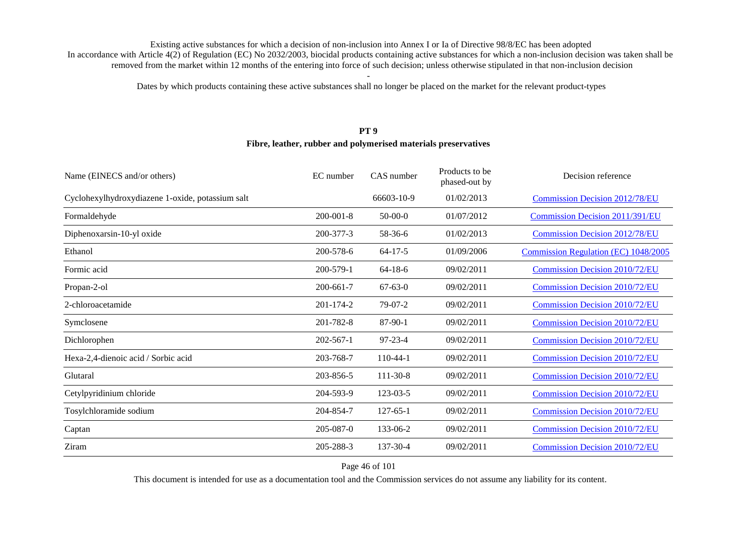Dates by which products containing these active substances shall no longer be placed on the market for the relevant product-types

#### **PT 9**

#### **Fibre, leather, rubber and polymerised materials preservatives**

| Name (EINECS and/or others)                      | EC number       | CAS number     | Products to be<br>phased-out by | Decision reference                     |
|--------------------------------------------------|-----------------|----------------|---------------------------------|----------------------------------------|
| Cyclohexylhydroxydiazene 1-oxide, potassium salt |                 | 66603-10-9     | 01/02/2013                      | <b>Commission Decision 2012/78/EU</b>  |
| Formaldehyde                                     | $200 - 001 - 8$ | $50-00-0$      | 01/07/2012                      | <b>Commission Decision 2011/391/EU</b> |
| Diphenoxarsin-10-yl oxide                        | 200-377-3       | 58-36-6        | 01/02/2013                      | <b>Commission Decision 2012/78/EU</b>  |
| Ethanol                                          | 200-578-6       | $64 - 17 - 5$  | 01/09/2006                      | Commission Regulation (EC) 1048/2005   |
| Formic acid                                      | 200-579-1       | $64-18-6$      | 09/02/2011                      | <b>Commission Decision 2010/72/EU</b>  |
| Propan-2-ol                                      | 200-661-7       | $67 - 63 - 0$  | 09/02/2011                      | <b>Commission Decision 2010/72/EU</b>  |
| 2-chloroacetamide                                | 201-174-2       | $79-07-2$      | 09/02/2011                      | Commission Decision 2010/72/EU         |
| Symclosene                                       | 201-782-8       | 87-90-1        | 09/02/2011                      | <b>Commission Decision 2010/72/EU</b>  |
| Dichlorophen                                     | $202 - 567 - 1$ | $97 - 23 - 4$  | 09/02/2011                      | <b>Commission Decision 2010/72/EU</b>  |
| Hexa-2,4-dienoic acid / Sorbic acid              | 203-768-7       | $110-44-1$     | 09/02/2011                      | <b>Commission Decision 2010/72/EU</b>  |
| Glutaral                                         | 203-856-5       | 111-30-8       | 09/02/2011                      | <b>Commission Decision 2010/72/EU</b>  |
| Cetylpyridinium chloride                         | 204-593-9       | 123-03-5       | 09/02/2011                      | <b>Commission Decision 2010/72/EU</b>  |
| Tosylchloramide sodium                           | 204-854-7       | $127 - 65 - 1$ | 09/02/2011                      | <b>Commission Decision 2010/72/EU</b>  |
| Captan                                           | 205-087-0       | 133-06-2       | 09/02/2011                      | <b>Commission Decision 2010/72/EU</b>  |
| Ziram                                            | 205-288-3       | 137-30-4       | 09/02/2011                      | <b>Commission Decision 2010/72/EU</b>  |

Page 46 of 101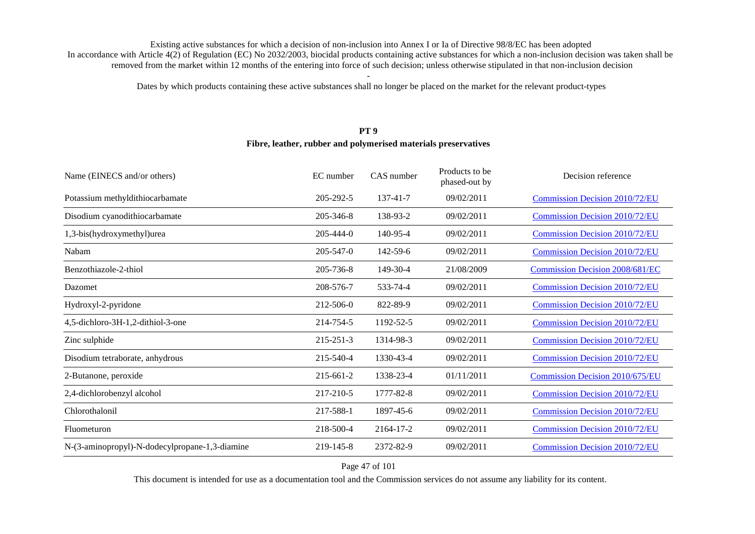Dates by which products containing these active substances shall no longer be placed on the market for the relevant product-types

#### **PT 9**

#### **Fibre, leather, rubber and polymerised materials preservatives**

| Name (EINECS and/or others)                    | EC number       | CAS number | Products to be<br>phased-out by | Decision reference                     |
|------------------------------------------------|-----------------|------------|---------------------------------|----------------------------------------|
| Potassium methyldithiocarbamate                | 205-292-5       | 137-41-7   | 09/02/2011                      | Commission Decision 2010/72/EU         |
| Disodium cyanodithiocarbamate                  | 205-346-8       | 138-93-2   | 09/02/2011                      | <b>Commission Decision 2010/72/EU</b>  |
| 1,3-bis(hydroxymethyl)urea                     | $205 - 444 - 0$ | 140-95-4   | 09/02/2011                      | <b>Commission Decision 2010/72/EU</b>  |
| Nabam                                          | $205 - 547 - 0$ | 142-59-6   | 09/02/2011                      | <b>Commission Decision 2010/72/EU</b>  |
| Benzothiazole-2-thiol                          | 205-736-8       | 149-30-4   | 21/08/2009                      | <b>Commission Decision 2008/681/EC</b> |
| Dazomet                                        | 208-576-7       | 533-74-4   | 09/02/2011                      | <b>Commission Decision 2010/72/EU</b>  |
| Hydroxyl-2-pyridone                            | 212-506-0       | 822-89-9   | 09/02/2011                      | <b>Commission Decision 2010/72/EU</b>  |
| 4,5-dichloro-3H-1,2-dithiol-3-one              | 214-754-5       | 1192-52-5  | 09/02/2011                      | <b>Commission Decision 2010/72/EU</b>  |
| Zinc sulphide                                  | 215-251-3       | 1314-98-3  | 09/02/2011                      | <b>Commission Decision 2010/72/EU</b>  |
| Disodium tetraborate, anhydrous                | 215-540-4       | 1330-43-4  | 09/02/2011                      | <b>Commission Decision 2010/72/EU</b>  |
| 2-Butanone, peroxide                           | 215-661-2       | 1338-23-4  | 01/11/2011                      | <b>Commission Decision 2010/675/EU</b> |
| 2,4-dichlorobenzyl alcohol                     | 217-210-5       | 1777-82-8  | 09/02/2011                      | <b>Commission Decision 2010/72/EU</b>  |
| Chlorothalonil                                 | 217-588-1       | 1897-45-6  | 09/02/2011                      | <b>Commission Decision 2010/72/EU</b>  |
| Fluometuron                                    | 218-500-4       | 2164-17-2  | 09/02/2011                      | <b>Commission Decision 2010/72/EU</b>  |
| N-(3-aminopropyl)-N-dodecylpropane-1,3-diamine | 219-145-8       | 2372-82-9  | 09/02/2011                      | <b>Commission Decision 2010/72/EU</b>  |

Page 47 of 101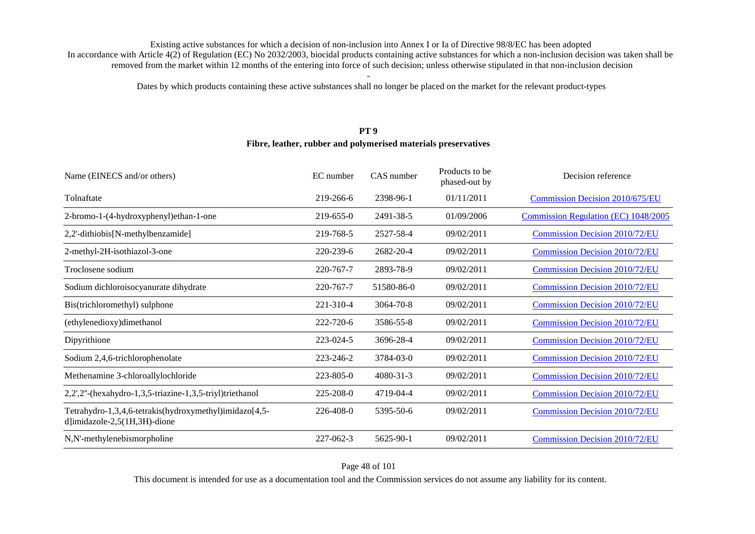Dates by which products containing these active substances shall no longer be placed on the market for the relevant product-types

#### **PT 9**

#### **Fibre, leather, rubber and polymerised materials preservatives**

| Name (EINECS and/or others)                                                                    | EC number       | CAS number | Products to be<br>phased-out by | Decision reference                    |
|------------------------------------------------------------------------------------------------|-----------------|------------|---------------------------------|---------------------------------------|
| Tolnaftate                                                                                     | 219-266-6       | 2398-96-1  | 01/11/2011                      | Commission Decision 2010/675/EU       |
| 2-bromo-1-(4-hydroxyphenyl) ethan-1-one                                                        | 219-655-0       | 2491-38-5  | 01/09/2006                      | Commission Regulation (EC) 1048/2005  |
| 2,2'-dithiobis[N-methylbenzamide]                                                              | 219-768-5       | 2527-58-4  | 09/02/2011                      | <b>Commission Decision 2010/72/EU</b> |
| 2-methyl-2H-isothiazol-3-one                                                                   | 220-239-6       | 2682-20-4  | 09/02/2011                      | <b>Commission Decision 2010/72/EU</b> |
| Troclosene sodium                                                                              | 220-767-7       | 2893-78-9  | 09/02/2011                      | <b>Commission Decision 2010/72/EU</b> |
| Sodium dichloroisocyanurate dihydrate                                                          | 220-767-7       | 51580-86-0 | 09/02/2011                      | <b>Commission Decision 2010/72/EU</b> |
| Bis(trichloromethyl) sulphone                                                                  | 221-310-4       | 3064-70-8  | 09/02/2011                      | <b>Commission Decision 2010/72/EU</b> |
| (ethylenedioxy)dimethanol                                                                      | 222-720-6       | 3586-55-8  | 09/02/2011                      | <b>Commission Decision 2010/72/EU</b> |
| Dipyrithione                                                                                   | 223-024-5       | 3696-28-4  | 09/02/2011                      | <b>Commission Decision 2010/72/EU</b> |
| Sodium 2,4,6-trichlorophenolate                                                                | 223-246-2       | 3784-03-0  | 09/02/2011                      | <b>Commission Decision 2010/72/EU</b> |
| Methenamine 3-chloroallylochloride                                                             | $223 - 805 - 0$ | 4080-31-3  | 09/02/2011                      | <b>Commission Decision 2010/72/EU</b> |
| 2,2',2"-(hexahydro-1,3,5-triazine-1,3,5-triyl)triethanol                                       | 225-208-0       | 4719-04-4  | 09/02/2011                      | <b>Commission Decision 2010/72/EU</b> |
| Tetrahydro-1,3,4,6-tetrakis(hydroxymethyl)imidazo[4,5-<br>$d$ ]imidazole-2,5 $(1H, 3H)$ -dione | 226-408-0       | 5395-50-6  | 09/02/2011                      | <b>Commission Decision 2010/72/EU</b> |
| N,N'-methylenebismorpholine                                                                    | 227-062-3       | 5625-90-1  | 09/02/2011                      | <b>Commission Decision 2010/72/EU</b> |

Page 48 of 101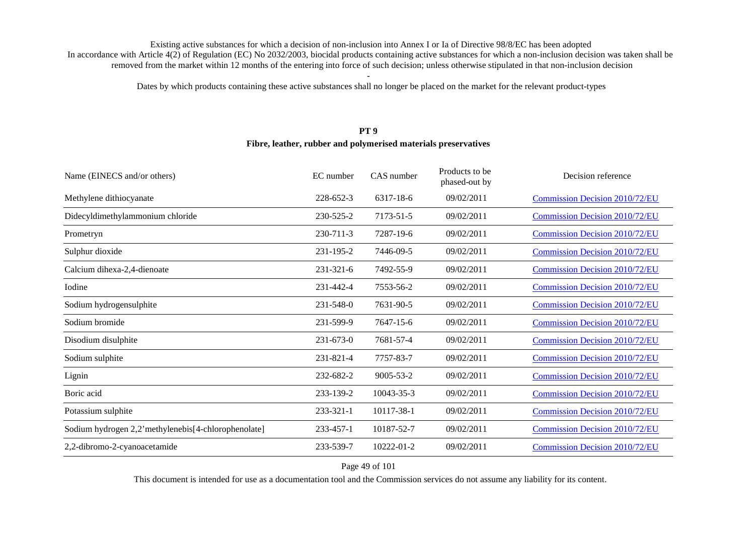Dates by which products containing these active substances shall no longer be placed on the market for the relevant product-types

#### **PT 9**

#### **Fibre, leather, rubber and polymerised materials preservatives**

| EC number       | CAS number      | Products to be<br>phased-out by | Decision reference                    |
|-----------------|-----------------|---------------------------------|---------------------------------------|
| 228-652-3       | 6317-18-6       | 09/02/2011                      | <b>Commission Decision 2010/72/EU</b> |
| 230-525-2       | 7173-51-5       | 09/02/2011                      | <b>Commission Decision 2010/72/EU</b> |
| 230-711-3       | 7287-19-6       | 09/02/2011                      | <b>Commission Decision 2010/72/EU</b> |
| 231-195-2       | 7446-09-5       | 09/02/2011                      | <b>Commission Decision 2010/72/EU</b> |
| $231 - 321 - 6$ | 7492-55-9       | 09/02/2011                      | <b>Commission Decision 2010/72/EU</b> |
| 231-442-4       | 7553-56-2       | 09/02/2011                      | <b>Commission Decision 2010/72/EU</b> |
| 231-548-0       | 7631-90-5       | 09/02/2011                      | <b>Commission Decision 2010/72/EU</b> |
| 231-599-9       | 7647-15-6       | 09/02/2011                      | <b>Commission Decision 2010/72/EU</b> |
| $231 - 673 - 0$ | 7681-57-4       | 09/02/2011                      | <b>Commission Decision 2010/72/EU</b> |
| 231-821-4       | 7757-83-7       | 09/02/2011                      | <b>Commission Decision 2010/72/EU</b> |
| 232-682-2       | $9005 - 53 - 2$ | 09/02/2011                      | <b>Commission Decision 2010/72/EU</b> |
| 233-139-2       | 10043-35-3      | 09/02/2011                      | <b>Commission Decision 2010/72/EU</b> |
| $233 - 321 - 1$ | 10117-38-1      | 09/02/2011                      | <b>Commission Decision 2010/72/EU</b> |
| 233-457-1       | 10187-52-7      | 09/02/2011                      | <b>Commission Decision 2010/72/EU</b> |
| 233-539-7       | 10222-01-2      | 09/02/2011                      | <b>Commission Decision 2010/72/EU</b> |
|                 |                 |                                 |                                       |

Page 49 of 101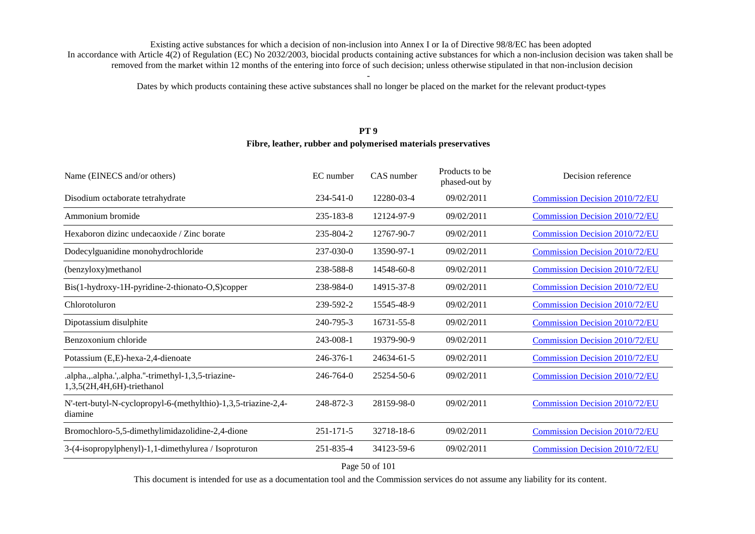Dates by which products containing these active substances shall no longer be placed on the market for the relevant product-types

#### **PT 9**

#### **Fibre, leather, rubber and polymerised materials preservatives**

| EC number       | CAS number | Products to be<br>phased-out by | Decision reference                    |
|-----------------|------------|---------------------------------|---------------------------------------|
| 234-541-0       | 12280-03-4 | 09/02/2011                      | <b>Commission Decision 2010/72/EU</b> |
| 235-183-8       | 12124-97-9 | 09/02/2011                      | <b>Commission Decision 2010/72/EU</b> |
| 235-804-2       | 12767-90-7 | 09/02/2011                      | <b>Commission Decision 2010/72/EU</b> |
| 237-030-0       | 13590-97-1 | 09/02/2011                      | <b>Commission Decision 2010/72/EU</b> |
| 238-588-8       | 14548-60-8 | 09/02/2011                      | <b>Commission Decision 2010/72/EU</b> |
| 238-984-0       | 14915-37-8 | 09/02/2011                      | <b>Commission Decision 2010/72/EU</b> |
| 239-592-2       | 15545-48-9 | 09/02/2011                      | <b>Commission Decision 2010/72/EU</b> |
| 240-795-3       | 16731-55-8 | 09/02/2011                      | <b>Commission Decision 2010/72/EU</b> |
| 243-008-1       | 19379-90-9 | 09/02/2011                      | <b>Commission Decision 2010/72/EU</b> |
| 246-376-1       | 24634-61-5 | 09/02/2011                      | <b>Commission Decision 2010/72/EU</b> |
| $246 - 764 - 0$ | 25254-50-6 | 09/02/2011                      | <b>Commission Decision 2010/72/EU</b> |
| 248-872-3       | 28159-98-0 | 09/02/2011                      | <b>Commission Decision 2010/72/EU</b> |
| $251 - 171 - 5$ | 32718-18-6 | 09/02/2011                      | <b>Commission Decision 2010/72/EU</b> |
| 251-835-4       | 34123-59-6 | 09/02/2011                      | <b>Commission Decision 2010/72/EU</b> |
|                 |            |                                 |                                       |

Page 50 of 101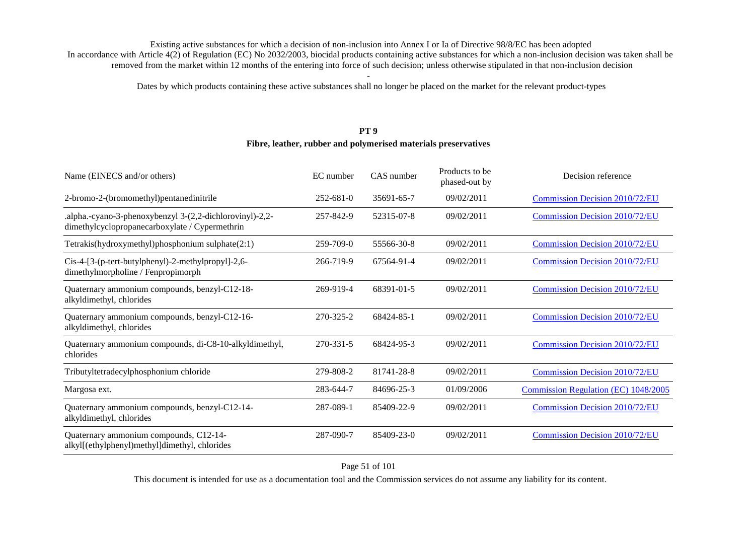Dates by which products containing these active substances shall no longer be placed on the market for the relevant product-types

#### **PT 9**

#### **Fibre, leather, rubber and polymerised materials preservatives**

| Name (EINECS and/or others)                                                                                | EC number       | CAS number | Products to be<br>phased-out by | Decision reference                    |
|------------------------------------------------------------------------------------------------------------|-----------------|------------|---------------------------------|---------------------------------------|
| 2-bromo-2-(bromomethyl)pentanedinitrile                                                                    | $252 - 681 - 0$ | 35691-65-7 | 09/02/2011                      | Commission Decision 2010/72/EU        |
| .alpha.-cyano-3-phenoxybenzyl 3-(2,2-dichlorovinyl)-2,2-<br>dimethylcyclopropanecarboxylate / Cypermethrin | 257-842-9       | 52315-07-8 | 09/02/2011                      | Commission Decision 2010/72/EU        |
| Tetrakis(hydroxymethyl)phosphonium sulphate(2:1)                                                           | 259-709-0       | 55566-30-8 | 09/02/2011                      | <b>Commission Decision 2010/72/EU</b> |
| Cis-4-[3-(p-tert-butylphenyl)-2-methylpropyl]-2,6-<br>dimethylmorpholine / Fenpropimorph                   | 266-719-9       | 67564-91-4 | 09/02/2011                      | Commission Decision 2010/72/EU        |
| Quaternary ammonium compounds, benzyl-C12-18-<br>alkyldimethyl, chlorides                                  | 269-919-4       | 68391-01-5 | 09/02/2011                      | <b>Commission Decision 2010/72/EU</b> |
| Quaternary ammonium compounds, benzyl-C12-16-<br>alkyldimethyl, chlorides                                  | 270-325-2       | 68424-85-1 | 09/02/2011                      | Commission Decision 2010/72/EU        |
| Quaternary ammonium compounds, di-C8-10-alkyldimethyl,<br>chlorides                                        | 270-331-5       | 68424-95-3 | 09/02/2011                      | Commission Decision 2010/72/EU        |
| Tributyltetradecylphosphonium chloride                                                                     | 279-808-2       | 81741-28-8 | 09/02/2011                      | <b>Commission Decision 2010/72/EU</b> |
| Margosa ext.                                                                                               | 283-644-7       | 84696-25-3 | 01/09/2006                      | Commission Regulation (EC) 1048/2005  |
| Quaternary ammonium compounds, benzyl-C12-14-<br>alkyldimethyl, chlorides                                  | 287-089-1       | 85409-22-9 | 09/02/2011                      | <b>Commission Decision 2010/72/EU</b> |
| Quaternary ammonium compounds, C12-14-<br>alkyl[(ethylphenyl)methyl]dimethyl, chlorides                    | 287-090-7       | 85409-23-0 | 09/02/2011                      | Commission Decision 2010/72/EU        |

Page 51 of 101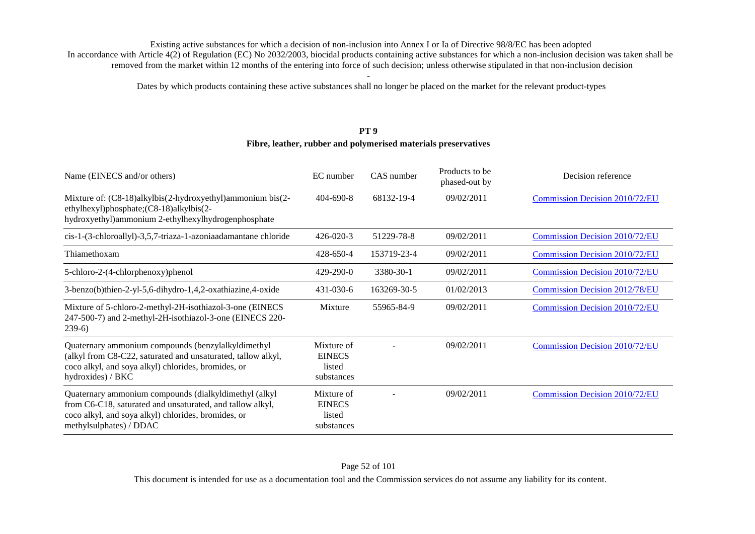Dates by which products containing these active substances shall no longer be placed on the market for the relevant product-types

### **PT 9**

#### **Fibre, leather, rubber and polymerised materials preservatives**

| Name (EINECS and/or others)                                                                                                                                                                          | EC number                                           | CAS number  | Products to be<br>phased-out by | Decision reference                    |
|------------------------------------------------------------------------------------------------------------------------------------------------------------------------------------------------------|-----------------------------------------------------|-------------|---------------------------------|---------------------------------------|
| Mixture of: (C8-18)alkylbis(2-hydroxyethyl)ammonium bis(2-<br>ethylhexyl)phosphate;(C8-18)alkylbis(2-<br>hydroxyethyl)ammonium 2-ethylhexylhydrogenphosphate                                         | $404 - 690 - 8$                                     | 68132-19-4  | 09/02/2011                      | <b>Commission Decision 2010/72/EU</b> |
| cis-1-(3-chloroallyl)-3,5,7-triaza-1-azoniaadamantane chloride                                                                                                                                       | $426 - 020 - 3$                                     | 51229-78-8  | 09/02/2011                      | Commission Decision 2010/72/EU        |
| Thiamethoxam                                                                                                                                                                                         | 428-650-4                                           | 153719-23-4 | 09/02/2011                      | <b>Commission Decision 2010/72/EU</b> |
| 5-chloro-2-(4-chlorphenoxy)phenol                                                                                                                                                                    | $429 - 290 - 0$                                     | 3380-30-1   | 09/02/2011                      | <b>Commission Decision 2010/72/EU</b> |
| 3-benzo(b)thien-2-yl-5,6-dihydro-1,4,2-oxathiazine,4-oxide                                                                                                                                           | $431 - 030 - 6$                                     | 163269-30-5 | 01/02/2013                      | <b>Commission Decision 2012/78/EU</b> |
| Mixture of 5-chloro-2-methyl-2H-isothiazol-3-one (EINECS<br>247-500-7) and 2-methyl-2H-isothiazol-3-one (EINECS 220-<br>$239-6)$                                                                     | Mixture                                             | 55965-84-9  | 09/02/2011                      | Commission Decision 2010/72/EU        |
| Quaternary ammonium compounds (benzylalkyldimethyl<br>(alkyl from C8-C22, saturated and unsaturated, tallow alkyl,<br>coco alkyl, and soya alkyl) chlorides, bromides, or<br>hydroxides) / BKC       | Mixture of<br><b>EINECS</b><br>listed<br>substances |             | 09/02/2011                      | <b>Commission Decision 2010/72/EU</b> |
| Quaternary ammonium compounds (dialkyldimethyl (alkyl<br>from C6-C18, saturated and unsaturated, and tallow alkyl,<br>coco alkyl, and soya alkyl) chlorides, bromides, or<br>methylsulphates) / DDAC | Mixture of<br><b>EINECS</b><br>listed<br>substances |             | 09/02/2011                      | <b>Commission Decision 2010/72/EU</b> |

#### Page 52 of 101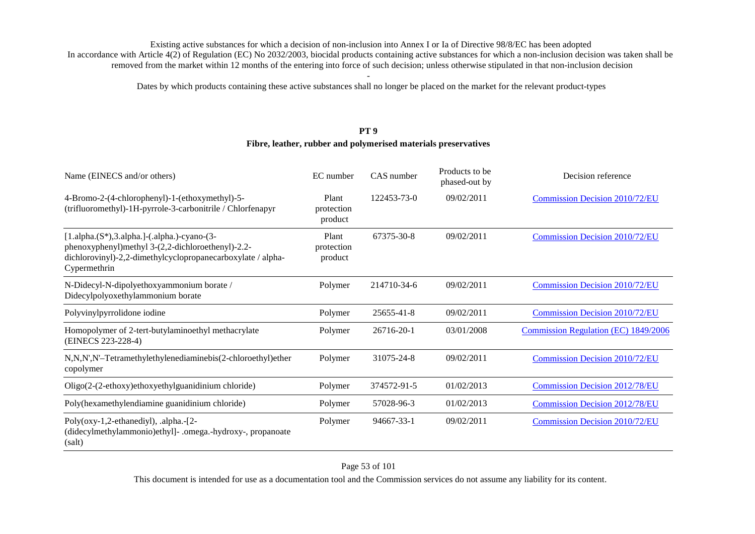Dates by which products containing these active substances shall no longer be placed on the market for the relevant product-types

### **PT 9**

#### **Fibre, leather, rubber and polymerised materials preservatives**

| Name (EINECS and/or others)                                                                                                                                                       | EC number                      | CAS number  | Products to be<br>phased-out by | Decision reference                    |
|-----------------------------------------------------------------------------------------------------------------------------------------------------------------------------------|--------------------------------|-------------|---------------------------------|---------------------------------------|
| 4-Bromo-2-(4-chlorophenyl)-1-(ethoxymethyl)-5-<br>(trifluoromethyl)-1H-pyrrole-3-carbonitrile / Chlorfenapyr                                                                      | Plant<br>protection<br>product | 122453-73-0 | 09/02/2011                      | Commission Decision 2010/72/EU        |
| $[1.alpha.(S*),3.alpha.]-(.alpha.)-cyano-(3-$<br>phenoxyphenyl)methyl 3-(2,2-dichloroethenyl)-2.2-<br>dichlorovinyl)-2,2-dimethylcyclopropanecarboxylate / alpha-<br>Cypermethrin | Plant<br>protection<br>product | 67375-30-8  | 09/02/2011                      | <b>Commission Decision 2010/72/EU</b> |
| N-Didecyl-N-dipolyethoxyammonium borate /<br>Didecylpolyoxethylammonium borate                                                                                                    | Polymer                        | 214710-34-6 | 09/02/2011                      | <b>Commission Decision 2010/72/EU</b> |
| Polyvinylpyrrolidone iodine                                                                                                                                                       | Polymer                        | 25655-41-8  | 09/02/2011                      | <b>Commission Decision 2010/72/EU</b> |
| Homopolymer of 2-tert-butylaminoethyl methacrylate<br>(EINECS 223-228-4)                                                                                                          | Polymer                        | 26716-20-1  | 03/01/2008                      | Commission Regulation (EC) 1849/2006  |
| N,N,N',N'-Tetramethylethylenediaminebis(2-chloroethyl)ether<br>copolymer                                                                                                          | Polymer                        | 31075-24-8  | 09/02/2011                      | <b>Commission Decision 2010/72/EU</b> |
| Oligo(2-(2-ethoxy)ethoxyethylguanidinium chloride)                                                                                                                                | Polymer                        | 374572-91-5 | 01/02/2013                      | <b>Commission Decision 2012/78/EU</b> |
| Poly(hexamethylendiamine guanidinium chloride)                                                                                                                                    | Polymer                        | 57028-96-3  | 01/02/2013                      | <b>Commission Decision 2012/78/EU</b> |
| Poly(oxy-1,2-ethanediyl), .alpha.-[2-<br>(didecylmethylammonio)ethyl]- .omega.-hydroxy-, propanoate<br>(salt)                                                                     | Polymer                        | 94667-33-1  | 09/02/2011                      | <b>Commission Decision 2010/72/EU</b> |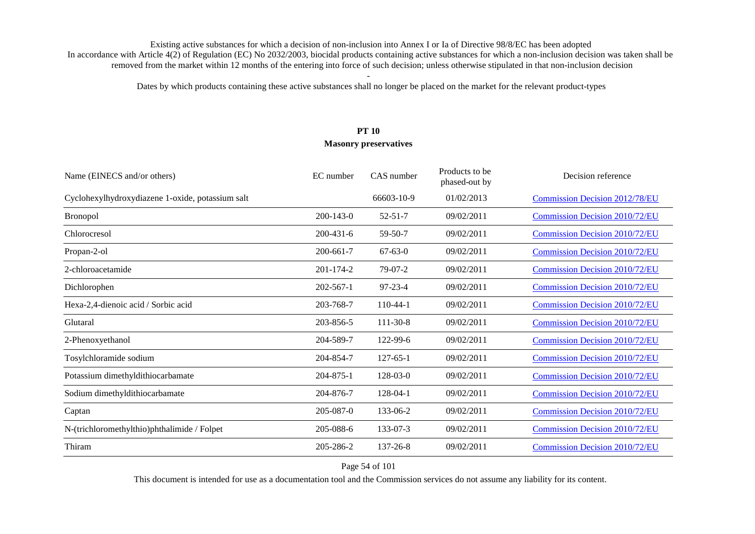Dates by which products containing these active substances shall no longer be placed on the market for the relevant product-types

# **PT 10 Masonry preservatives**

| Name (EINECS and/or others)                      | EC number       | CAS number     | Products to be<br>phased-out by | Decision reference                    |
|--------------------------------------------------|-----------------|----------------|---------------------------------|---------------------------------------|
| Cyclohexylhydroxydiazene 1-oxide, potassium salt |                 | 66603-10-9     | 01/02/2013                      | <b>Commission Decision 2012/78/EU</b> |
| <b>Bronopol</b>                                  | $200 - 143 - 0$ | $52 - 51 - 7$  | 09/02/2011                      | <b>Commission Decision 2010/72/EU</b> |
| Chlorocresol                                     | $200 - 431 - 6$ | 59-50-7        | 09/02/2011                      | <b>Commission Decision 2010/72/EU</b> |
| Propan-2-ol                                      | 200-661-7       | $67 - 63 - 0$  | 09/02/2011                      | <b>Commission Decision 2010/72/EU</b> |
| 2-chloroacetamide                                | 201-174-2       | $79-07-2$      | 09/02/2011                      | Commission Decision 2010/72/EU        |
| Dichlorophen                                     | $202 - 567 - 1$ | $97 - 23 - 4$  | 09/02/2011                      | <b>Commission Decision 2010/72/EU</b> |
| Hexa-2,4-dienoic acid / Sorbic acid              | 203-768-7       | $110-44-1$     | 09/02/2011                      | Commission Decision 2010/72/EU        |
| Glutaral                                         | 203-856-5       | 111-30-8       | 09/02/2011                      | <b>Commission Decision 2010/72/EU</b> |
| 2-Phenoxyethanol                                 | 204-589-7       | 122-99-6       | 09/02/2011                      | <b>Commission Decision 2010/72/EU</b> |
| Tosylchloramide sodium                           | 204-854-7       | $127 - 65 - 1$ | 09/02/2011                      | <b>Commission Decision 2010/72/EU</b> |
| Potassium dimethyldithiocarbamate                | 204-875-1       | 128-03-0       | 09/02/2011                      | <b>Commission Decision 2010/72/EU</b> |
| Sodium dimethyldithiocarbamate                   | 204-876-7       | 128-04-1       | 09/02/2011                      | <b>Commission Decision 2010/72/EU</b> |
| Captan                                           | 205-087-0       | 133-06-2       | 09/02/2011                      | <b>Commission Decision 2010/72/EU</b> |
| N-(trichloromethylthio)phthalimide / Folpet      | 205-088-6       | 133-07-3       | 09/02/2011                      | <b>Commission Decision 2010/72/EU</b> |
| Thiram                                           | 205-286-2       | 137-26-8       | 09/02/2011                      | <b>Commission Decision 2010/72/EU</b> |

Page 54 of 101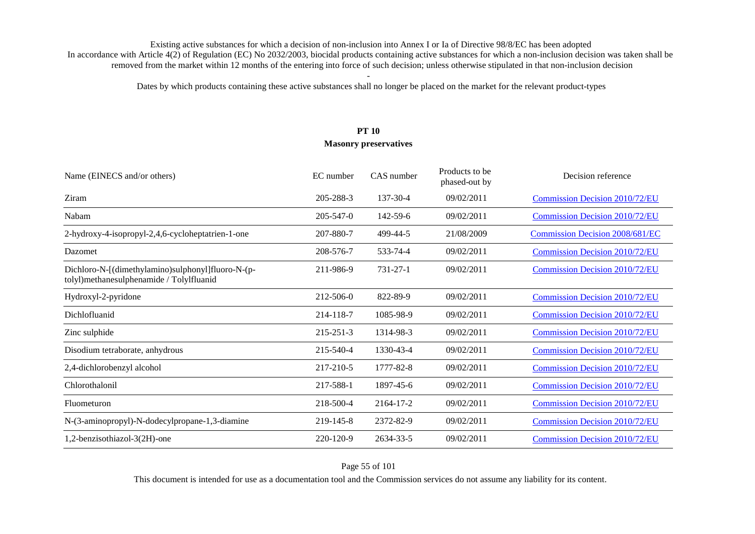Dates by which products containing these active substances shall no longer be placed on the market for the relevant product-types

# **PT 10 Masonry preservatives**

| Name (EINECS and/or others)                                                                   | EC number       | CAS number     | Products to be<br>phased-out by | Decision reference                    |
|-----------------------------------------------------------------------------------------------|-----------------|----------------|---------------------------------|---------------------------------------|
| Ziram                                                                                         | 205-288-3       | $137 - 30 - 4$ | 09/02/2011                      | Commission Decision 2010/72/EU        |
| Nabam                                                                                         | 205-547-0       | 142-59-6       | 09/02/2011                      | Commission Decision 2010/72/EU        |
| 2-hydroxy-4-isopropyl-2,4,6-cycloheptatrien-1-one                                             | 207-880-7       | 499-44-5       | 21/08/2009                      | Commission Decision 2008/681/EC       |
| Dazomet                                                                                       | 208-576-7       | 533-74-4       | 09/02/2011                      | <b>Commission Decision 2010/72/EU</b> |
| Dichloro-N-[(dimethylamino)sulphonyl]fluoro-N-(p-<br>tolyl)methanesulphenamide / Tolylfluanid | 211-986-9       | 731-27-1       | 09/02/2011                      | Commission Decision 2010/72/EU        |
| Hydroxyl-2-pyridone                                                                           | 212-506-0       | 822-89-9       | 09/02/2011                      | <b>Commission Decision 2010/72/EU</b> |
| Dichlofluanid                                                                                 | 214-118-7       | 1085-98-9      | 09/02/2011                      | <b>Commission Decision 2010/72/EU</b> |
| Zinc sulphide                                                                                 | $215 - 251 - 3$ | 1314-98-3      | 09/02/2011                      | <b>Commission Decision 2010/72/EU</b> |
| Disodium tetraborate, anhydrous                                                               | 215-540-4       | 1330-43-4      | 09/02/2011                      | <b>Commission Decision 2010/72/EU</b> |
| 2,4-dichlorobenzyl alcohol                                                                    | 217-210-5       | 1777-82-8      | 09/02/2011                      | Commission Decision 2010/72/EU        |
| Chlorothalonil                                                                                | 217-588-1       | 1897-45-6      | 09/02/2011                      | <b>Commission Decision 2010/72/EU</b> |
| Fluometuron                                                                                   | 218-500-4       | 2164-17-2      | 09/02/2011                      | <b>Commission Decision 2010/72/EU</b> |
| N-(3-aminopropyl)-N-dodecylpropane-1,3-diamine                                                | 219-145-8       | 2372-82-9      | 09/02/2011                      | Commission Decision 2010/72/EU        |
| 1,2-benzisothiazol-3(2H)-one                                                                  | 220-120-9       | 2634-33-5      | 09/02/2011                      | Commission Decision 2010/72/EU        |

### Page 55 of 101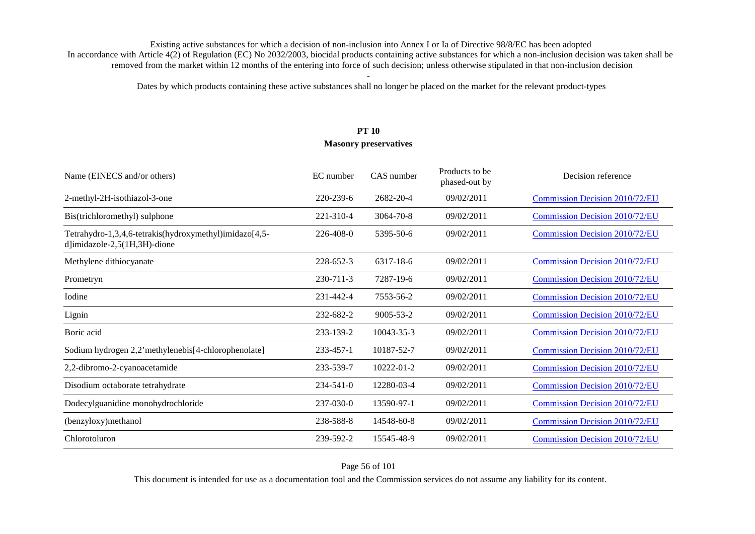Dates by which products containing these active substances shall no longer be placed on the market for the relevant product-types

# **PT 10 Masonry preservatives**

| Name (EINECS and/or others)                                                            | EC number       | CAS number       | Products to be<br>phased-out by | Decision reference                    |
|----------------------------------------------------------------------------------------|-----------------|------------------|---------------------------------|---------------------------------------|
| 2-methyl-2H-isothiazol-3-one                                                           | 220-239-6       | 2682-20-4        | 09/02/2011                      | Commission Decision 2010/72/EU        |
| Bis(trichloromethyl) sulphone                                                          | 221-310-4       | 3064-70-8        | 09/02/2011                      | Commission Decision 2010/72/EU        |
| Tetrahydro-1,3,4,6-tetrakis(hydroxymethyl)imidazo[4,5-<br>d]imidazole-2,5(1H,3H)-dione | 226-408-0       | 5395-50-6        | 09/02/2011                      | Commission Decision 2010/72/EU        |
| Methylene dithiocyanate                                                                | 228-652-3       | 6317-18-6        | 09/02/2011                      | Commission Decision 2010/72/EU        |
| Prometryn                                                                              | 230-711-3       | 7287-19-6        | 09/02/2011                      | <b>Commission Decision 2010/72/EU</b> |
| Iodine                                                                                 | 231-442-4       | 7553-56-2        | 09/02/2011                      | <b>Commission Decision 2010/72/EU</b> |
| Lignin                                                                                 | 232-682-2       | $9005 - 53 - 2$  | 09/02/2011                      | <b>Commission Decision 2010/72/EU</b> |
| Boric acid                                                                             | 233-139-2       | 10043-35-3       | 09/02/2011                      | <b>Commission Decision 2010/72/EU</b> |
| Sodium hydrogen 2,2'methylenebis[4-chlorophenolate]                                    | 233-457-1       | 10187-52-7       | 09/02/2011                      | <b>Commission Decision 2010/72/EU</b> |
| 2,2-dibromo-2-cyanoacetamide                                                           | 233-539-7       | $10222 - 01 - 2$ | 09/02/2011                      | <b>Commission Decision 2010/72/EU</b> |
| Disodium octaborate tetrahydrate                                                       | $234 - 541 - 0$ | 12280-03-4       | 09/02/2011                      | <b>Commission Decision 2010/72/EU</b> |
| Dodecylguanidine monohydrochloride                                                     | 237-030-0       | 13590-97-1       | 09/02/2011                      | <b>Commission Decision 2010/72/EU</b> |
| (benzyloxy)methanol                                                                    | 238-588-8       | 14548-60-8       | 09/02/2011                      | <b>Commission Decision 2010/72/EU</b> |
| Chlorotoluron                                                                          | 239-592-2       | 15545-48-9       | 09/02/2011                      | <b>Commission Decision 2010/72/EU</b> |

Page 56 of 101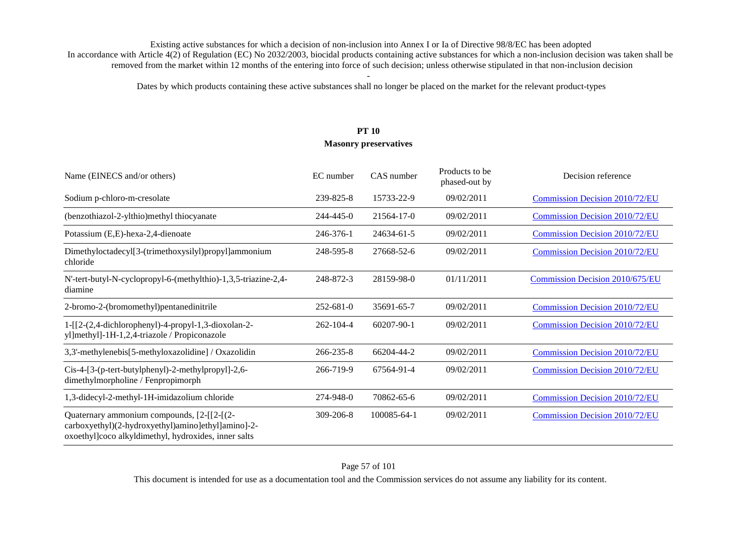Dates by which products containing these active substances shall no longer be placed on the market for the relevant product-types

# **PT 10 Masonry preservatives**

| Name (EINECS and/or others)                                                                                                                              | EC number       | CAS number       | Products to be<br>phased-out by | Decision reference                    |
|----------------------------------------------------------------------------------------------------------------------------------------------------------|-----------------|------------------|---------------------------------|---------------------------------------|
| Sodium p-chloro-m-cresolate                                                                                                                              | 239-825-8       | 15733-22-9       | 09/02/2011                      | <b>Commission Decision 2010/72/EU</b> |
| (benzothiazol-2-ylthio)methyl thiocyanate                                                                                                                | 244-445-0       | 21564-17-0       | 09/02/2011                      | <b>Commission Decision 2010/72/EU</b> |
| Potassium (E,E)-hexa-2,4-dienoate                                                                                                                        | 246-376-1       | 24634-61-5       | 09/02/2011                      | <b>Commission Decision 2010/72/EU</b> |
| Dimethyloctadecyl[3-(trimethoxysilyl)propyl]ammonium<br>chloride                                                                                         | 248-595-8       | 27668-52-6       | 09/02/2011                      | <b>Commission Decision 2010/72/EU</b> |
| N'-tert-butyl-N-cyclopropyl-6-(methylthio)-1,3,5-triazine-2,4-<br>diamine                                                                                | 248-872-3       | 28159-98-0       | 01/11/2011                      | Commission Decision 2010/675/EU       |
| 2-bromo-2-(bromomethyl)pentanedinitrile                                                                                                                  | $252 - 681 - 0$ | 35691-65-7       | 09/02/2011                      | <b>Commission Decision 2010/72/EU</b> |
| $1 - [[2-(2,4-dichloropheny)] - 4-propy] - 1,3-dioxolan-2-$<br>yl]methyl]-1H-1,2,4-triazole / Propiconazole                                              | $262 - 104 - 4$ | $60207 - 90 - 1$ | 09/02/2011                      | Commission Decision 2010/72/EU        |
| 3,3'-methylenebis[5-methyloxazolidine] / Oxazolidin                                                                                                      | $266 - 235 - 8$ | 66204-44-2       | 09/02/2011                      | <b>Commission Decision 2010/72/EU</b> |
| Cis-4-[3-(p-tert-butylphenyl)-2-methylpropyl]-2,6-<br>dimethylmorpholine / Fenpropimorph                                                                 | 266-719-9       | 67564-91-4       | 09/02/2011                      | <b>Commission Decision 2010/72/EU</b> |
| 1,3-didecyl-2-methyl-1H-imidazolium chloride                                                                                                             | 274-948-0       | 70862-65-6       | 09/02/2011                      | <b>Commission Decision 2010/72/EU</b> |
| Quaternary ammonium compounds, [2-[[2-[(2-<br>carboxyethyl)(2-hydroxyethyl)amino]ethyl]amino]-2-<br>oxoethyl]coco alkyldimethyl, hydroxides, inner salts | $309 - 206 - 8$ | 100085-64-1      | 09/02/2011                      | Commission Decision 2010/72/EU        |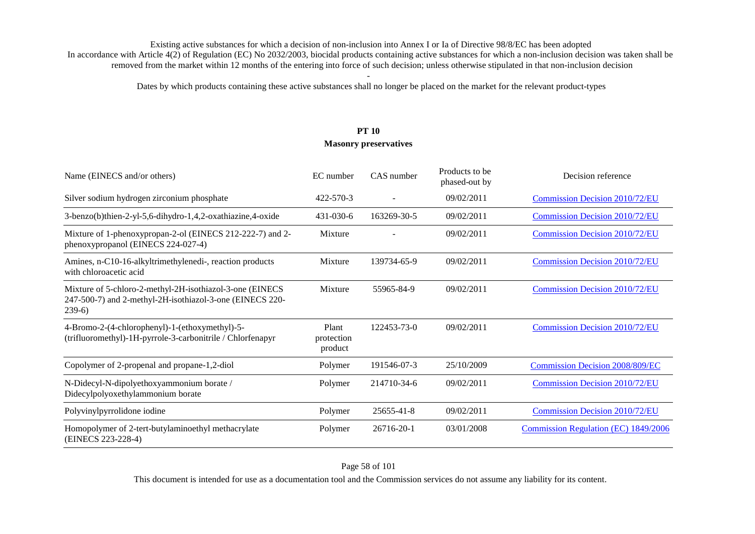Dates by which products containing these active substances shall no longer be placed on the market for the relevant product-types

# **PT 10 Masonry preservatives**

| Name (EINECS and/or others)                                                                                                     | EC number                      | CAS number  | Products to be<br>phased-out by | Decision reference                     |
|---------------------------------------------------------------------------------------------------------------------------------|--------------------------------|-------------|---------------------------------|----------------------------------------|
| Silver sodium hydrogen zirconium phosphate                                                                                      | 422-570-3                      |             | 09/02/2011                      | <b>Commission Decision 2010/72/EU</b>  |
| 3-benzo(b)thien-2-yl-5,6-dihydro-1,4,2-oxathiazine,4-oxide                                                                      | 431-030-6                      | 163269-30-5 | 09/02/2011                      | <b>Commission Decision 2010/72/EU</b>  |
| Mixture of 1-phenoxypropan-2-ol (EINECS 212-222-7) and 2-<br>phenoxypropanol (EINECS 224-027-4)                                 | Mixture                        |             | 09/02/2011                      | <b>Commission Decision 2010/72/EU</b>  |
| Amines, n-C10-16-alkyltrimethylenedi-, reaction products<br>with chloroacetic acid                                              | Mixture                        | 139734-65-9 | 09/02/2011                      | <b>Commission Decision 2010/72/EU</b>  |
| Mixture of 5-chloro-2-methyl-2H-isothiazol-3-one (EINECS<br>247-500-7) and 2-methyl-2H-isothiazol-3-one (EINECS 220-<br>$239-6$ | Mixture                        | 55965-84-9  | 09/02/2011                      | <b>Commission Decision 2010/72/EU</b>  |
| 4-Bromo-2-(4-chlorophenyl)-1-(ethoxymethyl)-5-<br>(trifluoromethyl)-1H-pyrrole-3-carbonitrile / Chlorfenapyr                    | Plant<br>protection<br>product | 122453-73-0 | 09/02/2011                      | <b>Commission Decision 2010/72/EU</b>  |
| Copolymer of 2-propenal and propane-1,2-diol                                                                                    | Polymer                        | 191546-07-3 | 25/10/2009                      | <b>Commission Decision 2008/809/EC</b> |
| N-Didecyl-N-dipolyethoxyammonium borate /<br>Didecylpolyoxethylammonium borate                                                  | Polymer                        | 214710-34-6 | 09/02/2011                      | <b>Commission Decision 2010/72/EU</b>  |
| Polyvinylpyrrolidone iodine                                                                                                     | Polymer                        | 25655-41-8  | 09/02/2011                      | <b>Commission Decision 2010/72/EU</b>  |
| Homopolymer of 2-tert-butylaminoethyl methacrylate<br>(EINECS 223-228-4)                                                        | Polymer                        | 26716-20-1  | 03/01/2008                      | Commission Regulation (EC) 1849/2006   |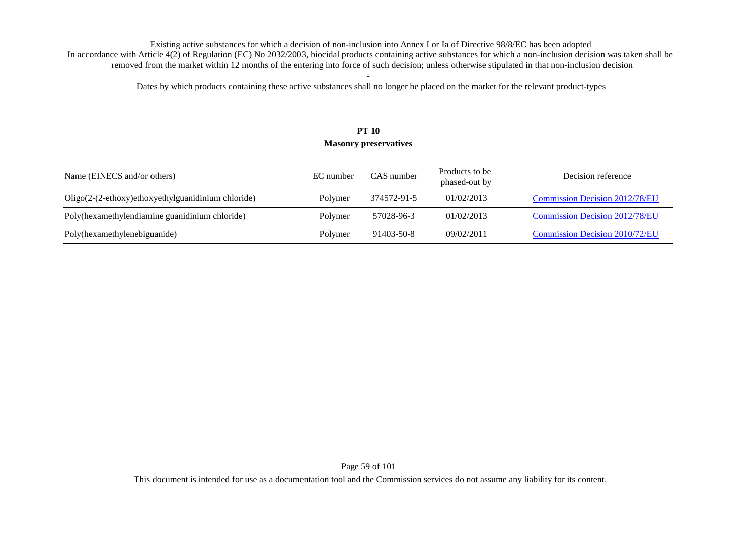Dates by which products containing these active substances shall no longer be placed on the market for the relevant product-types

# **PT 10 Masonry preservatives**

| Name (EINECS and/or others)                        | EC number | CAS number  | Products to be<br>phased-out by | Decision reference                    |
|----------------------------------------------------|-----------|-------------|---------------------------------|---------------------------------------|
| Oligo(2-(2-ethoxy)ethoxyethylguanidinium chloride) | Polymer   | 374572-91-5 | 01/02/2013                      | <b>Commission Decision 2012/78/EU</b> |
| Poly(hexamethylendiamine guanidinium chloride)     | Polymer   | 57028-96-3  | 01/02/2013                      | <b>Commission Decision 2012/78/EU</b> |
| Poly(hexamethylenebiguanide)                       | Polymer   | 91403-50-8  | 09/02/2011                      | Commission Decision 2010/72/EU        |

Page 59 of 101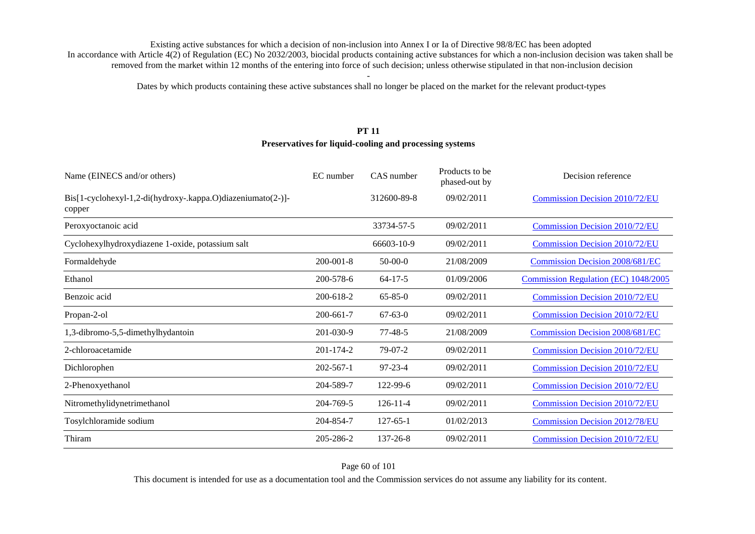Dates by which products containing these active substances shall no longer be placed on the market for the relevant product-types

### **PT 11**

### **Preservatives for liquid-cooling and processing systems**

| Name (EINECS and/or others)                                           | EC number       | CAS number     | Products to be<br>phased-out by | Decision reference                     |
|-----------------------------------------------------------------------|-----------------|----------------|---------------------------------|----------------------------------------|
| Bis[1-cyclohexyl-1,2-di(hydroxy-.kappa.O)diazeniumato(2-)]-<br>copper |                 | 312600-89-8    | 09/02/2011                      | Commission Decision 2010/72/EU         |
| Peroxyoctanoic acid                                                   |                 | 33734-57-5     | 09/02/2011                      | Commission Decision 2010/72/EU         |
| Cyclohexylhydroxydiazene 1-oxide, potassium salt                      |                 | 66603-10-9     | 09/02/2011                      | <b>Commission Decision 2010/72/EU</b>  |
| Formaldehyde                                                          | $200 - 001 - 8$ | $50-00-0$      | 21/08/2009                      | <b>Commission Decision 2008/681/EC</b> |
| Ethanol                                                               | 200-578-6       | $64 - 17 - 5$  | 01/09/2006                      | Commission Regulation (EC) 1048/2005   |
| Benzoic acid                                                          | 200-618-2       | $65 - 85 - 0$  | 09/02/2011                      | <b>Commission Decision 2010/72/EU</b>  |
| Propan-2-ol                                                           | 200-661-7       | $67 - 63 - 0$  | 09/02/2011                      | Commission Decision 2010/72/EU         |
| 1,3-dibromo-5,5-dimethylhydantoin                                     | 201-030-9       | $77 - 48 - 5$  | 21/08/2009                      | <b>Commission Decision 2008/681/EC</b> |
| 2-chloroacetamide                                                     | 201-174-2       | $79-07-2$      | 09/02/2011                      | <b>Commission Decision 2010/72/EU</b>  |
| Dichlorophen                                                          | $202 - 567 - 1$ | 97-23-4        | 09/02/2011                      | Commission Decision 2010/72/EU         |
| 2-Phenoxyethanol                                                      | 204-589-7       | 122-99-6       | 09/02/2011                      | <b>Commission Decision 2010/72/EU</b>  |
| Nitromethylidynetrimethanol                                           | 204-769-5       | $126 - 11 - 4$ | 09/02/2011                      | <b>Commission Decision 2010/72/EU</b>  |
| Tosylchloramide sodium                                                | 204-854-7       | $127 - 65 - 1$ | 01/02/2013                      | <b>Commission Decision 2012/78/EU</b>  |
| Thiram                                                                | 205-286-2       | $137 - 26 - 8$ | 09/02/2011                      | <b>Commission Decision 2010/72/EU</b>  |

Page 60 of 101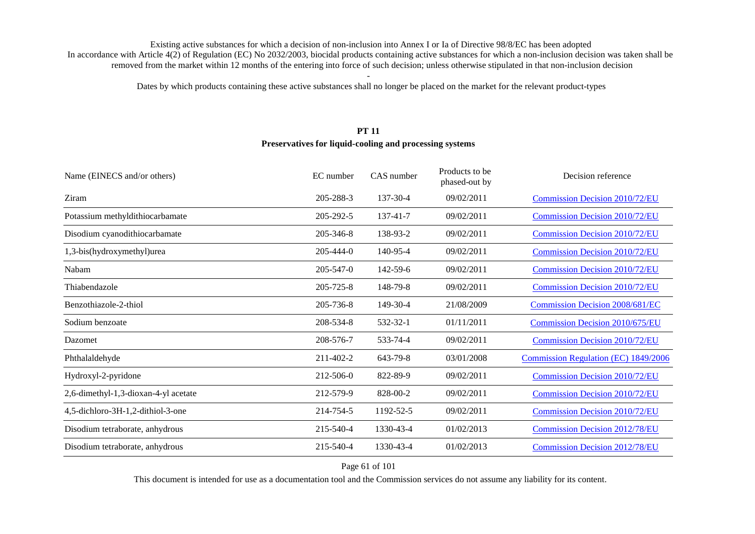Dates by which products containing these active substances shall no longer be placed on the market for the relevant product-types

# **PT 11**

### **Preservatives for liquid-cooling and processing systems**

| 09/02/2011<br>Ziram<br>205-288-3<br>137-30-4<br><b>Commission Decision 2010/72/EU</b><br>Potassium methyldithiocarbamate<br><b>Commission Decision 2010/72/EU</b><br>205-292-5<br>137-41-7<br>09/02/2011<br>Disodium cyanodithiocarbamate<br>205-346-8<br>138-93-2<br>09/02/2011<br><b>Commission Decision 2010/72/EU</b><br>1,3-bis(hydroxymethyl)urea<br>$205 - 444 - 0$<br>140-95-4<br>09/02/2011<br><b>Commission Decision 2010/72/EU</b><br>205-547-0<br>$142 - 59 - 6$<br>09/02/2011<br><b>Commission Decision 2010/72/EU</b><br>Nabam<br>205-725-8<br>Thiabendazole<br>148-79-8<br>09/02/2011<br><b>Commission Decision 2010/72/EU</b><br>Benzothiazole-2-thiol<br>Commission Decision 2008/681/EC<br>205-736-8<br>149-30-4<br>21/08/2009<br>208-534-8<br>01/11/2011<br>Commission Decision 2010/675/EU<br>532-32-1<br>Sodium benzoate<br>208-576-7<br>533-74-4<br>09/02/2011<br><b>Commission Decision 2010/72/EU</b><br>Dazomet<br>Phthalaldehyde<br>211-402-2<br>643-79-8<br>03/01/2008<br><b>Commission Regulation (EC) 1849/2006</b><br>Hydroxyl-2-pyridone<br>212-506-0<br>822-89-9<br>09/02/2011<br><b>Commission Decision 2010/72/EU</b><br>2,6-dimethyl-1,3-dioxan-4-yl acetate<br>212-579-9<br>828-00-2<br>09/02/2011<br><b>Commission Decision 2010/72/EU</b><br>4,5-dichloro-3H-1,2-dithiol-3-one<br>214-754-5<br>1192-52-5<br>09/02/2011<br><b>Commission Decision 2010/72/EU</b><br>Disodium tetraborate, anhydrous<br>215-540-4<br>1330-43-4<br>01/02/2013<br><b>Commission Decision 2012/78/EU</b><br>1330-43-4<br>01/02/2013<br>Disodium tetraborate, anhydrous<br>215-540-4<br><b>Commission Decision 2012/78/EU</b> | Name (EINECS and/or others) | EC number | CAS number | Products to be<br>phased-out by | Decision reference |
|-----------------------------------------------------------------------------------------------------------------------------------------------------------------------------------------------------------------------------------------------------------------------------------------------------------------------------------------------------------------------------------------------------------------------------------------------------------------------------------------------------------------------------------------------------------------------------------------------------------------------------------------------------------------------------------------------------------------------------------------------------------------------------------------------------------------------------------------------------------------------------------------------------------------------------------------------------------------------------------------------------------------------------------------------------------------------------------------------------------------------------------------------------------------------------------------------------------------------------------------------------------------------------------------------------------------------------------------------------------------------------------------------------------------------------------------------------------------------------------------------------------------------------------------------------------------------------------------------------------------------------------------------|-----------------------------|-----------|------------|---------------------------------|--------------------|
|                                                                                                                                                                                                                                                                                                                                                                                                                                                                                                                                                                                                                                                                                                                                                                                                                                                                                                                                                                                                                                                                                                                                                                                                                                                                                                                                                                                                                                                                                                                                                                                                                                               |                             |           |            |                                 |                    |
|                                                                                                                                                                                                                                                                                                                                                                                                                                                                                                                                                                                                                                                                                                                                                                                                                                                                                                                                                                                                                                                                                                                                                                                                                                                                                                                                                                                                                                                                                                                                                                                                                                               |                             |           |            |                                 |                    |
|                                                                                                                                                                                                                                                                                                                                                                                                                                                                                                                                                                                                                                                                                                                                                                                                                                                                                                                                                                                                                                                                                                                                                                                                                                                                                                                                                                                                                                                                                                                                                                                                                                               |                             |           |            |                                 |                    |
|                                                                                                                                                                                                                                                                                                                                                                                                                                                                                                                                                                                                                                                                                                                                                                                                                                                                                                                                                                                                                                                                                                                                                                                                                                                                                                                                                                                                                                                                                                                                                                                                                                               |                             |           |            |                                 |                    |
|                                                                                                                                                                                                                                                                                                                                                                                                                                                                                                                                                                                                                                                                                                                                                                                                                                                                                                                                                                                                                                                                                                                                                                                                                                                                                                                                                                                                                                                                                                                                                                                                                                               |                             |           |            |                                 |                    |
|                                                                                                                                                                                                                                                                                                                                                                                                                                                                                                                                                                                                                                                                                                                                                                                                                                                                                                                                                                                                                                                                                                                                                                                                                                                                                                                                                                                                                                                                                                                                                                                                                                               |                             |           |            |                                 |                    |
|                                                                                                                                                                                                                                                                                                                                                                                                                                                                                                                                                                                                                                                                                                                                                                                                                                                                                                                                                                                                                                                                                                                                                                                                                                                                                                                                                                                                                                                                                                                                                                                                                                               |                             |           |            |                                 |                    |
|                                                                                                                                                                                                                                                                                                                                                                                                                                                                                                                                                                                                                                                                                                                                                                                                                                                                                                                                                                                                                                                                                                                                                                                                                                                                                                                                                                                                                                                                                                                                                                                                                                               |                             |           |            |                                 |                    |
|                                                                                                                                                                                                                                                                                                                                                                                                                                                                                                                                                                                                                                                                                                                                                                                                                                                                                                                                                                                                                                                                                                                                                                                                                                                                                                                                                                                                                                                                                                                                                                                                                                               |                             |           |            |                                 |                    |
|                                                                                                                                                                                                                                                                                                                                                                                                                                                                                                                                                                                                                                                                                                                                                                                                                                                                                                                                                                                                                                                                                                                                                                                                                                                                                                                                                                                                                                                                                                                                                                                                                                               |                             |           |            |                                 |                    |
|                                                                                                                                                                                                                                                                                                                                                                                                                                                                                                                                                                                                                                                                                                                                                                                                                                                                                                                                                                                                                                                                                                                                                                                                                                                                                                                                                                                                                                                                                                                                                                                                                                               |                             |           |            |                                 |                    |
|                                                                                                                                                                                                                                                                                                                                                                                                                                                                                                                                                                                                                                                                                                                                                                                                                                                                                                                                                                                                                                                                                                                                                                                                                                                                                                                                                                                                                                                                                                                                                                                                                                               |                             |           |            |                                 |                    |
|                                                                                                                                                                                                                                                                                                                                                                                                                                                                                                                                                                                                                                                                                                                                                                                                                                                                                                                                                                                                                                                                                                                                                                                                                                                                                                                                                                                                                                                                                                                                                                                                                                               |                             |           |            |                                 |                    |
|                                                                                                                                                                                                                                                                                                                                                                                                                                                                                                                                                                                                                                                                                                                                                                                                                                                                                                                                                                                                                                                                                                                                                                                                                                                                                                                                                                                                                                                                                                                                                                                                                                               |                             |           |            |                                 |                    |
|                                                                                                                                                                                                                                                                                                                                                                                                                                                                                                                                                                                                                                                                                                                                                                                                                                                                                                                                                                                                                                                                                                                                                                                                                                                                                                                                                                                                                                                                                                                                                                                                                                               |                             |           |            |                                 |                    |

#### Page 61 of 101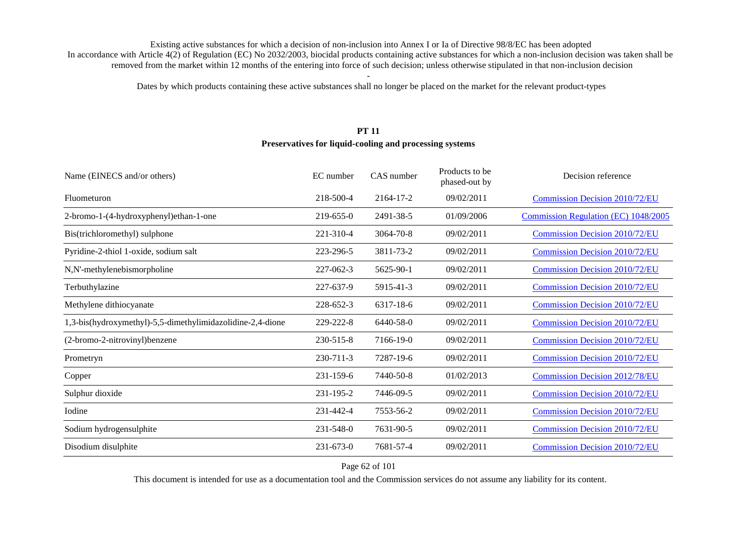Dates by which products containing these active substances shall no longer be placed on the market for the relevant product-types

### **PT 11**

#### **Preservatives for liquid-cooling and processing systems**

| Name (EINECS and/or others)                                | EC number       | CAS number | Products to be<br>phased-out by | Decision reference                    |
|------------------------------------------------------------|-----------------|------------|---------------------------------|---------------------------------------|
| Fluometuron                                                | 218-500-4       | 2164-17-2  | 09/02/2011                      | <b>Commission Decision 2010/72/EU</b> |
| 2-bromo-1-(4-hydroxyphenyl)ethan-1-one                     | 219-655-0       | 2491-38-5  | 01/09/2006                      | Commission Regulation (EC) 1048/2005  |
| Bis(trichloromethyl) sulphone                              | 221-310-4       | 3064-70-8  | 09/02/2011                      | <b>Commission Decision 2010/72/EU</b> |
| Pyridine-2-thiol 1-oxide, sodium salt                      | 223-296-5       | 3811-73-2  | 09/02/2011                      | <b>Commission Decision 2010/72/EU</b> |
| N,N'-methylenebismorpholine                                | 227-062-3       | 5625-90-1  | 09/02/2011                      | <b>Commission Decision 2010/72/EU</b> |
| Terbuthylazine                                             | 227-637-9       | 5915-41-3  | 09/02/2011                      | <b>Commission Decision 2010/72/EU</b> |
| Methylene dithiocyanate                                    | 228-652-3       | 6317-18-6  | 09/02/2011                      | <b>Commission Decision 2010/72/EU</b> |
| 1,3-bis(hydroxymethyl)-5,5-dimethylimidazolidine-2,4-dione | 229-222-8       | 6440-58-0  | 09/02/2011                      | <b>Commission Decision 2010/72/EU</b> |
| (2-bromo-2-nitrovinyl)benzene                              | 230-515-8       | 7166-19-0  | 09/02/2011                      | <b>Commission Decision 2010/72/EU</b> |
| Prometryn                                                  | 230-711-3       | 7287-19-6  | 09/02/2011                      | <b>Commission Decision 2010/72/EU</b> |
| Copper                                                     | 231-159-6       | 7440-50-8  | 01/02/2013                      | <b>Commission Decision 2012/78/EU</b> |
| Sulphur dioxide                                            | 231-195-2       | 7446-09-5  | 09/02/2011                      | <b>Commission Decision 2010/72/EU</b> |
| Iodine                                                     | 231-442-4       | 7553-56-2  | 09/02/2011                      | <b>Commission Decision 2010/72/EU</b> |
| Sodium hydrogensulphite                                    | 231-548-0       | 7631-90-5  | 09/02/2011                      | <b>Commission Decision 2010/72/EU</b> |
| Disodium disulphite                                        | $231 - 673 - 0$ | 7681-57-4  | 09/02/2011                      | <b>Commission Decision 2010/72/EU</b> |
|                                                            |                 |            |                                 |                                       |

### Page 62 of 101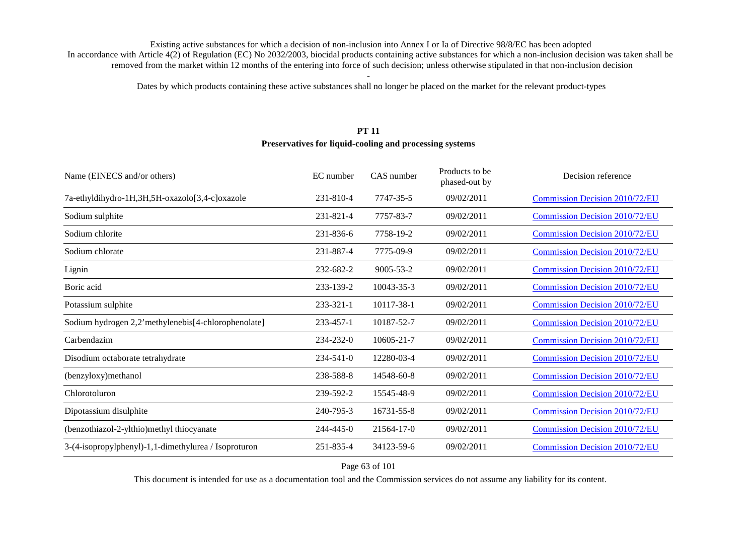Dates by which products containing these active substances shall no longer be placed on the market for the relevant product-types

### **PT 11Preservatives for liquid-cooling and processing systems**

| Name (EINECS and/or others)                          | EC number       | CAS number      | Products to be<br>phased-out by | Decision reference                    |
|------------------------------------------------------|-----------------|-----------------|---------------------------------|---------------------------------------|
| 7a-ethyldihydro-1H,3H,5H-oxazolo[3,4-c]oxazole       | 231-810-4       | 7747-35-5       | 09/02/2011                      | <b>Commission Decision 2010/72/EU</b> |
| Sodium sulphite                                      | 231-821-4       | 7757-83-7       | 09/02/2011                      | <b>Commission Decision 2010/72/EU</b> |
| Sodium chlorite                                      | 231-836-6       | 7758-19-2       | 09/02/2011                      | <b>Commission Decision 2010/72/EU</b> |
| Sodium chlorate                                      | 231-887-4       | 7775-09-9       | 09/02/2011                      | <b>Commission Decision 2010/72/EU</b> |
| Lignin                                               | 232-682-2       | $9005 - 53 - 2$ | 09/02/2011                      | <b>Commission Decision 2010/72/EU</b> |
| Boric acid                                           | 233-139-2       | 10043-35-3      | 09/02/2011                      | <b>Commission Decision 2010/72/EU</b> |
| Potassium sulphite                                   | $233 - 321 - 1$ | 10117-38-1      | 09/02/2011                      | <b>Commission Decision 2010/72/EU</b> |
| Sodium hydrogen 2,2'methylenebis[4-chlorophenolate]  | 233-457-1       | 10187-52-7      | 09/02/2011                      | <b>Commission Decision 2010/72/EU</b> |
| Carbendazim                                          | 234-232-0       | 10605-21-7      | 09/02/2011                      | <b>Commission Decision 2010/72/EU</b> |
| Disodium octaborate tetrahydrate                     | $234 - 541 - 0$ | 12280-03-4      | 09/02/2011                      | <b>Commission Decision 2010/72/EU</b> |
| (benzyloxy)methanol                                  | 238-588-8       | 14548-60-8      | 09/02/2011                      | <b>Commission Decision 2010/72/EU</b> |
| Chlorotoluron                                        | 239-592-2       | 15545-48-9      | 09/02/2011                      | <b>Commission Decision 2010/72/EU</b> |
| Dipotassium disulphite                               | 240-795-3       | 16731-55-8      | 09/02/2011                      | <b>Commission Decision 2010/72/EU</b> |
| (benzothiazol-2-ylthio)methyl thiocyanate            | 244-445-0       | 21564-17-0      | 09/02/2011                      | <b>Commission Decision 2010/72/EU</b> |
| 3-(4-isopropylphenyl)-1,1-dimethylurea / Isoproturon | 251-835-4       | 34123-59-6      | 09/02/2011                      | <b>Commission Decision 2010/72/EU</b> |

Page 63 of 101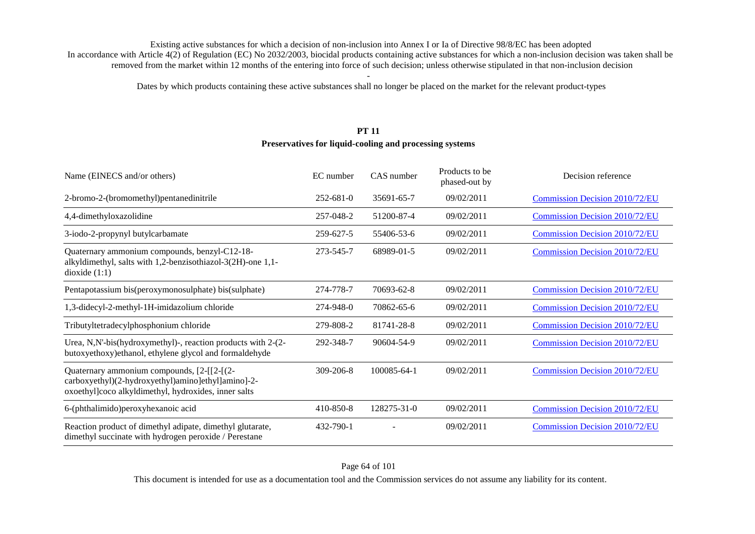Dates by which products containing these active substances shall no longer be placed on the market for the relevant product-types

### **PT 11**

#### **Preservatives for liquid-cooling and processing systems**

| Name (EINECS and/or others)                                                                                                                              | EC number       | CAS number  | Products to be<br>phased-out by | Decision reference                    |
|----------------------------------------------------------------------------------------------------------------------------------------------------------|-----------------|-------------|---------------------------------|---------------------------------------|
| 2-bromo-2-(bromomethyl)pentanedinitrile                                                                                                                  | $252 - 681 - 0$ | 35691-65-7  | 09/02/2011                      | Commission Decision 2010/72/EU        |
| 4,4-dimethyloxazolidine                                                                                                                                  | 257-048-2       | 51200-87-4  | 09/02/2011                      | <b>Commission Decision 2010/72/EU</b> |
| 3-iodo-2-propynyl butylcarbamate                                                                                                                         | 259-627-5       | 55406-53-6  | 09/02/2011                      | <b>Commission Decision 2010/72/EU</b> |
| Quaternary ammonium compounds, benzyl-C12-18-<br>alkyldimethyl, salts with 1,2-benzisothiazol-3(2H)-one 1,1-<br>dioxide $(1:1)$                          | 273-545-7       | 68989-01-5  | 09/02/2011                      | Commission Decision 2010/72/EU        |
| Pentapotassium bis(peroxymonosulphate) bis(sulphate)                                                                                                     | 274-778-7       | 70693-62-8  | 09/02/2011                      | <b>Commission Decision 2010/72/EU</b> |
| 1,3-didecyl-2-methyl-1H-imidazolium chloride                                                                                                             | 274-948-0       | 70862-65-6  | 09/02/2011                      | <b>Commission Decision 2010/72/EU</b> |
| Tributyltetradecylphosphonium chloride                                                                                                                   | 279-808-2       | 81741-28-8  | 09/02/2011                      | <b>Commission Decision 2010/72/EU</b> |
| Urea, N,N'-bis(hydroxymethyl)-, reaction products with 2-(2-<br>butoxyethoxy)ethanol, ethylene glycol and formaldehyde                                   | 292-348-7       | 90604-54-9  | 09/02/2011                      | <b>Commission Decision 2010/72/EU</b> |
| Quaternary ammonium compounds, [2-[[2-[(2-<br>carboxyethyl)(2-hydroxyethyl)amino]ethyl]amino]-2-<br>oxoethyl]coco alkyldimethyl, hydroxides, inner salts | $309 - 206 - 8$ | 100085-64-1 | 09/02/2011                      | <b>Commission Decision 2010/72/EU</b> |
| 6-(phthalimido) peroxyhexanoic acid                                                                                                                      | 410-850-8       | 128275-31-0 | 09/02/2011                      | <b>Commission Decision 2010/72/EU</b> |
| Reaction product of dimethyl adipate, dimethyl glutarate,<br>dimethyl succinate with hydrogen peroxide / Perestane                                       | 432-790-1       |             | 09/02/2011                      | <b>Commission Decision 2010/72/EU</b> |

This document is intended for use as a documentation tool and the Commission services do not assume any liability for its content.

#### Page 64 of 101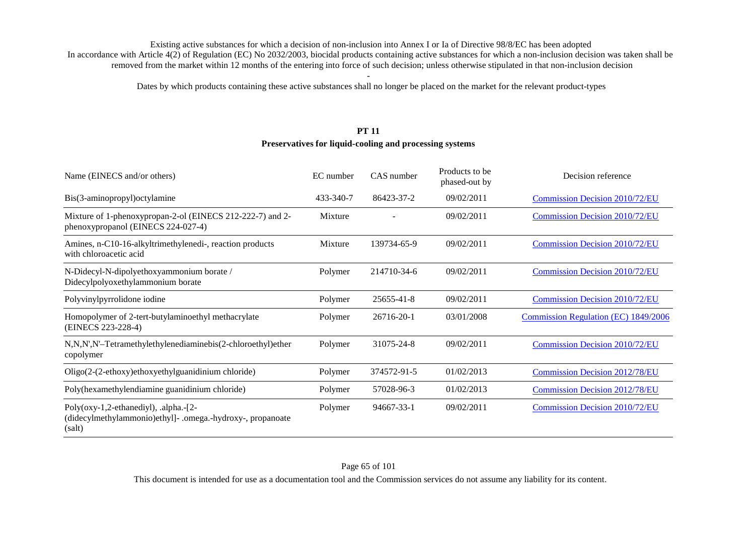Dates by which products containing these active substances shall no longer be placed on the market for the relevant product-types

### **PT 11**

#### **Preservatives for liquid-cooling and processing systems**

| Name (EINECS and/or others)                                                                                      | EC number | CAS number  | Products to be<br>phased-out by | Decision reference                    |
|------------------------------------------------------------------------------------------------------------------|-----------|-------------|---------------------------------|---------------------------------------|
| Bis(3-aminopropyl) octylamine                                                                                    | 433-340-7 | 86423-37-2  | 09/02/2011                      | Commission Decision 2010/72/EU        |
| Mixture of 1-phenoxypropan-2-ol (EINECS 212-222-7) and 2-<br>phenoxypropanol (EINECS 224-027-4)                  | Mixture   |             | 09/02/2011                      | Commission Decision 2010/72/EU        |
| Amines, n-C10-16-alkyltrimethylenedi-, reaction products<br>with chloroacetic acid                               | Mixture   | 139734-65-9 | 09/02/2011                      | Commission Decision 2010/72/EU        |
| N-Didecyl-N-dipolyethoxyammonium borate /<br>Didecylpolyoxethylammonium borate                                   | Polymer   | 214710-34-6 | 09/02/2011                      | <b>Commission Decision 2010/72/EU</b> |
| Polyvinylpyrrolidone iodine                                                                                      | Polymer   | 25655-41-8  | 09/02/2011                      | Commission Decision 2010/72/EU        |
| Homopolymer of 2-tert-butylaminoethyl methacrylate<br>(EINECS 223-228-4)                                         | Polymer   | 26716-20-1  | 03/01/2008                      | Commission Regulation (EC) 1849/2006  |
| N,N,N',N'-Tetramethylethylenediaminebis(2-chloroethyl)ether<br>copolymer                                         | Polymer   | 31075-24-8  | 09/02/2011                      | <b>Commission Decision 2010/72/EU</b> |
| Oligo(2-(2-ethoxy)ethoxyethylguanidinium chloride)                                                               | Polymer   | 374572-91-5 | 01/02/2013                      | <b>Commission Decision 2012/78/EU</b> |
| Poly(hexamethylendiamine guanidinium chloride)                                                                   | Polymer   | 57028-96-3  | 01/02/2013                      | <b>Commission Decision 2012/78/EU</b> |
| Poly( $oxy-1,2$ -ethanediyl), .alpha.-[2-<br>(didecylmethylammonio)ethyll-.omega.-hydroxy-, propanoate<br>(salt) | Polymer   | 94667-33-1  | 09/02/2011                      | <b>Commission Decision 2010/72/EU</b> |

This document is intended for use as a documentation tool and the Commission services do not assume any liability for its content.

#### Page 65 of 101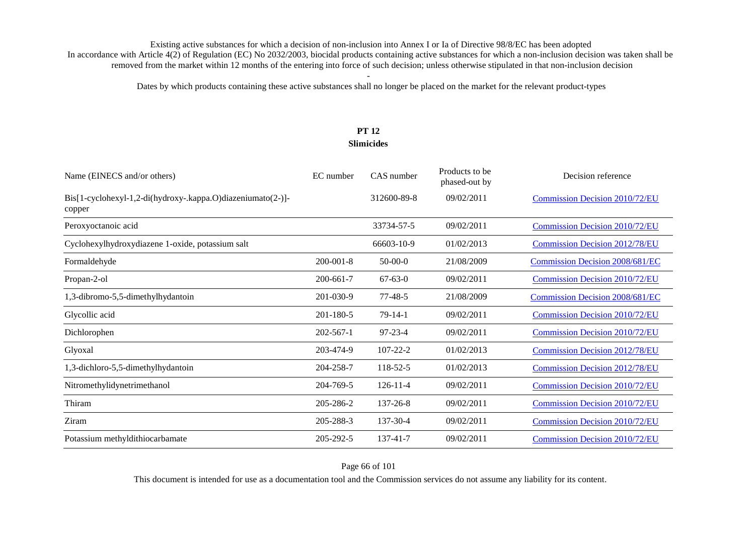Dates by which products containing these active substances shall no longer be placed on the market for the relevant product-types

### **PT 12 Slimicides**

| Name (EINECS and/or others)                                           | EC number       | CAS number     | Products to be<br>phased-out by | Decision reference                     |
|-----------------------------------------------------------------------|-----------------|----------------|---------------------------------|----------------------------------------|
| Bis[1-cyclohexyl-1,2-di(hydroxy-.kappa.O)diazeniumato(2-)]-<br>copper |                 | 312600-89-8    | 09/02/2011                      | Commission Decision 2010/72/EU         |
| Peroxyoctanoic acid                                                   |                 | 33734-57-5     | 09/02/2011                      | <b>Commission Decision 2010/72/EU</b>  |
| Cyclohexylhydroxydiazene 1-oxide, potassium salt                      |                 | 66603-10-9     | 01/02/2013                      | <b>Commission Decision 2012/78/EU</b>  |
| Formaldehyde                                                          | $200 - 001 - 8$ | $50-00-0$      | 21/08/2009                      | <b>Commission Decision 2008/681/EC</b> |
| Propan-2-ol                                                           | 200-661-7       | $67 - 63 - 0$  | 09/02/2011                      | <b>Commission Decision 2010/72/EU</b>  |
| 1,3-dibromo-5,5-dimethylhydantoin                                     | 201-030-9       | $77 - 48 - 5$  | 21/08/2009                      | <b>Commission Decision 2008/681/EC</b> |
| Glycollic acid                                                        | $201 - 180 - 5$ | $79-14-1$      | 09/02/2011                      | <b>Commission Decision 2010/72/EU</b>  |
| Dichlorophen                                                          | $202 - 567 - 1$ | $97 - 23 - 4$  | 09/02/2011                      | <b>Commission Decision 2010/72/EU</b>  |
| Glyoxal                                                               | 203-474-9       | $107 - 22 - 2$ | 01/02/2013                      | <b>Commission Decision 2012/78/EU</b>  |
| 1,3-dichloro-5,5-dimethylhydantoin                                    | 204-258-7       | 118-52-5       | 01/02/2013                      | <b>Commission Decision 2012/78/EU</b>  |
| Nitromethylidynetrimethanol                                           | 204-769-5       | $126 - 11 - 4$ | 09/02/2011                      | <b>Commission Decision 2010/72/EU</b>  |
| Thiram                                                                | 205-286-2       | 137-26-8       | 09/02/2011                      | <b>Commission Decision 2010/72/EU</b>  |
| Ziram                                                                 | 205-288-3       | 137-30-4       | 09/02/2011                      | <b>Commission Decision 2010/72/EU</b>  |
| Potassium methyldithiocarbamate                                       | 205-292-5       | 137-41-7       | 09/02/2011                      | <b>Commission Decision 2010/72/EU</b>  |

Page 66 of 101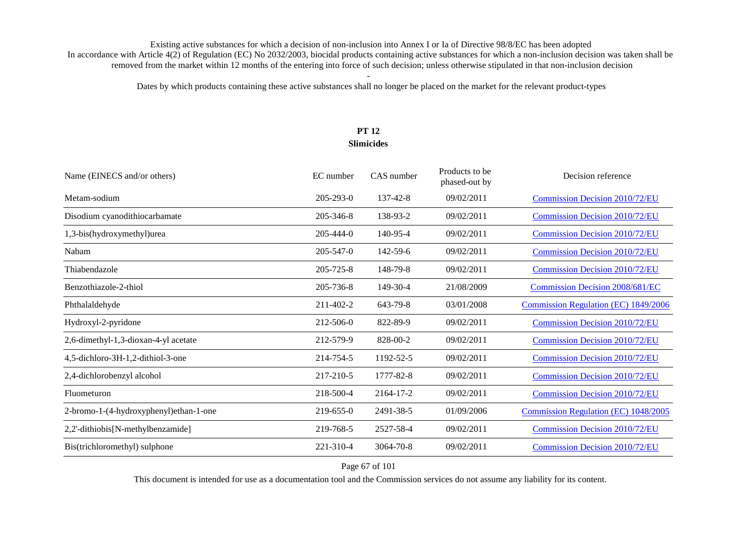Dates by which products containing these active substances shall no longer be placed on the market for the relevant product-types

## **PT 12 Slimicides**

| Name (EINECS and/or others)            | EC number       | CAS number     | Products to be<br>phased-out by | Decision reference                     |
|----------------------------------------|-----------------|----------------|---------------------------------|----------------------------------------|
| Metam-sodium                           | $205 - 293 - 0$ | 137-42-8       | 09/02/2011                      | Commission Decision 2010/72/EU         |
| Disodium cyanodithiocarbamate          | 205-346-8       | 138-93-2       | 09/02/2011                      | <b>Commission Decision 2010/72/EU</b>  |
| 1,3-bis(hydroxymethyl)urea             | $205 - 444 - 0$ | 140-95-4       | 09/02/2011                      | <b>Commission Decision 2010/72/EU</b>  |
| Nabam                                  | $205 - 547 - 0$ | 142-59-6       | 09/02/2011                      | <b>Commission Decision 2010/72/EU</b>  |
| Thiabendazole                          | 205-725-8       | 148-79-8       | 09/02/2011                      | <b>Commission Decision 2010/72/EU</b>  |
| Benzothiazole-2-thiol                  | 205-736-8       | $149 - 30 - 4$ | 21/08/2009                      | <b>Commission Decision 2008/681/EC</b> |
| Phthalaldehyde                         | 211-402-2       | 643-79-8       | 03/01/2008                      | Commission Regulation (EC) 1849/2006   |
| Hydroxyl-2-pyridone                    | 212-506-0       | 822-89-9       | 09/02/2011                      | <b>Commission Decision 2010/72/EU</b>  |
| 2,6-dimethyl-1,3-dioxan-4-yl acetate   | 212-579-9       | 828-00-2       | 09/02/2011                      | <b>Commission Decision 2010/72/EU</b>  |
| 4,5-dichloro-3H-1,2-dithiol-3-one      | 214-754-5       | 1192-52-5      | 09/02/2011                      | <b>Commission Decision 2010/72/EU</b>  |
| 2,4-dichlorobenzyl alcohol             | 217-210-5       | 1777-82-8      | 09/02/2011                      | <b>Commission Decision 2010/72/EU</b>  |
| Fluometuron                            | 218-500-4       | 2164-17-2      | 09/02/2011                      | <b>Commission Decision 2010/72/EU</b>  |
| 2-bromo-1-(4-hydroxyphenyl)ethan-1-one | 219-655-0       | 2491-38-5      | 01/09/2006                      | Commission Regulation (EC) 1048/2005   |
| 2,2'-dithiobis[N-methylbenzamide]      | 219-768-5       | 2527-58-4      | 09/02/2011                      | <b>Commission Decision 2010/72/EU</b>  |
| Bis(trichloromethyl) sulphone          | 221-310-4       | 3064-70-8      | 09/02/2011                      | <b>Commission Decision 2010/72/EU</b>  |

### Page 67 of 101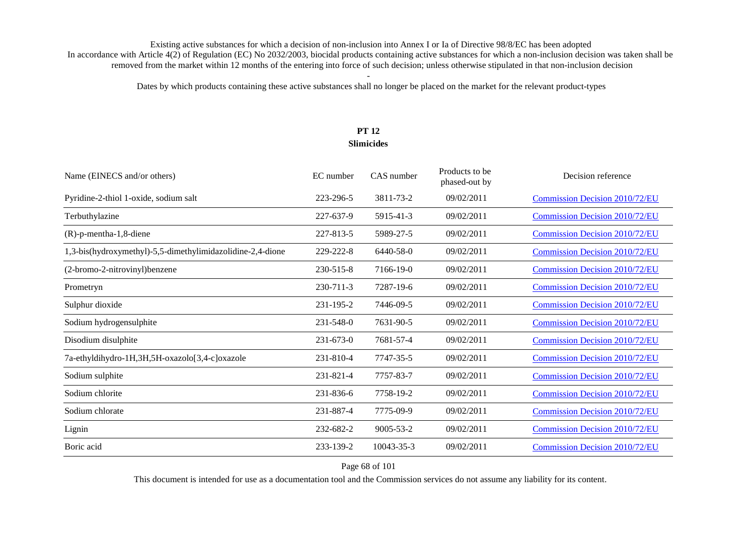Dates by which products containing these active substances shall no longer be placed on the market for the relevant product-types

### **PT 12 Slimicides**

| Name (EINECS and/or others)                                | EC number       | CAS number      | Products to be<br>phased-out by | Decision reference                    |
|------------------------------------------------------------|-----------------|-----------------|---------------------------------|---------------------------------------|
| Pyridine-2-thiol 1-oxide, sodium salt                      | 223-296-5       | 3811-73-2       | 09/02/2011                      | <b>Commission Decision 2010/72/EU</b> |
| Terbuthylazine                                             | 227-637-9       | 5915-41-3       | 09/02/2011                      | <b>Commission Decision 2010/72/EU</b> |
| (R)-p-mentha-1,8-diene                                     | 227-813-5       | 5989-27-5       | 09/02/2011                      | <b>Commission Decision 2010/72/EU</b> |
| 1,3-bis(hydroxymethyl)-5,5-dimethylimidazolidine-2,4-dione | 229-222-8       | 6440-58-0       | 09/02/2011                      | <b>Commission Decision 2010/72/EU</b> |
| (2-bromo-2-nitrovinyl) benzene                             | 230-515-8       | 7166-19-0       | 09/02/2011                      | <b>Commission Decision 2010/72/EU</b> |
| Prometryn                                                  | 230-711-3       | 7287-19-6       | 09/02/2011                      | <b>Commission Decision 2010/72/EU</b> |
| Sulphur dioxide                                            | 231-195-2       | 7446-09-5       | 09/02/2011                      | <b>Commission Decision 2010/72/EU</b> |
| Sodium hydrogensulphite                                    | 231-548-0       | 7631-90-5       | 09/02/2011                      | <b>Commission Decision 2010/72/EU</b> |
| Disodium disulphite                                        | $231 - 673 - 0$ | 7681-57-4       | 09/02/2011                      | <b>Commission Decision 2010/72/EU</b> |
| 7a-ethyldihydro-1H,3H,5H-oxazolo[3,4-c]oxazole             | 231-810-4       | 7747-35-5       | 09/02/2011                      | <b>Commission Decision 2010/72/EU</b> |
| Sodium sulphite                                            | 231-821-4       | 7757-83-7       | 09/02/2011                      | <b>Commission Decision 2010/72/EU</b> |
| Sodium chlorite                                            | 231-836-6       | 7758-19-2       | 09/02/2011                      | <b>Commission Decision 2010/72/EU</b> |
| Sodium chlorate                                            | 231-887-4       | 7775-09-9       | 09/02/2011                      | <b>Commission Decision 2010/72/EU</b> |
| Lignin                                                     | 232-682-2       | $9005 - 53 - 2$ | 09/02/2011                      | <b>Commission Decision 2010/72/EU</b> |
| Boric acid                                                 | 233-139-2       | 10043-35-3      | 09/02/2011                      | <b>Commission Decision 2010/72/EU</b> |

Page 68 of 101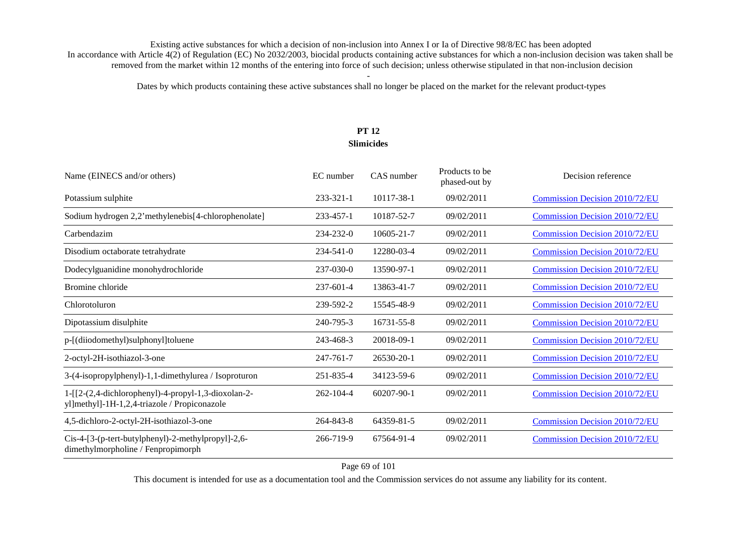Dates by which products containing these active substances shall no longer be placed on the market for the relevant product-types

# **PT 12 Slimicides**

| Name (EINECS and/or others)                                                                         | EC number       | CAS number       | Products to be<br>phased-out by | Decision reference                    |
|-----------------------------------------------------------------------------------------------------|-----------------|------------------|---------------------------------|---------------------------------------|
| Potassium sulphite                                                                                  | 233-321-1       | 10117-38-1       | 09/02/2011                      | <b>Commission Decision 2010/72/EU</b> |
| Sodium hydrogen 2,2'methylenebis[4-chlorophenolate]                                                 | 233-457-1       | 10187-52-7       | 09/02/2011                      | <b>Commission Decision 2010/72/EU</b> |
| Carbendazim                                                                                         | 234-232-0       | 10605-21-7       | 09/02/2011                      | Commission Decision 2010/72/EU        |
| Disodium octaborate tetrahydrate                                                                    | $234 - 541 - 0$ | 12280-03-4       | 09/02/2011                      | <b>Commission Decision 2010/72/EU</b> |
| Dodecylguanidine monohydrochloride                                                                  | 237-030-0       | 13590-97-1       | 09/02/2011                      | <b>Commission Decision 2010/72/EU</b> |
| Bromine chloride                                                                                    | 237-601-4       | 13863-41-7       | 09/02/2011                      | Commission Decision 2010/72/EU        |
| Chlorotoluron                                                                                       | 239-592-2       | 15545-48-9       | 09/02/2011                      | Commission Decision 2010/72/EU        |
| Dipotassium disulphite                                                                              | 240-795-3       | 16731-55-8       | 09/02/2011                      | <b>Commission Decision 2010/72/EU</b> |
| p-[(diiodomethyl)sulphonyl]toluene                                                                  | 243-468-3       | 20018-09-1       | 09/02/2011                      | <b>Commission Decision 2010/72/EU</b> |
| 2-octyl-2H-isothiazol-3-one                                                                         | 247-761-7       | $26530 - 20 - 1$ | 09/02/2011                      | <b>Commission Decision 2010/72/EU</b> |
| 3-(4-isopropylphenyl)-1,1-dimethylurea / Isoproturon                                                | 251-835-4       | 34123-59-6       | 09/02/2011                      | <b>Commission Decision 2010/72/EU</b> |
| 1-[[2-(2,4-dichlorophenyl)-4-propyl-1,3-dioxolan-2-<br>yl]methyl]-1H-1,2,4-triazole / Propiconazole | $262 - 104 - 4$ | 60207-90-1       | 09/02/2011                      | <b>Commission Decision 2010/72/EU</b> |
| 4,5-dichloro-2-octyl-2H-isothiazol-3-one                                                            | 264-843-8       | 64359-81-5       | 09/02/2011                      | Commission Decision 2010/72/EU        |
| Cis-4-[3-(p-tert-butylphenyl)-2-methylpropyl]-2,6-<br>dimethylmorpholine / Fenpropimorph            | 266-719-9       | 67564-91-4       | 09/02/2011                      | <b>Commission Decision 2010/72/EU</b> |

Page 69 of 101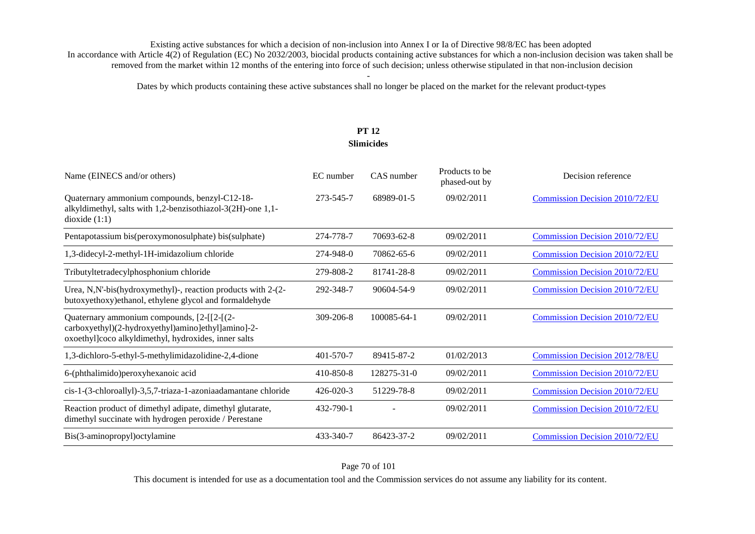Dates by which products containing these active substances shall no longer be placed on the market for the relevant product-types

### **PT 12 Slimicides**

| Name (EINECS and/or others)                                                                                                                              | EC number       | CAS number  | Products to be<br>phased-out by | Decision reference                    |
|----------------------------------------------------------------------------------------------------------------------------------------------------------|-----------------|-------------|---------------------------------|---------------------------------------|
| Quaternary ammonium compounds, benzyl-C12-18-<br>alkyldimethyl, salts with 1,2-benzisothiazol-3(2H)-one 1,1-<br>dioxide $(1:1)$                          | 273-545-7       | 68989-01-5  | 09/02/2011                      | Commission Decision 2010/72/EU        |
| Pentapotassium bis(peroxymonosulphate) bis(sulphate)                                                                                                     | 274-778-7       | 70693-62-8  | 09/02/2011                      | <b>Commission Decision 2010/72/EU</b> |
| 1,3-didecyl-2-methyl-1H-imidazolium chloride                                                                                                             | 274-948-0       | 70862-65-6  | 09/02/2011                      | <b>Commission Decision 2010/72/EU</b> |
| Tributyltetradecylphosphonium chloride                                                                                                                   | 279-808-2       | 81741-28-8  | 09/02/2011                      | <b>Commission Decision 2010/72/EU</b> |
| Urea, N,N'-bis(hydroxymethyl)-, reaction products with 2-(2-<br>butoxyethoxy)ethanol, ethylene glycol and formaldehyde                                   | 292-348-7       | 90604-54-9  | 09/02/2011                      | Commission Decision 2010/72/EU        |
| Quaternary ammonium compounds, [2-[[2-[(2-<br>carboxyethyl)(2-hydroxyethyl)amino]ethyl]amino]-2-<br>oxoethyl]coco alkyldimethyl, hydroxides, inner salts | $309 - 206 - 8$ | 100085-64-1 | 09/02/2011                      | <b>Commission Decision 2010/72/EU</b> |
| 1,3-dichloro-5-ethyl-5-methylimidazolidine-2,4-dione                                                                                                     | $401 - 570 - 7$ | 89415-87-2  | 01/02/2013                      | <b>Commission Decision 2012/78/EU</b> |
| 6-(phthalimido) peroxy hexanoic acid                                                                                                                     | 410-850-8       | 128275-31-0 | 09/02/2011                      | <b>Commission Decision 2010/72/EU</b> |
| cis-1-(3-chloroallyl)-3,5,7-triaza-1-azoniaadamantane chloride                                                                                           | $426 - 020 - 3$ | 51229-78-8  | 09/02/2011                      | <b>Commission Decision 2010/72/EU</b> |
| Reaction product of dimethyl adipate, dimethyl glutarate,<br>dimethyl succinate with hydrogen peroxide / Perestane                                       | 432-790-1       |             | 09/02/2011                      | <b>Commission Decision 2010/72/EU</b> |
| Bis(3-aminopropyl)octylamine                                                                                                                             | 433-340-7       | 86423-37-2  | 09/02/2011                      | <b>Commission Decision 2010/72/EU</b> |

Page 70 of 101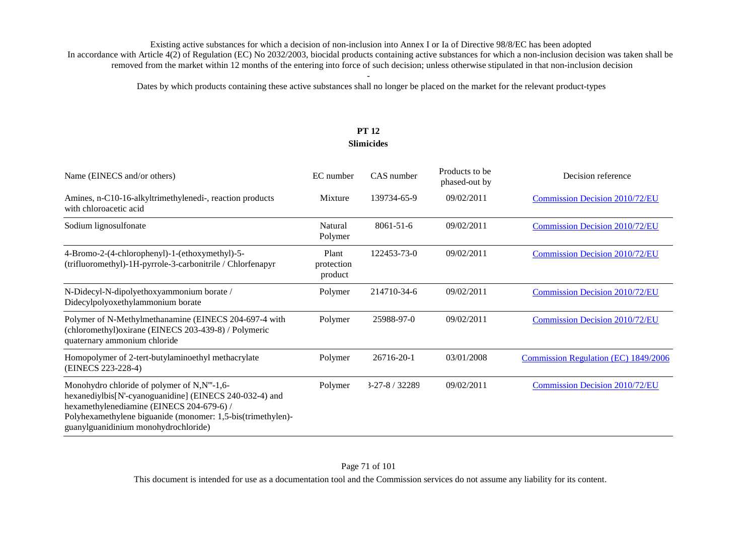Dates by which products containing these active substances shall no longer be placed on the market for the relevant product-types

# **PT 12 Slimicides**

| Name (EINECS and/or others)                                                                                                                                                                                                                                | EC number                      | CAS number      | Products to be<br>phased-out by | Decision reference                          |
|------------------------------------------------------------------------------------------------------------------------------------------------------------------------------------------------------------------------------------------------------------|--------------------------------|-----------------|---------------------------------|---------------------------------------------|
| Amines, n-C10-16-alkyltrimethylenedi-, reaction products<br>with chloroacetic acid                                                                                                                                                                         | Mixture                        | 139734-65-9     | 09/02/2011                      | Commission Decision 2010/72/EU              |
| Sodium lignosulfonate                                                                                                                                                                                                                                      | Natural<br>Polymer             | $8061 - 51 - 6$ | 09/02/2011                      | <b>Commission Decision 2010/72/EU</b>       |
| 4-Bromo-2-(4-chlorophenyl)-1-(ethoxymethyl)-5-<br>(trifluoromethyl)-1H-pyrrole-3-carbonitrile / Chlorfenapyr                                                                                                                                               | Plant<br>protection<br>product | 122453-73-0     | 09/02/2011                      | <b>Commission Decision 2010/72/EU</b>       |
| N-Didecyl-N-dipolyethoxyammonium borate /<br>Didecylpolyoxethylammonium borate                                                                                                                                                                             | Polymer                        | 214710-34-6     | 09/02/2011                      | Commission Decision 2010/72/EU              |
| Polymer of N-Methylmethanamine (EINECS 204-697-4 with<br>(chloromethyl) oxirane (EINECS 203-439-8) / Polymeric<br>quaternary ammonium chloride                                                                                                             | Polymer                        | 25988-97-0      | 09/02/2011                      | Commission Decision 2010/72/EU              |
| Homopolymer of 2-tert-butylaminoethyl methacrylate<br>(EINECS 223-228-4)                                                                                                                                                                                   | Polymer                        | 26716-20-1      | 03/01/2008                      | <b>Commission Regulation (EC) 1849/2006</b> |
| Monohydro chloride of polymer of N,N"'-1,6-<br>hexanediylbis[N'-cyanoguanidine] (EINECS 240-032-4) and<br>hexamethylenediamine (EINECS 204-679-6) /<br>Polyhexamethylene biguanide (monomer: 1,5-bis(trimethylen)-<br>guanylguanidinium monohydrochloride) | Polymer                        | $3-27-8/32289$  | 09/02/2011                      | <b>Commission Decision 2010/72/EU</b>       |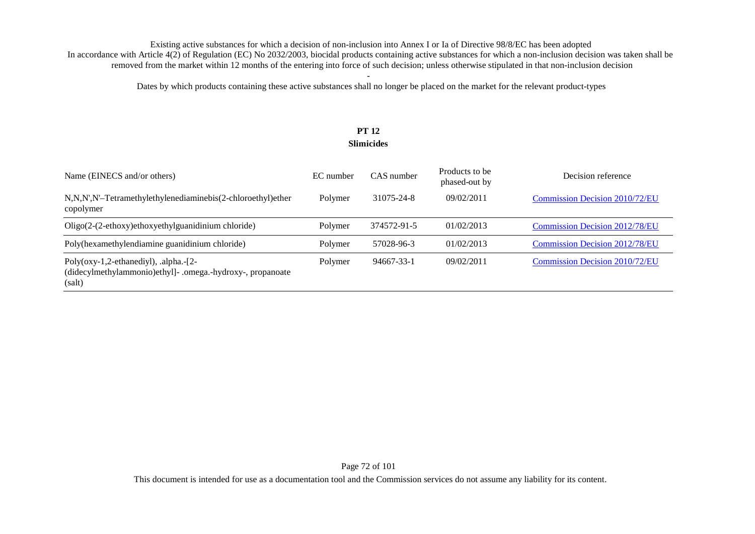Dates by which products containing these active substances shall no longer be placed on the market for the relevant product-types

# **PT 12 Slimicides**

| Name (EINECS and/or others)                                                                                          | EC number | CAS number  | Products to be<br>phased-out by | Decision reference                    |
|----------------------------------------------------------------------------------------------------------------------|-----------|-------------|---------------------------------|---------------------------------------|
| N,N,N',N'-Tetramethylethylenediaminebis(2-chloroethyl)ether<br>copolymer                                             | Polymer   | 31075-24-8  | 09/02/2011                      | <b>Commission Decision 2010/72/EU</b> |
| Oligo(2-(2-ethoxy)ethoxyethylguanidinium chloride)                                                                   | Polymer   | 374572-91-5 | 01/02/2013                      | <b>Commission Decision 2012/78/EU</b> |
| Poly(hexamethylendiamine guanidinium chloride)                                                                       | Polymer   | 57028-96-3  | 01/02/2013                      | <b>Commission Decision 2012/78/EU</b> |
| Poly( $oxy-1,2$ -ethanediyl), .alpha.- $[2-$<br>(didecylmethylammonio)ethyl]- .omega.-hydroxy-, propanoate<br>(salt) | Polymer   | 94667-33-1  | 09/02/2011                      | <b>Commission Decision 2010/72/EU</b> |

This document is intended for use as a documentation tool and the Commission services do not assume any liability for its content.

### Page 72 of 101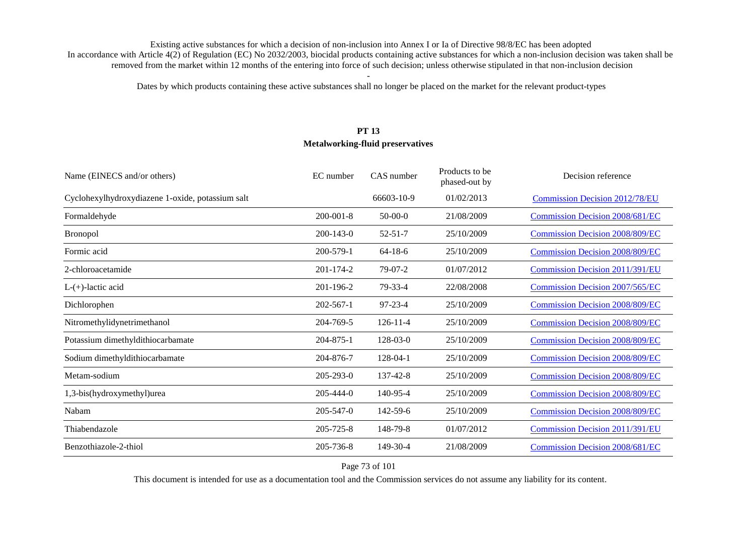Dates by which products containing these active substances shall no longer be placed on the market for the relevant product-types

# **PT 13 Metalworking-fluid preservatives**

| Name (EINECS and/or others)                      | EC number       | CAS number     | Products to be<br>phased-out by | Decision reference                     |
|--------------------------------------------------|-----------------|----------------|---------------------------------|----------------------------------------|
| Cyclohexylhydroxydiazene 1-oxide, potassium salt |                 | 66603-10-9     | 01/02/2013                      | <b>Commission Decision 2012/78/EU</b>  |
| Formaldehyde                                     | $200 - 001 - 8$ | $50-00-0$      | 21/08/2009                      | <b>Commission Decision 2008/681/EC</b> |
| <b>Bronopol</b>                                  | $200 - 143 - 0$ | $52 - 51 - 7$  | 25/10/2009                      | <b>Commission Decision 2008/809/EC</b> |
| Formic acid                                      | 200-579-1       | $64-18-6$      | 25/10/2009                      | <b>Commission Decision 2008/809/EC</b> |
| 2-chloroacetamide                                | 201-174-2       | $79-07-2$      | 01/07/2012                      | <b>Commission Decision 2011/391/EU</b> |
| $L-(+)$ -lactic acid                             | 201-196-2       | 79-33-4        | 22/08/2008                      | <b>Commission Decision 2007/565/EC</b> |
| Dichlorophen                                     | $202 - 567 - 1$ | $97 - 23 - 4$  | 25/10/2009                      | <b>Commission Decision 2008/809/EC</b> |
| Nitromethylidynetrimethanol                      | 204-769-5       | $126 - 11 - 4$ | 25/10/2009                      | <b>Commission Decision 2008/809/EC</b> |
| Potassium dimethyldithiocarbamate                | 204-875-1       | $128 - 03 - 0$ | 25/10/2009                      | <b>Commission Decision 2008/809/EC</b> |
| Sodium dimethyldithiocarbamate                   | 204-876-7       | 128-04-1       | 25/10/2009                      | <b>Commission Decision 2008/809/EC</b> |
| Metam-sodium                                     | 205-293-0       | 137-42-8       | 25/10/2009                      | <b>Commission Decision 2008/809/EC</b> |
| 1,3-bis(hydroxymethyl)urea                       | $205 - 444 - 0$ | 140-95-4       | 25/10/2009                      | <b>Commission Decision 2008/809/EC</b> |
| Nabam                                            | 205-547-0       | $142 - 59 - 6$ | 25/10/2009                      | <b>Commission Decision 2008/809/EC</b> |
| Thiabendazole                                    | 205-725-8       | 148-79-8       | 01/07/2012                      | Commission Decision 2011/391/EU        |
| Benzothiazole-2-thiol                            | 205-736-8       | 149-30-4       | 21/08/2009                      | <b>Commission Decision 2008/681/EC</b> |

Page 73 of 101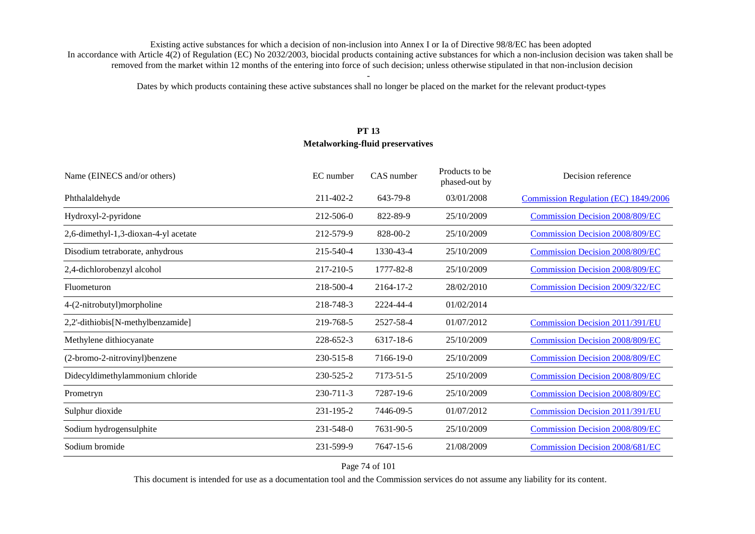Dates by which products containing these active substances shall no longer be placed on the market for the relevant product-types

# **PT 13 Metalworking-fluid preservatives**

| Name (EINECS and/or others)          | EC number | CAS number | Products to be<br>phased-out by | Decision reference                     |
|--------------------------------------|-----------|------------|---------------------------------|----------------------------------------|
| Phthalaldehyde                       | 211-402-2 | 643-79-8   | 03/01/2008                      | Commission Regulation (EC) 1849/2006   |
| Hydroxyl-2-pyridone                  | 212-506-0 | 822-89-9   | 25/10/2009                      | <b>Commission Decision 2008/809/EC</b> |
| 2,6-dimethyl-1,3-dioxan-4-yl acetate | 212-579-9 | 828-00-2   | 25/10/2009                      | <b>Commission Decision 2008/809/EC</b> |
| Disodium tetraborate, anhydrous      | 215-540-4 | 1330-43-4  | 25/10/2009                      | <b>Commission Decision 2008/809/EC</b> |
| 2,4-dichlorobenzyl alcohol           | 217-210-5 | 1777-82-8  | 25/10/2009                      | <b>Commission Decision 2008/809/EC</b> |
| Fluometuron                          | 218-500-4 | 2164-17-2  | 28/02/2010                      | <b>Commission Decision 2009/322/EC</b> |
| 4-(2-nitrobutyl)morpholine           | 218-748-3 | 2224-44-4  | 01/02/2014                      |                                        |
| 2,2'-dithiobis[N-methylbenzamide]    | 219-768-5 | 2527-58-4  | 01/07/2012                      | Commission Decision 2011/391/EU        |
| Methylene dithiocyanate              | 228-652-3 | 6317-18-6  | 25/10/2009                      | <b>Commission Decision 2008/809/EC</b> |
| (2-bromo-2-nitrovinyl) benzene       | 230-515-8 | 7166-19-0  | 25/10/2009                      | <b>Commission Decision 2008/809/EC</b> |
| Didecyldimethylammonium chloride     | 230-525-2 | 7173-51-5  | 25/10/2009                      | <b>Commission Decision 2008/809/EC</b> |
| Prometryn                            | 230-711-3 | 7287-19-6  | 25/10/2009                      | <b>Commission Decision 2008/809/EC</b> |
| Sulphur dioxide                      | 231-195-2 | 7446-09-5  | 01/07/2012                      | <b>Commission Decision 2011/391/EU</b> |
| Sodium hydrogensulphite              | 231-548-0 | 7631-90-5  | 25/10/2009                      | <b>Commission Decision 2008/809/EC</b> |
| Sodium bromide                       | 231-599-9 | 7647-15-6  | 21/08/2009                      | <b>Commission Decision 2008/681/EC</b> |

Page 74 of 101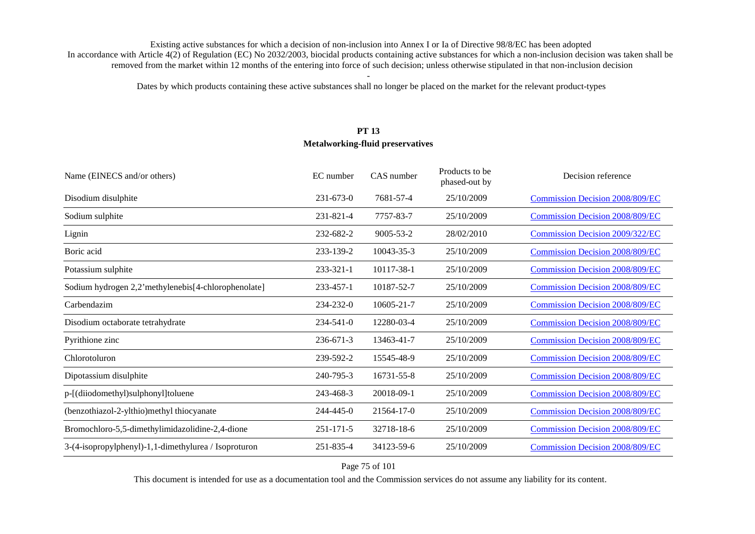Dates by which products containing these active substances shall no longer be placed on the market for the relevant product-types

# **PT 13 Metalworking-fluid preservatives**

| Name (EINECS and/or others)                          | EC number       | CAS number      | Products to be<br>phased-out by | Decision reference                     |
|------------------------------------------------------|-----------------|-----------------|---------------------------------|----------------------------------------|
| Disodium disulphite                                  | $231 - 673 - 0$ | 7681-57-4       | 25/10/2009                      | <b>Commission Decision 2008/809/EC</b> |
| Sodium sulphite                                      | 231-821-4       | 7757-83-7       | 25/10/2009                      | <b>Commission Decision 2008/809/EC</b> |
| Lignin                                               | 232-682-2       | $9005 - 53 - 2$ | 28/02/2010                      | Commission Decision 2009/322/EC        |
| Boric acid                                           | 233-139-2       | 10043-35-3      | 25/10/2009                      | <b>Commission Decision 2008/809/EC</b> |
| Potassium sulphite                                   | 233-321-1       | 10117-38-1      | 25/10/2009                      | <b>Commission Decision 2008/809/EC</b> |
| Sodium hydrogen 2,2'methylenebis[4-chlorophenolate]  | 233-457-1       | 10187-52-7      | 25/10/2009                      | <b>Commission Decision 2008/809/EC</b> |
| Carbendazim                                          | 234-232-0       | 10605-21-7      | 25/10/2009                      | <b>Commission Decision 2008/809/EC</b> |
| Disodium octaborate tetrahydrate                     | $234 - 541 - 0$ | 12280-03-4      | 25/10/2009                      | <b>Commission Decision 2008/809/EC</b> |
| Pyrithione zinc                                      | $236 - 671 - 3$ | 13463-41-7      | 25/10/2009                      | <b>Commission Decision 2008/809/EC</b> |
| Chlorotoluron                                        | 239-592-2       | 15545-48-9      | 25/10/2009                      | <b>Commission Decision 2008/809/EC</b> |
| Dipotassium disulphite                               | 240-795-3       | 16731-55-8      | 25/10/2009                      | <b>Commission Decision 2008/809/EC</b> |
| p-[(diiodomethyl)sulphonyl]toluene                   | 243-468-3       | 20018-09-1      | 25/10/2009                      | <b>Commission Decision 2008/809/EC</b> |
| (benzothiazol-2-ylthio)methyl thiocyanate            | 244-445-0       | 21564-17-0      | 25/10/2009                      | <b>Commission Decision 2008/809/EC</b> |
| Bromochloro-5,5-dimethylimidazolidine-2,4-dione      | $251 - 171 - 5$ | 32718-18-6      | 25/10/2009                      | <b>Commission Decision 2008/809/EC</b> |
| 3-(4-isopropylphenyl)-1,1-dimethylurea / Isoproturon | 251-835-4       | 34123-59-6      | 25/10/2009                      | <b>Commission Decision 2008/809/EC</b> |

### Page 75 of 101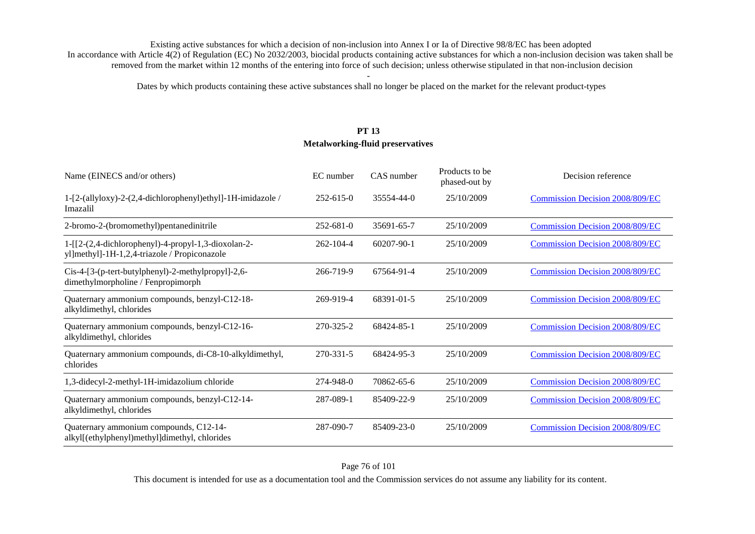Dates by which products containing these active substances shall no longer be placed on the market for the relevant product-types

# **PT 13 Metalworking-fluid preservatives**

| Name (EINECS and/or others)                                                                                 | EC number       | CAS number | Products to be<br>phased-out by | Decision reference                     |
|-------------------------------------------------------------------------------------------------------------|-----------------|------------|---------------------------------|----------------------------------------|
| 1-[2-(allyloxy)-2-(2,4-dichlorophenyl)ethyl]-1H-imidazole /<br>Imazalil                                     | $252 - 615 - 0$ | 35554-44-0 | 25/10/2009                      | <b>Commission Decision 2008/809/EC</b> |
| 2-bromo-2-(bromomethyl)pentanedinitrile                                                                     | $252 - 681 - 0$ | 35691-65-7 | 25/10/2009                      | <b>Commission Decision 2008/809/EC</b> |
| $1 - [[2-(2,4-dichloropheny)] - 4-propy] - 1,3-dioxolan-2-$<br>yl]methyl]-1H-1,2,4-triazole / Propiconazole | $262 - 104 - 4$ | 60207-90-1 | 25/10/2009                      | <b>Commission Decision 2008/809/EC</b> |
| Cis-4-[3-(p-tert-butylphenyl)-2-methylpropyl]-2,6-<br>dimethylmorpholine / Fenpropimorph                    | 266-719-9       | 67564-91-4 | 25/10/2009                      | <b>Commission Decision 2008/809/EC</b> |
| Quaternary ammonium compounds, benzyl-C12-18-<br>alkyldimethyl, chlorides                                   | 269-919-4       | 68391-01-5 | 25/10/2009                      | <b>Commission Decision 2008/809/EC</b> |
| Quaternary ammonium compounds, benzyl-C12-16-<br>alkyldimethyl, chlorides                                   | 270-325-2       | 68424-85-1 | 25/10/2009                      | <b>Commission Decision 2008/809/EC</b> |
| Quaternary ammonium compounds, di-C8-10-alkyldimethyl,<br>chlorides                                         | 270-331-5       | 68424-95-3 | 25/10/2009                      | <b>Commission Decision 2008/809/EC</b> |
| 1,3-didecyl-2-methyl-1H-imidazolium chloride                                                                | 274-948-0       | 70862-65-6 | 25/10/2009                      | <b>Commission Decision 2008/809/EC</b> |
| Quaternary ammonium compounds, benzyl-C12-14-<br>alkyldimethyl, chlorides                                   | 287-089-1       | 85409-22-9 | 25/10/2009                      | <b>Commission Decision 2008/809/EC</b> |
| Quaternary ammonium compounds, C12-14-<br>alkyl[(ethylphenyl)methyl]dimethyl, chlorides                     | 287-090-7       | 85409-23-0 | 25/10/2009                      | <b>Commission Decision 2008/809/EC</b> |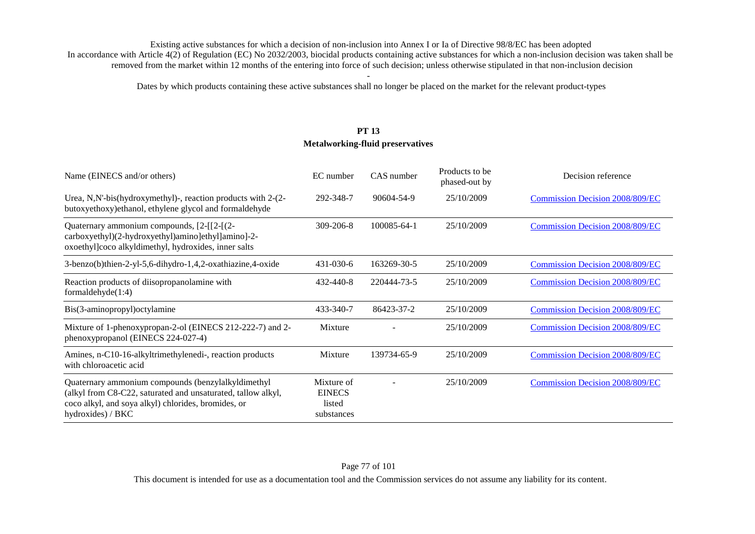Dates by which products containing these active substances shall no longer be placed on the market for the relevant product-types

# **PT 13 Metalworking-fluid preservatives**

| Name (EINECS and/or others)                                                                                                                                                                    | EC number                                           | CAS number  | Products to be<br>phased-out by | Decision reference                     |
|------------------------------------------------------------------------------------------------------------------------------------------------------------------------------------------------|-----------------------------------------------------|-------------|---------------------------------|----------------------------------------|
| Urea, N,N'-bis(hydroxymethyl)-, reaction products with 2-(2-<br>butoxyethoxy)ethanol, ethylene glycol and formaldehyde                                                                         | 292-348-7                                           | 90604-54-9  | 25/10/2009                      | <b>Commission Decision 2008/809/EC</b> |
| Quaternary ammonium compounds, [2-[[2-[(2-<br>carboxyethyl)(2-hydroxyethyl)amino]ethyl]amino]-2-<br>oxoethyl]coco alkyldimethyl, hydroxides, inner salts                                       | $309 - 206 - 8$                                     | 100085-64-1 | 25/10/2009                      | <b>Commission Decision 2008/809/EC</b> |
| 3-benzo(b)thien-2-yl-5,6-dihydro-1,4,2-oxathiazine,4-oxide                                                                                                                                     | 431-030-6                                           | 163269-30-5 | 25/10/2009                      | <b>Commission Decision 2008/809/EC</b> |
| Reaction products of diisopropanolamine with<br>formaldehyde $(1:4)$                                                                                                                           | 432-440-8                                           | 220444-73-5 | 25/10/2009                      | <b>Commission Decision 2008/809/EC</b> |
| Bis(3-aminopropyl) octylamine                                                                                                                                                                  | 433-340-7                                           | 86423-37-2  | 25/10/2009                      | <b>Commission Decision 2008/809/EC</b> |
| Mixture of 1-phenoxypropan-2-ol (EINECS 212-222-7) and 2-<br>phenoxypropanol (EINECS 224-027-4)                                                                                                | Mixture                                             |             | 25/10/2009                      | <b>Commission Decision 2008/809/EC</b> |
| Amines, n-C10-16-alkyltrimethylenedi-, reaction products<br>with chloroacetic acid                                                                                                             | Mixture                                             | 139734-65-9 | 25/10/2009                      | <b>Commission Decision 2008/809/EC</b> |
| Quaternary ammonium compounds (benzylalkyldimethyl<br>(alkyl from C8-C22, saturated and unsaturated, tallow alkyl,<br>coco alkyl, and soya alkyl) chlorides, bromides, or<br>hydroxides) / BKC | Mixture of<br><b>EINECS</b><br>listed<br>substances |             | 25/10/2009                      | <b>Commission Decision 2008/809/EC</b> |

### Page 77 of 101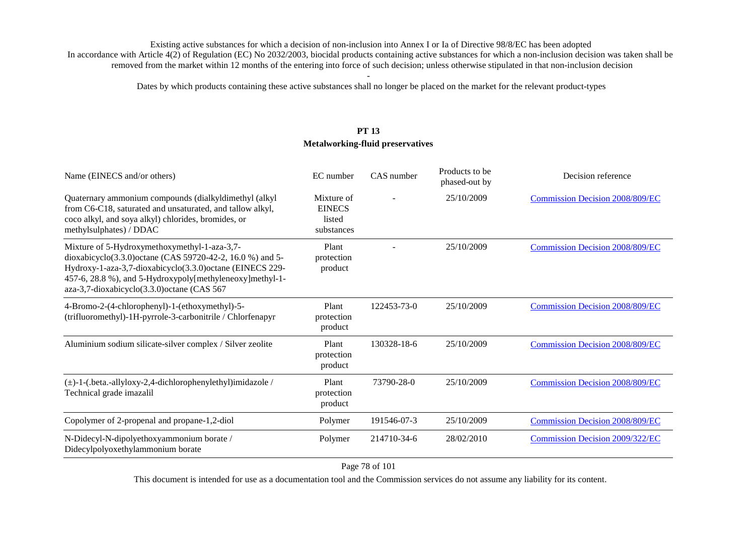Dates by which products containing these active substances shall no longer be placed on the market for the relevant product-types

# **PT 13 Metalworking-fluid preservatives**

| Name (EINECS and/or others)                                                                                                                                                                                                                                                        | EC number                                           | CAS number  | Products to be<br>phased-out by | Decision reference                     |
|------------------------------------------------------------------------------------------------------------------------------------------------------------------------------------------------------------------------------------------------------------------------------------|-----------------------------------------------------|-------------|---------------------------------|----------------------------------------|
| Quaternary ammonium compounds (dialkyldimethyl (alkyl<br>from C6-C18, saturated and unsaturated, and tallow alkyl,<br>coco alkyl, and soya alkyl) chlorides, bromides, or<br>methylsulphates) / DDAC                                                                               | Mixture of<br><b>EINECS</b><br>listed<br>substances |             | 25/10/2009                      | <b>Commission Decision 2008/809/EC</b> |
| Mixture of 5-Hydroxymethoxymethyl-1-aza-3,7-<br>dioxabicyclo(3.3.0) octane (CAS 59720-42-2, 16.0 %) and 5-<br>Hydroxy-1-aza-3,7-dioxabicyclo(3.3.0) octane (EINECS 229-<br>457-6, 28.8 %), and 5-Hydroxypoly[methyleneoxy]methyl-1-<br>aza-3,7-dioxabicyclo(3.3.0) octane (CAS 567 | Plant<br>protection<br>product                      |             | 25/10/2009                      | Commission Decision 2008/809/EC        |
| 4-Bromo-2-(4-chlorophenyl)-1-(ethoxymethyl)-5-<br>(trifluoromethyl)-1H-pyrrole-3-carbonitrile / Chlorfenapyr                                                                                                                                                                       | Plant<br>protection<br>product                      | 122453-73-0 | 25/10/2009                      | <b>Commission Decision 2008/809/EC</b> |
| Aluminium sodium silicate-silver complex / Silver zeolite                                                                                                                                                                                                                          | Plant<br>protection<br>product                      | 130328-18-6 | 25/10/2009                      | <b>Commission Decision 2008/809/EC</b> |
| (±)-1-(.beta.-allyloxy-2,4-dichlorophenylethyl)imidazole /<br>Technical grade imazalil                                                                                                                                                                                             | Plant<br>protection<br>product                      | 73790-28-0  | 25/10/2009                      | <b>Commission Decision 2008/809/EC</b> |
| Copolymer of 2-propenal and propane-1,2-diol                                                                                                                                                                                                                                       | Polymer                                             | 191546-07-3 | 25/10/2009                      | <b>Commission Decision 2008/809/EC</b> |
| N-Didecyl-N-dipolyethoxyammonium borate /<br>Didecylpolyoxethylammonium borate                                                                                                                                                                                                     | Polymer                                             | 214710-34-6 | 28/02/2010                      | <b>Commission Decision 2009/322/EC</b> |

Page 78 of 101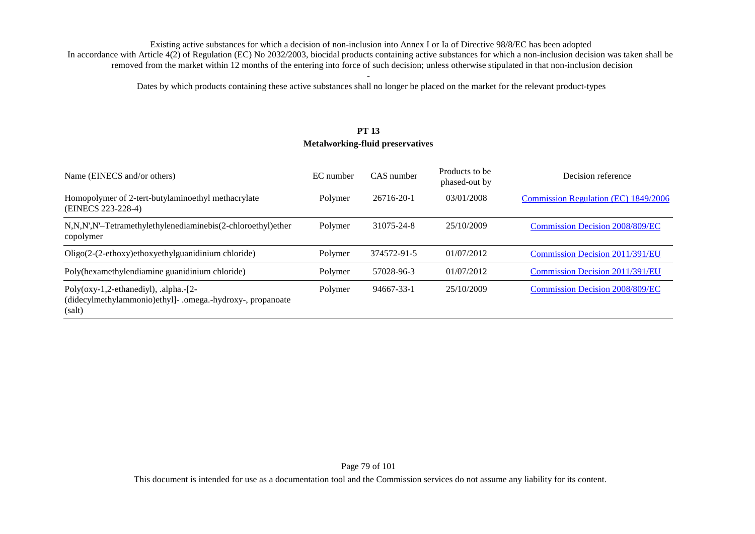Dates by which products containing these active substances shall no longer be placed on the market for the relevant product-types

# **PT 13 Metalworking-fluid preservatives**

| Name (EINECS and/or others)                                                                                          | EC number | CAS number  | Products to be<br>phased-out by | Decision reference                     |
|----------------------------------------------------------------------------------------------------------------------|-----------|-------------|---------------------------------|----------------------------------------|
| Homopolymer of 2-tert-butylaminoethyl methacrylate<br>(EINECS 223-228-4)                                             | Polymer   | 26716-20-1  | 03/01/2008                      | Commission Regulation (EC) 1849/2006   |
| N,N,N',N'-Tetramethylethylenediaminebis(2-chloroethyl)ether<br>copolymer                                             | Polymer   | 31075-24-8  | 25/10/2009                      | <b>Commission Decision 2008/809/EC</b> |
| $Oligo(2-(2-ethoxy)ethoxyethylguanidinium chloride)$                                                                 | Polymer   | 374572-91-5 | 01/07/2012                      | Commission Decision 2011/391/EU        |
| Poly(hexamethylendiamine guanidinium chloride)                                                                       | Polymer   | 57028-96-3  | 01/07/2012                      | Commission Decision 2011/391/EU        |
| Poly( $oxy-1,2$ -ethanediyl), .alpha.- $[2-$<br>(didecylmethylammonio)ethyl]- .omega.-hydroxy-, propanoate<br>(salt) | Polymer   | 94667-33-1  | 25/10/2009                      | <b>Commission Decision 2008/809/EC</b> |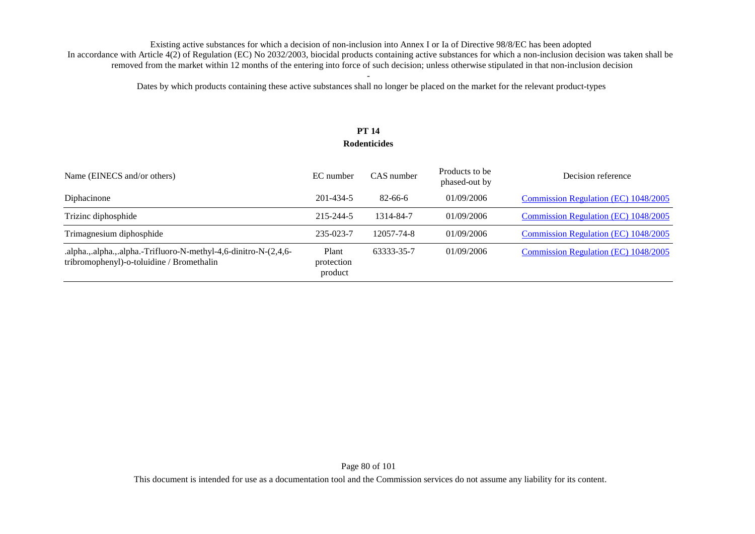Dates by which products containing these active substances shall no longer be placed on the market for the relevant product-types

### **PT 14 Rodenticides**

| Name (EINECS and/or others)                                                                                   | EC number                      | CAS number    | Products to be<br>phased-out by | Decision reference                          |
|---------------------------------------------------------------------------------------------------------------|--------------------------------|---------------|---------------------------------|---------------------------------------------|
| Diphacinone                                                                                                   | 201-434-5                      | $82 - 66 - 6$ | 01/09/2006                      | Commission Regulation (EC) 1048/2005        |
| Trizinc diphosphide                                                                                           | 215-244-5                      | 1314-84-7     | 01/09/2006                      | Commission Regulation (EC) 1048/2005        |
| Trimagnesium diphosphide                                                                                      | 235-023-7                      | 12057-74-8    | 01/09/2006                      | Commission Regulation (EC) 1048/2005        |
| .alpha.,.alpha.,.alpha.-Trifluoro-N-methyl-4,6-dinitro-N-(2,4,6-<br>tribromophenyl)-o-toluidine / Bromethalin | Plant<br>protection<br>product | 63333-35-7    | 01/09/2006                      | <b>Commission Regulation (EC) 1048/2005</b> |

Page 80 of 101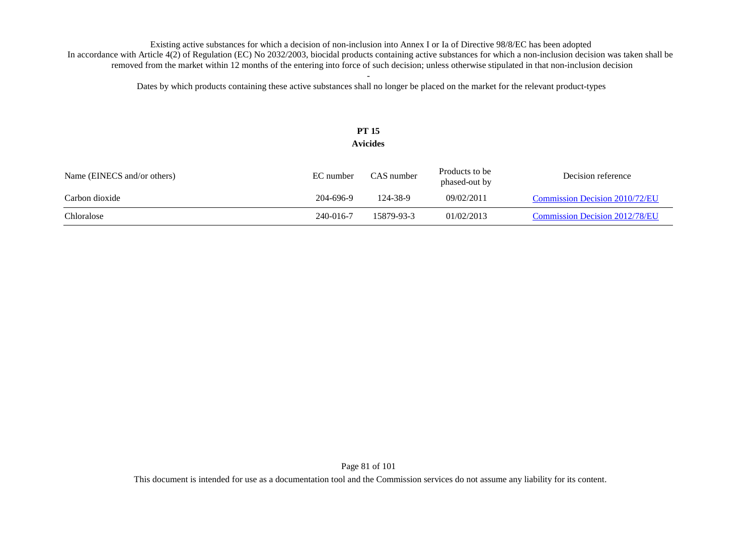Dates by which products containing these active substances shall no longer be placed on the market for the relevant product-types

### **PT 15 Avicides**

| Name (EINECS and/or others) | EC number | CAS number | Products to be<br>phased-out by | Decision reference                    |
|-----------------------------|-----------|------------|---------------------------------|---------------------------------------|
| Carbon dioxide              | 204-696-9 | 124-38-9   | 09/02/2011                      | <b>Commission Decision 2010/72/EU</b> |
| Chloralose                  | 240-016-7 | 15879-93-3 | 01/02/2013                      | <b>Commission Decision 2012/78/EU</b> |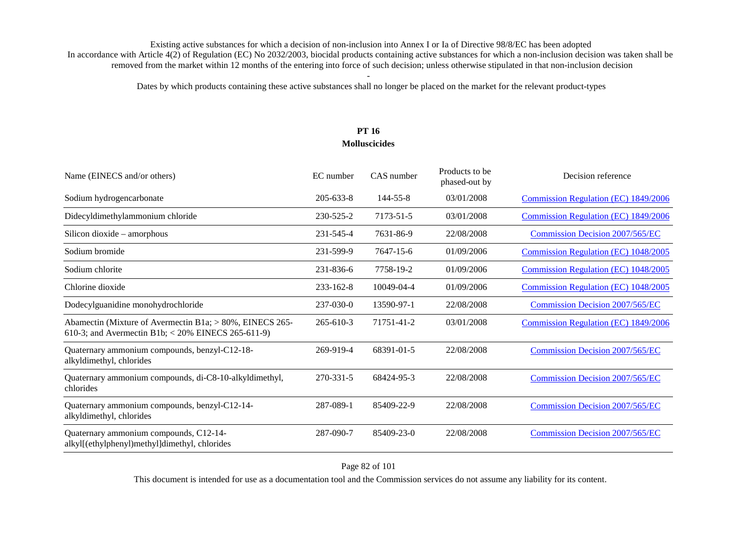Dates by which products containing these active substances shall no longer be placed on the market for the relevant product-types

## **PT 16 Molluscicides**

| Name (EINECS and/or others)                                                                                      | EC number       | CAS number     | Products to be<br>phased-out by | Decision reference                     |
|------------------------------------------------------------------------------------------------------------------|-----------------|----------------|---------------------------------|----------------------------------------|
| Sodium hydrogencarbonate                                                                                         | $205 - 633 - 8$ | $144 - 55 - 8$ | 03/01/2008                      | Commission Regulation (EC) 1849/2006   |
| Didecyldimethylammonium chloride                                                                                 | 230-525-2       | 7173-51-5      | 03/01/2008                      | Commission Regulation (EC) 1849/2006   |
| Silicon dioxide – amorphous                                                                                      | 231-545-4       | 7631-86-9      | 22/08/2008                      | Commission Decision 2007/565/EC        |
| Sodium bromide                                                                                                   | 231-599-9       | 7647-15-6      | 01/09/2006                      | Commission Regulation (EC) 1048/2005   |
| Sodium chlorite                                                                                                  | 231-836-6       | 7758-19-2      | 01/09/2006                      | Commission Regulation (EC) 1048/2005   |
| Chlorine dioxide                                                                                                 | $233 - 162 - 8$ | 10049-04-4     | 01/09/2006                      | Commission Regulation (EC) 1048/2005   |
| Dodecylguanidine monohydrochloride                                                                               | 237-030-0       | 13590-97-1     | 22/08/2008                      | Commission Decision 2007/565/EC        |
| Abamectin (Mixture of Avermectin B1a; > 80%, EINECS 265-<br>610-3; and Avermectin B1b; $<$ 20% EINECS 265-611-9) | $265 - 610 - 3$ | 71751-41-2     | 03/01/2008                      | Commission Regulation (EC) 1849/2006   |
| Quaternary ammonium compounds, benzyl-C12-18-<br>alkyldimethyl, chlorides                                        | 269-919-4       | 68391-01-5     | 22/08/2008                      | Commission Decision 2007/565/EC        |
| Quaternary ammonium compounds, di-C8-10-alkyldimethyl,<br>chlorides                                              | 270-331-5       | 68424-95-3     | 22/08/2008                      | <b>Commission Decision 2007/565/EC</b> |
| Quaternary ammonium compounds, benzyl-C12-14-<br>alkyldimethyl, chlorides                                        | 287-089-1       | 85409-22-9     | 22/08/2008                      | <b>Commission Decision 2007/565/EC</b> |
| Quaternary ammonium compounds, C12-14-<br>alkyl[(ethylphenyl)methyl]dimethyl, chlorides                          | 287-090-7       | 85409-23-0     | 22/08/2008                      | Commission Decision 2007/565/EC        |

Page 82 of 101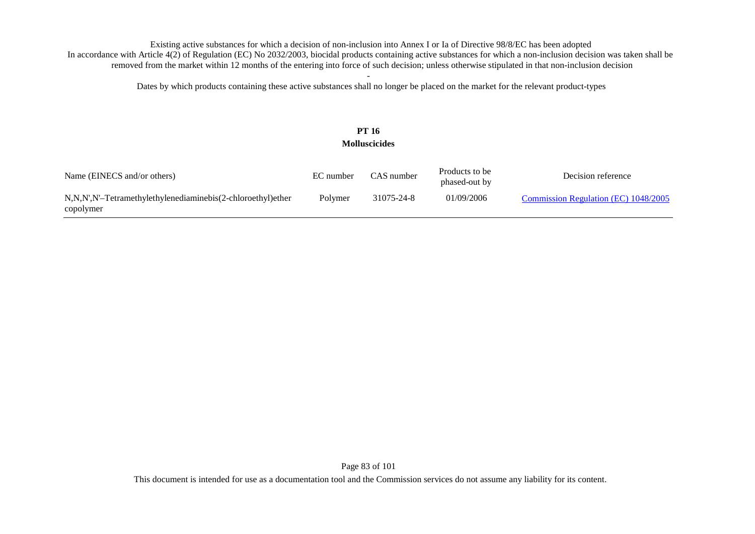Dates by which products containing these active substances shall no longer be placed on the market for the relevant product-types

## **PT 16 Molluscicides**

| Name (EINECS and/or others)                                              | EC number | CAS number | Products to be<br>phased-out by | Decision reference                   |
|--------------------------------------------------------------------------|-----------|------------|---------------------------------|--------------------------------------|
| N,N,N',N'-Tetramethylethylenediaminebis(2-chloroethyl)ether<br>copolymer | Polymer   | 31075-24-8 | 01/09/2006                      | Commission Regulation (EC) 1048/2005 |

Page 83 of 101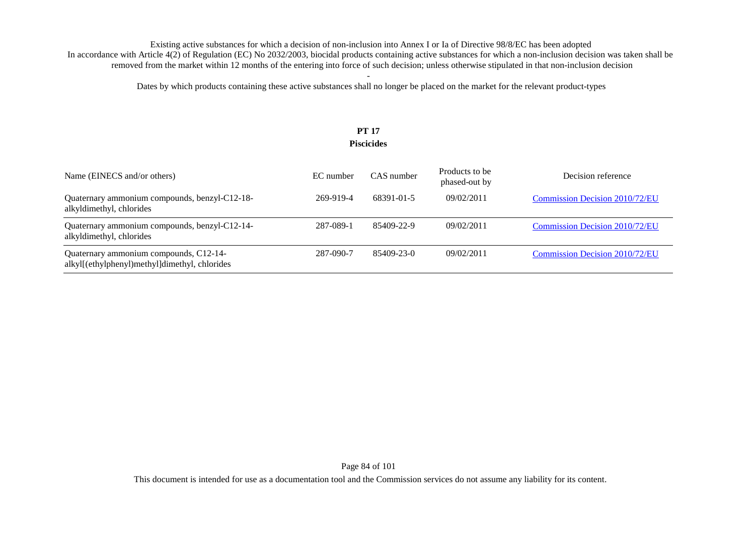Dates by which products containing these active substances shall no longer be placed on the market for the relevant product-types

### **PT 17 Piscicides**

| Name (EINECS and/or others)                                                             | EC number | CAS number | Products to be<br>phased-out by | Decision reference             |
|-----------------------------------------------------------------------------------------|-----------|------------|---------------------------------|--------------------------------|
| Quaternary ammonium compounds, benzyl-C12-18-<br>alkyldimethyl, chlorides               | 269-919-4 | 68391-01-5 | 09/02/2011                      | Commission Decision 2010/72/EU |
| Quaternary ammonium compounds, benzyl-C12-14-<br>alkyldimethyl, chlorides               | 287-089-1 | 85409-22-9 | 09/02/2011                      | Commission Decision 2010/72/EU |
| Quaternary ammonium compounds, C12-14-<br>alkyl[(ethylphenyl)methyl]dimethyl, chlorides | 287-090-7 | 85409-23-0 | 09/02/2011                      | Commission Decision 2010/72/EU |

Page 84 of 101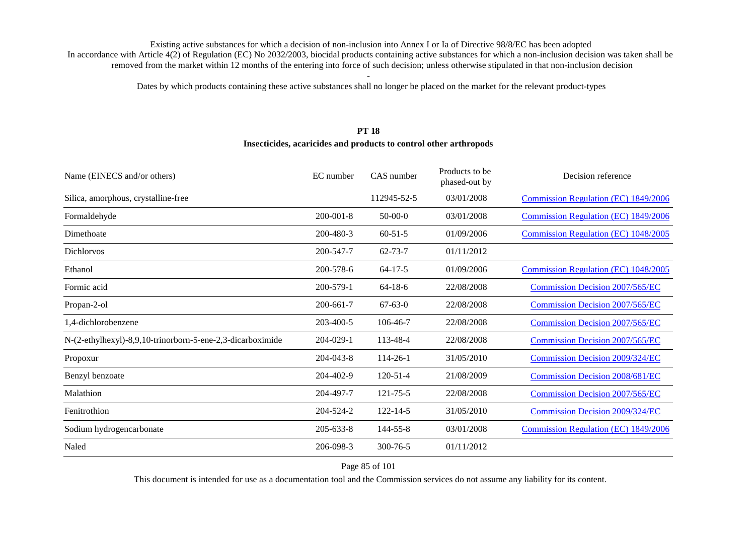Dates by which products containing these active substances shall no longer be placed on the market for the relevant product-types

#### **PT 18**

#### **Insecticides, acaricides and products to control other arthropods**

| Name (EINECS and/or others)                                | EC number       | CAS number     | Products to be<br>phased-out by | Decision reference                     |
|------------------------------------------------------------|-----------------|----------------|---------------------------------|----------------------------------------|
| Silica, amorphous, crystalline-free                        |                 | 112945-52-5    | 03/01/2008                      | Commission Regulation (EC) 1849/2006   |
| Formaldehyde                                               | $200 - 001 - 8$ | $50-00-0$      | 03/01/2008                      | Commission Regulation (EC) 1849/2006   |
| Dimethoate                                                 | 200-480-3       | $60 - 51 - 5$  | 01/09/2006                      | Commission Regulation (EC) 1048/2005   |
| <b>Dichlorvos</b>                                          | 200-547-7       | $62 - 73 - 7$  | 01/11/2012                      |                                        |
| Ethanol                                                    | 200-578-6       | $64 - 17 - 5$  | 01/09/2006                      | Commission Regulation (EC) 1048/2005   |
| Formic acid                                                | 200-579-1       | $64-18-6$      | 22/08/2008                      | <b>Commission Decision 2007/565/EC</b> |
| Propan-2-ol                                                | 200-661-7       | $67 - 63 - 0$  | 22/08/2008                      | <b>Commission Decision 2007/565/EC</b> |
| 1,4-dichlorobenzene                                        | 203-400-5       | 106-46-7       | 22/08/2008                      | <b>Commission Decision 2007/565/EC</b> |
| N-(2-ethylhexyl)-8,9,10-trinorborn-5-ene-2,3-dicarboximide | 204-029-1       | 113-48-4       | 22/08/2008                      | <b>Commission Decision 2007/565/EC</b> |
| Propoxur                                                   | 204-043-8       | $114 - 26 - 1$ | 31/05/2010                      | Commission Decision 2009/324/EC        |
| Benzyl benzoate                                            | 204-402-9       | $120 - 51 - 4$ | 21/08/2009                      | Commission Decision 2008/681/EC        |
| Malathion                                                  | 204-497-7       | 121-75-5       | 22/08/2008                      | <b>Commission Decision 2007/565/EC</b> |
| Fenitrothion                                               | 204-524-2       | $122 - 14 - 5$ | 31/05/2010                      | Commission Decision 2009/324/EC        |
| Sodium hydrogencarbonate                                   | $205 - 633 - 8$ | 144-55-8       | 03/01/2008                      | Commission Regulation (EC) 1849/2006   |
| Naled                                                      | 206-098-3       | $300 - 76 - 5$ | 01/11/2012                      |                                        |

Page 85 of 101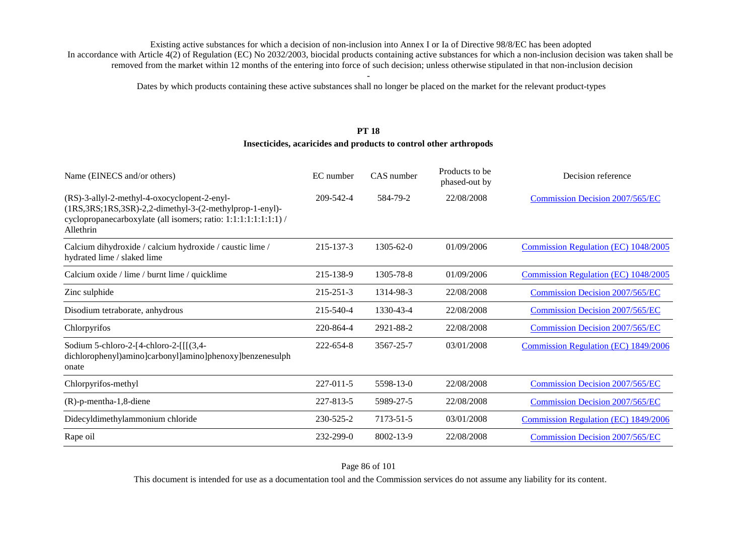Dates by which products containing these active substances shall no longer be placed on the market for the relevant product-types

#### **PT 18**

#### **Insecticides, acaricides and products to control other arthropods**

| Name (EINECS and/or others)                                                                                                                                                             | EC number       | CAS number      | Products to be<br>phased-out by | Decision reference                     |
|-----------------------------------------------------------------------------------------------------------------------------------------------------------------------------------------|-----------------|-----------------|---------------------------------|----------------------------------------|
| (RS)-3-allyl-2-methyl-4-oxocyclopent-2-enyl-<br>(1RS,3RS;1RS,3SR)-2,2-dimethyl-3-(2-methylprop-1-enyl)-<br>cyclopropanecarboxylate (all isomers; ratio: 1:1:1:1:1:1:1:1) /<br>Allethrin | 209-542-4       | 584-79-2        | 22/08/2008                      | Commission Decision 2007/565/EC        |
| Calcium dihydroxide / calcium hydroxide / caustic lime /<br>hydrated lime / slaked lime                                                                                                 | 215-137-3       | $1305 - 62 - 0$ | 01/09/2006                      | Commission Regulation (EC) 1048/2005   |
| Calcium oxide / lime / burnt lime / quicklime                                                                                                                                           | 215-138-9       | 1305-78-8       | 01/09/2006                      | Commission Regulation (EC) 1048/2005   |
| Zinc sulphide                                                                                                                                                                           | $215 - 251 - 3$ | 1314-98-3       | 22/08/2008                      | Commission Decision 2007/565/EC        |
| Disodium tetraborate, anhydrous                                                                                                                                                         | 215-540-4       | 1330-43-4       | 22/08/2008                      | <b>Commission Decision 2007/565/EC</b> |
| Chlorpyrifos                                                                                                                                                                            | 220-864-4       | 2921-88-2       | 22/08/2008                      | Commission Decision 2007/565/EC        |
| Sodium 5-chloro-2- $[4$ -chloro-2- $[[(3,4-$<br>dichlorophenyl)amino]carbonyl]amino]phenoxy]benzenesulph<br>onate                                                                       | 222-654-8       | 3567-25-7       | 03/01/2008                      | Commission Regulation (EC) 1849/2006   |
| Chlorpyrifos-methyl                                                                                                                                                                     | 227-011-5       | 5598-13-0       | 22/08/2008                      | Commission Decision 2007/565/EC        |
| $(R)$ -p-mentha-1,8-diene                                                                                                                                                               | 227-813-5       | 5989-27-5       | 22/08/2008                      | Commission Decision 2007/565/EC        |
| Didecyldimethylammonium chloride                                                                                                                                                        | 230-525-2       | 7173-51-5       | 03/01/2008                      | Commission Regulation (EC) 1849/2006   |
| Rape oil                                                                                                                                                                                | 232-299-0       | 8002-13-9       | 22/08/2008                      | Commission Decision 2007/565/EC        |

Page 86 of 101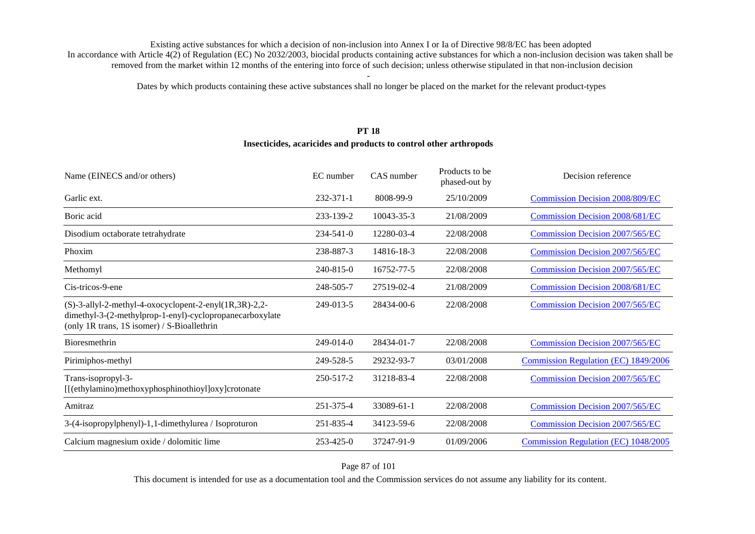Dates by which products containing these active substances shall no longer be placed on the market for the relevant product-types

#### **PT 18**

#### **Insecticides, acaricides and products to control other arthropods**

| Name (EINECS and/or others)                                                                                                                                             | EC number       | CAS number | Products to be<br>phased-out by | Decision reference                     |
|-------------------------------------------------------------------------------------------------------------------------------------------------------------------------|-----------------|------------|---------------------------------|----------------------------------------|
| Garlic ext.                                                                                                                                                             | 232-371-1       | 8008-99-9  | 25/10/2009                      | <b>Commission Decision 2008/809/EC</b> |
| Boric acid                                                                                                                                                              | 233-139-2       | 10043-35-3 | 21/08/2009                      | <b>Commission Decision 2008/681/EC</b> |
| Disodium octaborate tetrahydrate                                                                                                                                        | $234 - 541 - 0$ | 12280-03-4 | 22/08/2008                      | <b>Commission Decision 2007/565/EC</b> |
| Phoxim                                                                                                                                                                  | 238-887-3       | 14816-18-3 | 22/08/2008                      | <b>Commission Decision 2007/565/EC</b> |
| Methomyl                                                                                                                                                                | 240-815-0       | 16752-77-5 | 22/08/2008                      | <b>Commission Decision 2007/565/EC</b> |
| Cis-tricos-9-ene                                                                                                                                                        | 248-505-7       | 27519-02-4 | 21/08/2009                      | <b>Commission Decision 2008/681/EC</b> |
| $(S)-3$ -allyl-2-methyl-4-oxocyclopent-2-enyl $(1R,3R)-2,2-$<br>dimethyl-3-(2-methylprop-1-enyl)-cyclopropanecarboxylate<br>(only 1R trans, 1S isomer) / S-Bioallethrin | 249-013-5       | 28434-00-6 | 22/08/2008                      | <b>Commission Decision 2007/565/EC</b> |
| <b>Bioresmethrin</b>                                                                                                                                                    | $249-014-0$     | 28434-01-7 | 22/08/2008                      | <b>Commission Decision 2007/565/EC</b> |
| Pirimiphos-methyl                                                                                                                                                       | 249-528-5       | 29232-93-7 | 03/01/2008                      | Commission Regulation (EC) 1849/2006   |
| Trans-isopropyl-3-<br>[[(ethylamino)methoxyphosphinothioyl]oxy]crotonate                                                                                                | 250-517-2       | 31218-83-4 | 22/08/2008                      | <b>Commission Decision 2007/565/EC</b> |
| Amitraz                                                                                                                                                                 | 251-375-4       | 33089-61-1 | 22/08/2008                      | <b>Commission Decision 2007/565/EC</b> |
| 3-(4-isopropylphenyl)-1,1-dimethylurea / Isoproturon                                                                                                                    | 251-835-4       | 34123-59-6 | 22/08/2008                      | <b>Commission Decision 2007/565/EC</b> |
| Calcium magnesium oxide / dolomitic lime                                                                                                                                | 253-425-0       | 37247-91-9 | 01/09/2006                      | Commission Regulation (EC) 1048/2005   |

Page 87 of 101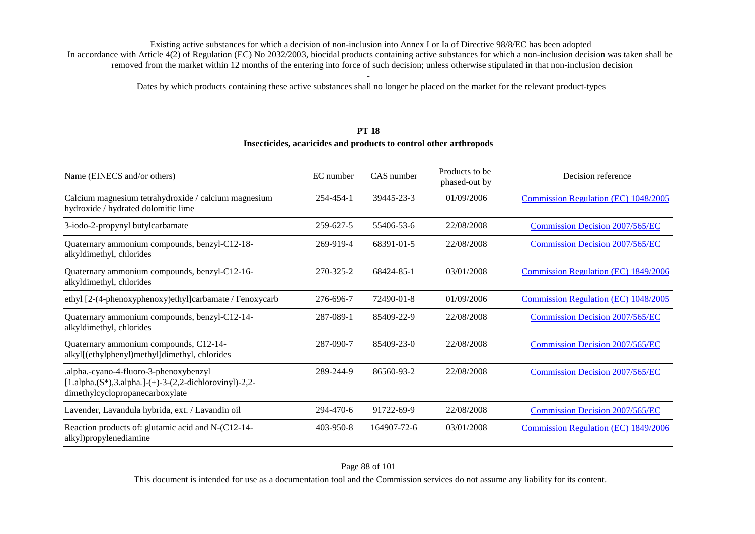Dates by which products containing these active substances shall no longer be placed on the market for the relevant product-types

### **PT 18**

#### **Insecticides, acaricides and products to control other arthropods**

| Name (EINECS and/or others)                                                                                                               | EC number | CAS number  | Products to be<br>phased-out by | Decision reference                          |
|-------------------------------------------------------------------------------------------------------------------------------------------|-----------|-------------|---------------------------------|---------------------------------------------|
| Calcium magnesium tetrahydroxide / calcium magnesium<br>hydroxide / hydrated dolomitic lime                                               | 254-454-1 | 39445-23-3  | 01/09/2006                      | Commission Regulation (EC) 1048/2005        |
| 3-iodo-2-propynyl butylcarbamate                                                                                                          | 259-627-5 | 55406-53-6  | 22/08/2008                      | <b>Commission Decision 2007/565/EC</b>      |
| Quaternary ammonium compounds, benzyl-C12-18-<br>alkyldimethyl, chlorides                                                                 | 269-919-4 | 68391-01-5  | 22/08/2008                      | Commission Decision 2007/565/EC             |
| Quaternary ammonium compounds, benzyl-C12-16-<br>alkyldimethyl, chlorides                                                                 | 270-325-2 | 68424-85-1  | 03/01/2008                      | <b>Commission Regulation (EC) 1849/2006</b> |
| ethyl [2-(4-phenoxyphenoxy)ethyl]carbamate / Fenoxycarb                                                                                   | 276-696-7 | 72490-01-8  | 01/09/2006                      | Commission Regulation (EC) 1048/2005        |
| Quaternary ammonium compounds, benzyl-C12-14-<br>alkyldimethyl, chlorides                                                                 | 287-089-1 | 85409-22-9  | 22/08/2008                      | <b>Commission Decision 2007/565/EC</b>      |
| Quaternary ammonium compounds, C12-14-<br>alkyl[(ethylphenyl)methyl]dimethyl, chlorides                                                   | 287-090-7 | 85409-23-0  | 22/08/2008                      | <b>Commission Decision 2007/565/EC</b>      |
| .alpha.-cyano-4-fluoro-3-phenoxybenzyl<br>[1.alpha.(S*),3.alpha.]-( $\pm$ )-3-(2,2-dichlorovinyl)-2,2-<br>dimethylcyclopropanecarboxylate | 289-244-9 | 86560-93-2  | 22/08/2008                      | <b>Commission Decision 2007/565/EC</b>      |
| Lavender, Lavandula hybrida, ext. / Lavandin oil                                                                                          | 294-470-6 | 91722-69-9  | 22/08/2008                      | <b>Commission Decision 2007/565/EC</b>      |
| Reaction products of: glutamic acid and N-(C12-14-<br>alkyl)propylenediamine                                                              | 403-950-8 | 164907-72-6 | 03/01/2008                      | Commission Regulation (EC) 1849/2006        |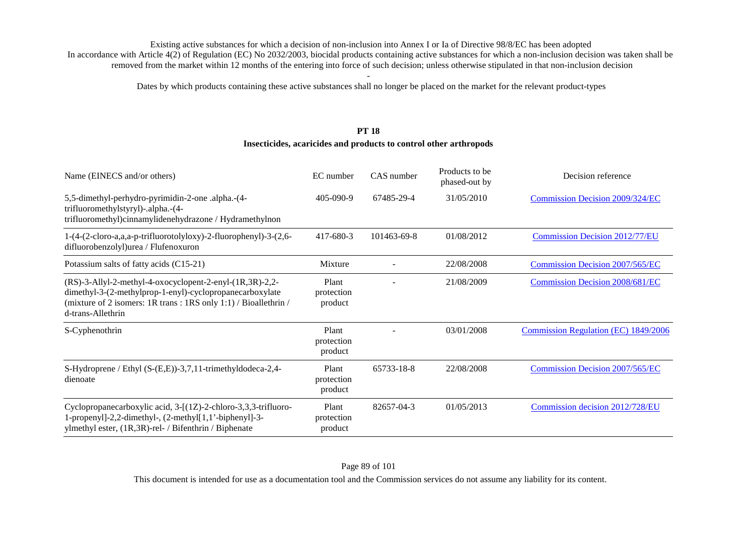Dates by which products containing these active substances shall no longer be placed on the market for the relevant product-types

#### **PT 18**

#### **Insecticides, acaricides and products to control other arthropods**

| Name (EINECS and/or others)                                                                                                                                                                                         | EC number                      | CAS number  | Products to be<br>phased-out by | Decision reference                          |
|---------------------------------------------------------------------------------------------------------------------------------------------------------------------------------------------------------------------|--------------------------------|-------------|---------------------------------|---------------------------------------------|
| 5,5-dimethyl-perhydro-pyrimidin-2-one .alpha.-(4-<br>trifluoromethylstyryl)-.alpha.-(4-<br>trifluoromethyl)cinnamylidenehydrazone / Hydramethylnon                                                                  | 405-090-9                      | 67485-29-4  | 31/05/2010                      | Commission Decision 2009/324/EC             |
| 1-(4-(2-cloro-a,a,a-p-trifluorotolyloxy)-2-fluorophenyl)-3-(2,6-<br>difluorobenzolyl) urea / Flufenoxuron                                                                                                           | 417-680-3                      | 101463-69-8 | 01/08/2012                      | <b>Commission Decision 2012/77/EU</b>       |
| Potassium salts of fatty acids (C15-21)                                                                                                                                                                             | Mixture                        |             | 22/08/2008                      | <b>Commission Decision 2007/565/EC</b>      |
| $(RS)$ -3-Allyl-2-methyl-4-oxocyclopent-2-enyl- $(1R,3R)$ -2,2-<br>dimethyl-3-(2-methylprop-1-enyl)-cyclopropanecarboxylate<br>(mixture of 2 isomers: 1R trans: 1RS only 1:1) / Bioallethrin /<br>d-trans-Allethrin | Plant<br>protection<br>product |             | 21/08/2009                      | Commission Decision 2008/681/EC             |
| S-Cyphenothrin                                                                                                                                                                                                      | Plant<br>protection<br>product |             | 03/01/2008                      | <b>Commission Regulation (EC) 1849/2006</b> |
| S-Hydroprene / Ethyl (S-(E,E))-3,7,11-trimethyldodeca-2,4-<br>dienoate                                                                                                                                              | Plant<br>protection<br>product | 65733-18-8  | 22/08/2008                      | <b>Commission Decision 2007/565/EC</b>      |
| Cyclopropanecarboxylic acid, 3-[(1Z)-2-chloro-3,3,3-trifluoro-<br>1-propenyl]-2,2-dimethyl-, (2-methyl[1,1'-biphenyl]-3-<br>ylmethyl ester, (1R,3R)-rel- / Bifenthrin / Biphenate                                   | Plant<br>protection<br>product | 82657-04-3  | 01/05/2013                      | Commission decision 2012/728/EU             |

This document is intended for use as a documentation tool and the Commission services do not assume any liability for its content.

#### Page 89 of 101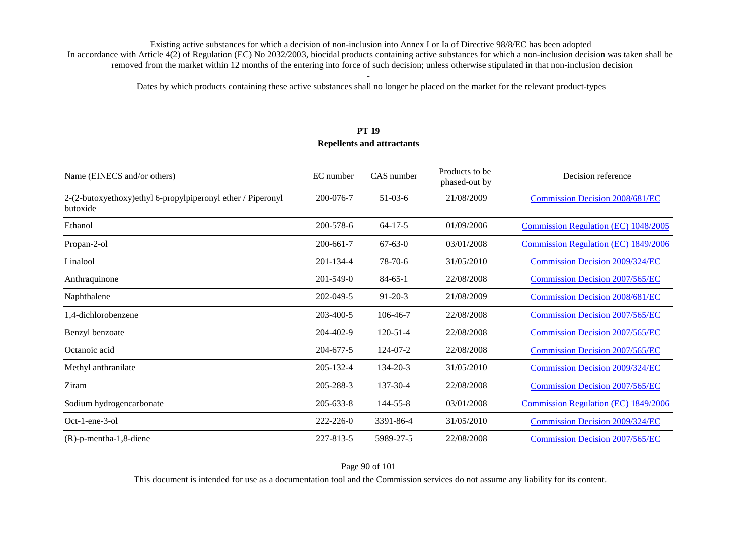Dates by which products containing these active substances shall no longer be placed on the market for the relevant product-types

## **PT 19 Repellents and attractants**

| Name (EINECS and/or others)                                              | EC number       | CAS number     | Products to be<br>phased-out by | Decision reference                          |
|--------------------------------------------------------------------------|-----------------|----------------|---------------------------------|---------------------------------------------|
| 2-(2-butoxyethoxy) ethyl 6-propylpiperonyl ether / Piperonyl<br>butoxide | 200-076-7       | $51-03-6$      | 21/08/2009                      | <b>Commission Decision 2008/681/EC</b>      |
| Ethanol                                                                  | 200-578-6       | $64 - 17 - 5$  | 01/09/2006                      | Commission Regulation (EC) 1048/2005        |
| Propan-2-ol                                                              | 200-661-7       | $67 - 63 - 0$  | 03/01/2008                      | Commission Regulation (EC) 1849/2006        |
| Linalool                                                                 | 201-134-4       | $78-70-6$      | 31/05/2010                      | Commission Decision 2009/324/EC             |
| Anthraquinone                                                            | $201 - 549 - 0$ | $84 - 65 - 1$  | 22/08/2008                      | <b>Commission Decision 2007/565/EC</b>      |
| Naphthalene                                                              | 202-049-5       | $91 - 20 - 3$  | 21/08/2009                      | <b>Commission Decision 2008/681/EC</b>      |
| 1,4-dichlorobenzene                                                      | 203-400-5       | 106-46-7       | 22/08/2008                      | Commission Decision 2007/565/EC             |
| Benzyl benzoate                                                          | 204-402-9       | $120 - 51 - 4$ | 22/08/2008                      | <b>Commission Decision 2007/565/EC</b>      |
| Octanoic acid                                                            | 204-677-5       | 124-07-2       | 22/08/2008                      | <b>Commission Decision 2007/565/EC</b>      |
| Methyl anthranilate                                                      | 205-132-4       | 134-20-3       | 31/05/2010                      | <b>Commission Decision 2009/324/EC</b>      |
| Ziram                                                                    | 205-288-3       | 137-30-4       | 22/08/2008                      | <b>Commission Decision 2007/565/EC</b>      |
| Sodium hydrogencarbonate                                                 | $205 - 633 - 8$ | 144-55-8       | 03/01/2008                      | <b>Commission Regulation (EC) 1849/2006</b> |
| Oct-1-ene-3-ol                                                           | 222-226-0       | 3391-86-4      | 31/05/2010                      | Commission Decision 2009/324/EC             |
| $(R)$ -p-mentha-1,8-diene                                                | 227-813-5       | 5989-27-5      | 22/08/2008                      | <b>Commission Decision 2007/565/EC</b>      |

Page 90 of 101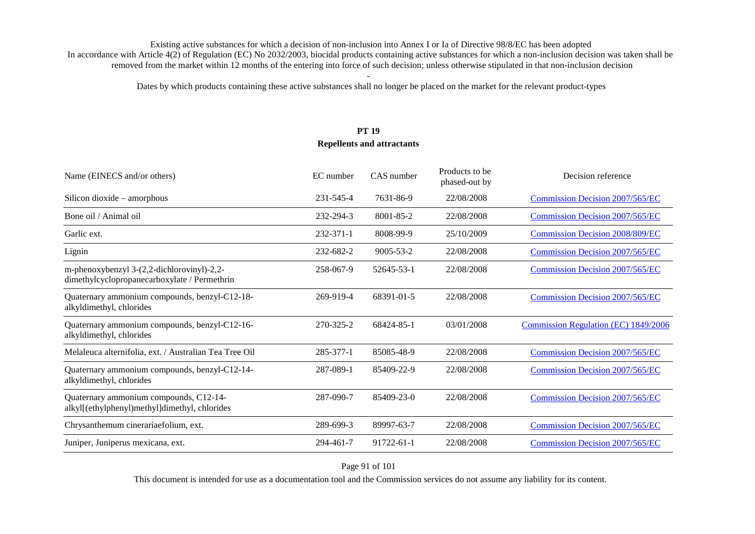Dates by which products containing these active substances shall no longer be placed on the market for the relevant product-types

## **PT 19 Repellents and attractants**

| Name (EINECS and/or others)                                                                | EC number | CAS number      | Products to be<br>phased-out by | Decision reference                     |
|--------------------------------------------------------------------------------------------|-----------|-----------------|---------------------------------|----------------------------------------|
| Silicon dioxide – amorphous                                                                | 231-545-4 | 7631-86-9       | 22/08/2008                      | <b>Commission Decision 2007/565/EC</b> |
| Bone oil / Animal oil                                                                      | 232-294-3 | 8001-85-2       | 22/08/2008                      | Commission Decision 2007/565/EC        |
| Garlic ext.                                                                                | 232-371-1 | 8008-99-9       | 25/10/2009                      | <b>Commission Decision 2008/809/EC</b> |
| Lignin                                                                                     | 232-682-2 | $9005 - 53 - 2$ | 22/08/2008                      | <b>Commission Decision 2007/565/EC</b> |
| m-phenoxybenzyl 3-(2,2-dichlorovinyl)-2,2-<br>dimethylcyclopropanecarboxylate / Permethrin | 258-067-9 | 52645-53-1      | 22/08/2008                      | <b>Commission Decision 2007/565/EC</b> |
| Quaternary ammonium compounds, benzyl-C12-18-<br>alkyldimethyl, chlorides                  | 269-919-4 | 68391-01-5      | 22/08/2008                      | <b>Commission Decision 2007/565/EC</b> |
| Quaternary ammonium compounds, benzyl-C12-16-<br>alkyldimethyl, chlorides                  | 270-325-2 | 68424-85-1      | 03/01/2008                      | Commission Regulation (EC) 1849/2006   |
| Melaleuca alternifolia, ext. / Australian Tea Tree Oil                                     | 285-377-1 | 85085-48-9      | 22/08/2008                      | Commission Decision 2007/565/EC        |
| Quaternary ammonium compounds, benzyl-C12-14-<br>alkyldimethyl, chlorides                  | 287-089-1 | 85409-22-9      | 22/08/2008                      | Commission Decision 2007/565/EC        |
| Quaternary ammonium compounds, C12-14-<br>alkyl[(ethylphenyl)methyl]dimethyl, chlorides    | 287-090-7 | 85409-23-0      | 22/08/2008                      | Commission Decision 2007/565/EC        |
| Chrysanthemum cinerariaefolium, ext.                                                       | 289-699-3 | 89997-63-7      | 22/08/2008                      | <b>Commission Decision 2007/565/EC</b> |
| Juniper, Juniperus mexicana, ext.                                                          | 294-461-7 | 91722-61-1      | 22/08/2008                      | Commission Decision 2007/565/EC        |

Page 91 of 101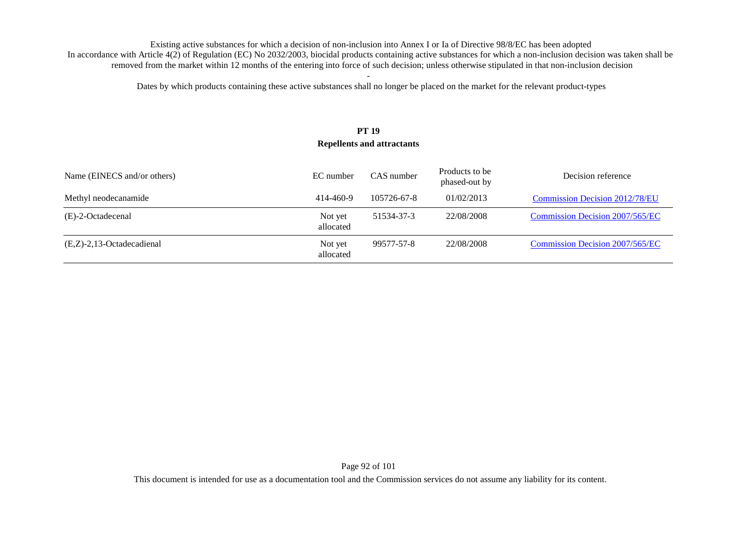Dates by which products containing these active substances shall no longer be placed on the market for the relevant product-types

### **PT 19 Repellents and attractants**

| Name (EINECS and/or others)  | EC number            | CAS number  | Products to be<br>phased-out by | Decision reference                    |
|------------------------------|----------------------|-------------|---------------------------------|---------------------------------------|
| Methyl neodecanamide         | 414-460-9            | 105726-67-8 | 01/02/2013                      | <b>Commission Decision 2012/78/EU</b> |
| (E)-2-Octadecenal            | Not yet<br>allocated | 51534-37-3  | 22/08/2008                      | Commission Decision 2007/565/EC       |
| $(E,Z)$ -2,13-Octadecadienal | Not yet<br>allocated | 99577-57-8  | 22/08/2008                      | Commission Decision 2007/565/EC       |

Page 92 of 101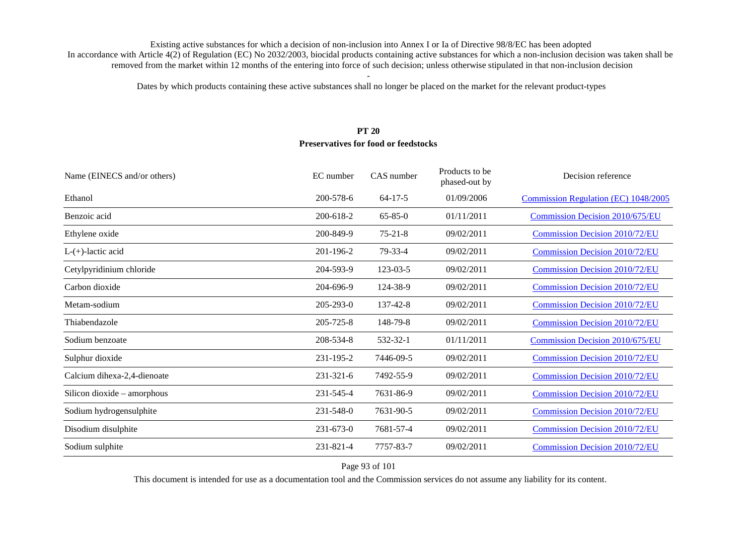Dates by which products containing these active substances shall no longer be placed on the market for the relevant product-types

### **PT 20 Preservatives for food or feedstocks**

| Name (EINECS and/or others) | EC number       | CAS number    | Products to be<br>phased-out by | Decision reference                     |
|-----------------------------|-----------------|---------------|---------------------------------|----------------------------------------|
| Ethanol                     | 200-578-6       | $64 - 17 - 5$ | 01/09/2006                      | Commission Regulation (EC) 1048/2005   |
| Benzoic acid                | 200-618-2       | $65 - 85 - 0$ | 01/11/2011                      | Commission Decision 2010/675/EU        |
| Ethylene oxide              | 200-849-9       | $75 - 21 - 8$ | 09/02/2011                      | <b>Commission Decision 2010/72/EU</b>  |
| $L-(+)$ -lactic acid        | 201-196-2       | 79-33-4       | 09/02/2011                      | <b>Commission Decision 2010/72/EU</b>  |
| Cetylpyridinium chloride    | 204-593-9       | 123-03-5      | 09/02/2011                      | <b>Commission Decision 2010/72/EU</b>  |
| Carbon dioxide              | 204-696-9       | 124-38-9      | 09/02/2011                      | <b>Commission Decision 2010/72/EU</b>  |
| Metam-sodium                | $205 - 293 - 0$ | 137-42-8      | 09/02/2011                      | <b>Commission Decision 2010/72/EU</b>  |
| Thiabendazole               | 205-725-8       | 148-79-8      | 09/02/2011                      | <b>Commission Decision 2010/72/EU</b>  |
| Sodium benzoate             | 208-534-8       | 532-32-1      | 01/11/2011                      | <b>Commission Decision 2010/675/EU</b> |
| Sulphur dioxide             | 231-195-2       | 7446-09-5     | 09/02/2011                      | <b>Commission Decision 2010/72/EU</b>  |
| Calcium dihexa-2,4-dienoate | 231-321-6       | 7492-55-9     | 09/02/2011                      | <b>Commission Decision 2010/72/EU</b>  |
| Silicon dioxide – amorphous | 231-545-4       | 7631-86-9     | 09/02/2011                      | <b>Commission Decision 2010/72/EU</b>  |
| Sodium hydrogensulphite     | 231-548-0       | 7631-90-5     | 09/02/2011                      | <b>Commission Decision 2010/72/EU</b>  |
| Disodium disulphite         | $231 - 673 - 0$ | 7681-57-4     | 09/02/2011                      | <b>Commission Decision 2010/72/EU</b>  |
| Sodium sulphite             | 231-821-4       | 7757-83-7     | 09/02/2011                      | <b>Commission Decision 2010/72/EU</b>  |

Page 93 of 101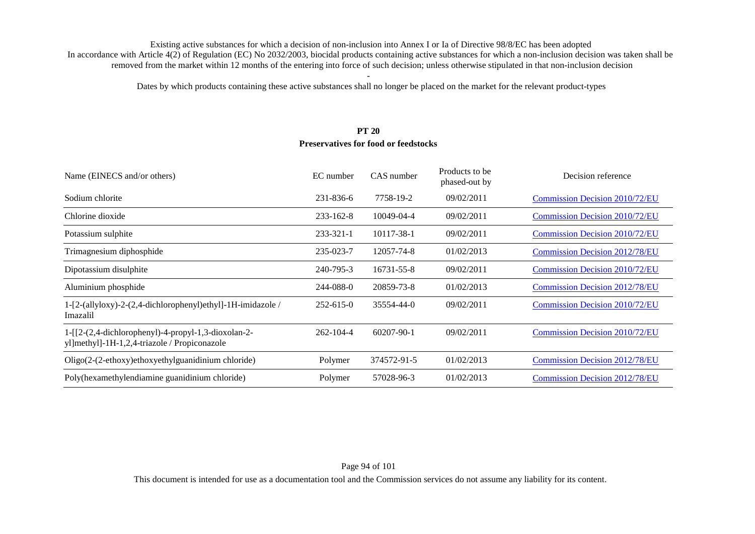Dates by which products containing these active substances shall no longer be placed on the market for the relevant product-types

### **PT 20 Preservatives for food or feedstocks**

| Name (EINECS and/or others)                                                                         | EC number       | CAS number       | Products to be<br>phased-out by | Decision reference                    |
|-----------------------------------------------------------------------------------------------------|-----------------|------------------|---------------------------------|---------------------------------------|
| Sodium chlorite                                                                                     | 231-836-6       | 7758-19-2        | 09/02/2011                      | Commission Decision 2010/72/EU        |
| Chlorine dioxide                                                                                    | $233 - 162 - 8$ | 10049-04-4       | 09/02/2011                      | <b>Commission Decision 2010/72/EU</b> |
| Potassium sulphite                                                                                  | 233-321-1       | 10117-38-1       | 09/02/2011                      | <b>Commission Decision 2010/72/EU</b> |
| Trimagnesium diphosphide                                                                            | 235-023-7       | 12057-74-8       | 01/02/2013                      | Commission Decision 2012/78/EU        |
| Dipotassium disulphite                                                                              | 240-795-3       | 16731-55-8       | 09/02/2011                      | <b>Commission Decision 2010/72/EU</b> |
| Aluminium phosphide                                                                                 | 244-088-0       | 20859-73-8       | 01/02/2013                      | <b>Commission Decision 2012/78/EU</b> |
| 1-[2-(allyloxy)-2-(2,4-dichlorophenyl)ethyl]-1H-imidazole /<br>Imazalil                             | $252 - 615 - 0$ | 35554-44-0       | 09/02/2011                      | Commission Decision 2010/72/EU        |
| 1-[[2-(2,4-dichlorophenyl)-4-propyl-1,3-dioxolan-2-<br>yl]methyl]-1H-1,2,4-triazole / Propiconazole | $262 - 104 - 4$ | $60207 - 90 - 1$ | 09/02/2011                      | <b>Commission Decision 2010/72/EU</b> |
| Oligo(2-(2-ethoxy)ethoxyethylguanidinium chloride)                                                  | Polymer         | 374572-91-5      | 01/02/2013                      | Commission Decision 2012/78/EU        |
| Poly(hexamethylendiamine guanidinium chloride)                                                      | Polymer         | 57028-96-3       | 01/02/2013                      | <b>Commission Decision 2012/78/EU</b> |

This document is intended for use as a documentation tool and the Commission services do not assume any liability for its content.

#### Page 94 of 101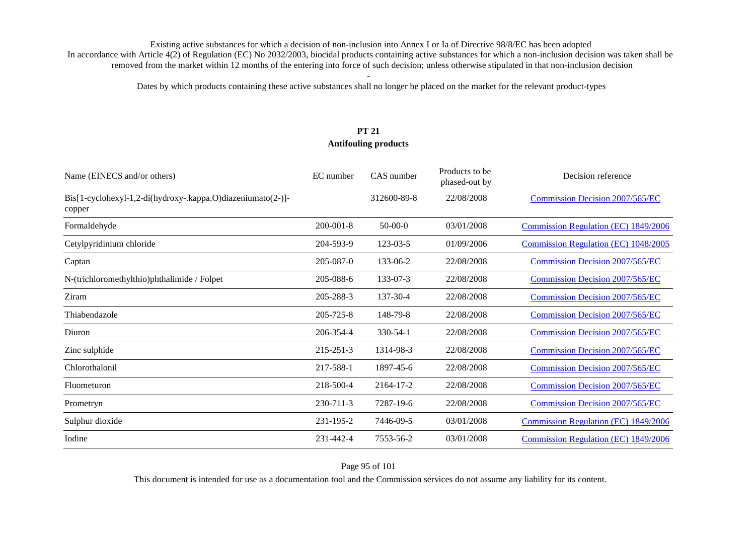Dates by which products containing these active substances shall no longer be placed on the market for the relevant product-types

## **PT 21 Antifouling products**

| Name (EINECS and/or others)                                           | EC number       | CAS number  | Products to be<br>phased-out by | Decision reference                     |
|-----------------------------------------------------------------------|-----------------|-------------|---------------------------------|----------------------------------------|
| Bis[1-cyclohexyl-1,2-di(hydroxy-.kappa.O)diazeniumato(2-)]-<br>copper |                 | 312600-89-8 | 22/08/2008                      | Commission Decision 2007/565/EC        |
| Formaldehyde                                                          | $200 - 001 - 8$ | $50-00-0$   | 03/01/2008                      | Commission Regulation (EC) 1849/2006   |
| Cetylpyridinium chloride                                              | 204-593-9       | 123-03-5    | 01/09/2006                      | Commission Regulation (EC) 1048/2005   |
| Captan                                                                | 205-087-0       | 133-06-2    | 22/08/2008                      | <b>Commission Decision 2007/565/EC</b> |
| N-(trichloromethylthio)phthalimide / Folpet                           | 205-088-6       | 133-07-3    | 22/08/2008                      | Commission Decision 2007/565/EC        |
| Ziram                                                                 | 205-288-3       | 137-30-4    | 22/08/2008                      | <b>Commission Decision 2007/565/EC</b> |
| Thiabendazole                                                         | 205-725-8       | 148-79-8    | 22/08/2008                      | <b>Commission Decision 2007/565/EC</b> |
| Diuron                                                                | 206-354-4       | 330-54-1    | 22/08/2008                      | <b>Commission Decision 2007/565/EC</b> |
| Zinc sulphide                                                         | $215 - 251 - 3$ | 1314-98-3   | 22/08/2008                      | Commission Decision 2007/565/EC        |
| Chlorothalonil                                                        | 217-588-1       | 1897-45-6   | 22/08/2008                      | <b>Commission Decision 2007/565/EC</b> |
| Fluometuron                                                           | 218-500-4       | 2164-17-2   | 22/08/2008                      | <b>Commission Decision 2007/565/EC</b> |
| Prometryn                                                             | 230-711-3       | 7287-19-6   | 22/08/2008                      | Commission Decision 2007/565/EC        |
| Sulphur dioxide                                                       | 231-195-2       | 7446-09-5   | 03/01/2008                      | Commission Regulation (EC) 1849/2006   |
| Iodine                                                                | 231-442-4       | 7553-56-2   | 03/01/2008                      | Commission Regulation (EC) 1849/2006   |

Page 95 of 101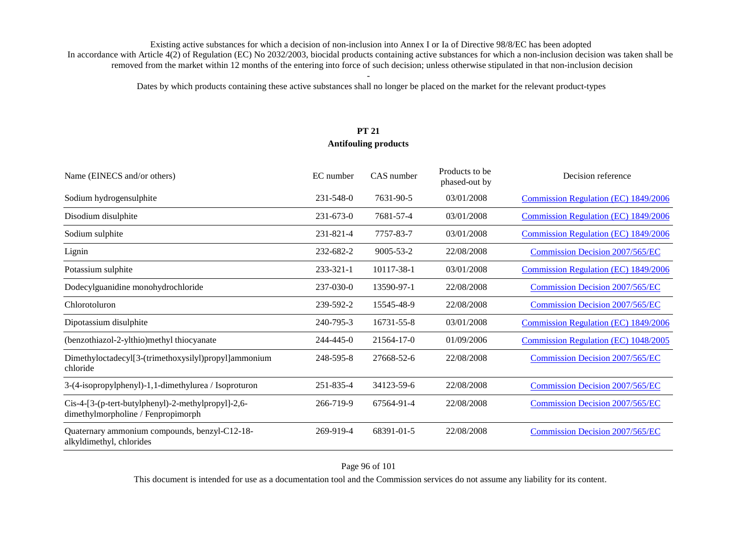Dates by which products containing these active substances shall no longer be placed on the market for the relevant product-types

# **PT 21 Antifouling products**

| Name (EINECS and/or others)                                                              | EC number       | CAS number      | Products to be<br>phased-out by | Decision reference                          |
|------------------------------------------------------------------------------------------|-----------------|-----------------|---------------------------------|---------------------------------------------|
| Sodium hydrogensulphite                                                                  | $231 - 548 - 0$ | 7631-90-5       | 03/01/2008                      | Commission Regulation (EC) 1849/2006        |
| Disodium disulphite                                                                      | $231 - 673 - 0$ | 7681-57-4       | 03/01/2008                      | Commission Regulation (EC) 1849/2006        |
| Sodium sulphite                                                                          | 231-821-4       | 7757-83-7       | 03/01/2008                      | Commission Regulation (EC) 1849/2006        |
| Lignin                                                                                   | 232-682-2       | $9005 - 53 - 2$ | 22/08/2008                      | <b>Commission Decision 2007/565/EC</b>      |
| Potassium sulphite                                                                       | 233-321-1       | 10117-38-1      | 03/01/2008                      | <b>Commission Regulation (EC) 1849/2006</b> |
| Dodecylguanidine monohydrochloride                                                       | 237-030-0       | 13590-97-1      | 22/08/2008                      | <b>Commission Decision 2007/565/EC</b>      |
| Chlorotoluron                                                                            | 239-592-2       | 15545-48-9      | 22/08/2008                      | Commission Decision 2007/565/EC             |
| Dipotassium disulphite                                                                   | 240-795-3       | 16731-55-8      | 03/01/2008                      | Commission Regulation (EC) 1849/2006        |
| (benzothiazol-2-ylthio)methyl thiocyanate                                                | 244-445-0       | 21564-17-0      | 01/09/2006                      | Commission Regulation (EC) 1048/2005        |
| Dimethyloctadecyl[3-(trimethoxysilyl)propyl]ammonium<br>chloride                         | 248-595-8       | 27668-52-6      | 22/08/2008                      | <b>Commission Decision 2007/565/EC</b>      |
| 3-(4-isopropylphenyl)-1,1-dimethylurea / Isoproturon                                     | 251-835-4       | 34123-59-6      | 22/08/2008                      | <b>Commission Decision 2007/565/EC</b>      |
| Cis-4-[3-(p-tert-butylphenyl)-2-methylpropyl]-2,6-<br>dimethylmorpholine / Fenpropimorph | 266-719-9       | 67564-91-4      | 22/08/2008                      | <b>Commission Decision 2007/565/EC</b>      |
| Quaternary ammonium compounds, benzyl-C12-18-<br>alkyldimethyl, chlorides                | 269-919-4       | 68391-01-5      | 22/08/2008                      | Commission Decision 2007/565/EC             |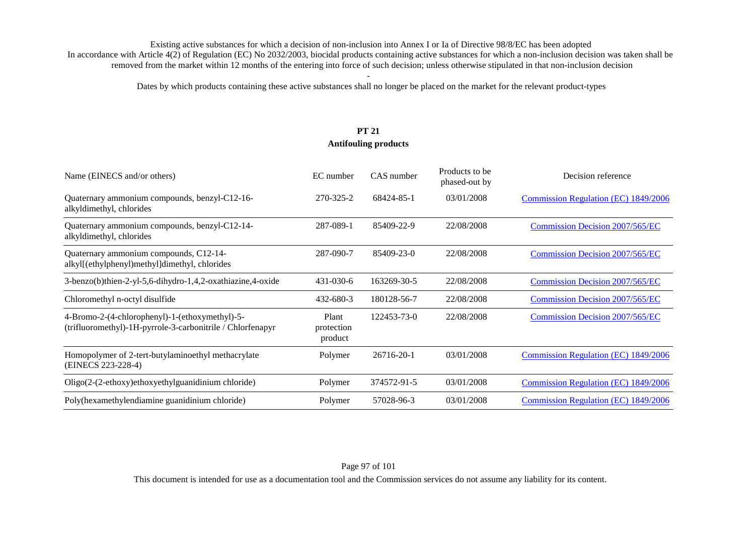Dates by which products containing these active substances shall no longer be placed on the market for the relevant product-types

## **PT 21 Antifouling products**

| Name (EINECS and/or others)                                                                                  | EC number                      | CAS number  | Products to be<br>phased-out by | Decision reference                     |
|--------------------------------------------------------------------------------------------------------------|--------------------------------|-------------|---------------------------------|----------------------------------------|
| Quaternary ammonium compounds, benzyl-C12-16-<br>alkyldimethyl, chlorides                                    | 270-325-2                      | 68424-85-1  | 03/01/2008                      | Commission Regulation (EC) 1849/2006   |
| Quaternary ammonium compounds, benzyl-C12-14-<br>alkyldimethyl, chlorides                                    | 287-089-1                      | 85409-22-9  | 22/08/2008                      | <b>Commission Decision 2007/565/EC</b> |
| Quaternary ammonium compounds, C12-14-<br>alkyl[(ethylphenyl)methyl]dimethyl, chlorides                      | 287-090-7                      | 85409-23-0  | 22/08/2008                      | Commission Decision 2007/565/EC        |
| 3-benzo(b)thien-2-yl-5,6-dihydro-1,4,2-oxathiazine,4-oxide                                                   | 431-030-6                      | 163269-30-5 | 22/08/2008                      | Commission Decision 2007/565/EC        |
| Chloromethyl n-octyl disulfide                                                                               | 432-680-3                      | 180128-56-7 | 22/08/2008                      | <b>Commission Decision 2007/565/EC</b> |
| 4-Bromo-2-(4-chlorophenyl)-1-(ethoxymethyl)-5-<br>(trifluoromethyl)-1H-pyrrole-3-carbonitrile / Chlorfenapyr | Plant<br>protection<br>product | 122453-73-0 | 22/08/2008                      | <b>Commission Decision 2007/565/EC</b> |
| Homopolymer of 2-tert-butylaminoethyl methacrylate<br>(EINECS 223-228-4)                                     | Polymer                        | 26716-20-1  | 03/01/2008                      | Commission Regulation (EC) 1849/2006   |
| Oligo(2-(2-ethoxy)ethoxyethylguanidinium chloride)                                                           | Polymer                        | 374572-91-5 | 03/01/2008                      | Commission Regulation (EC) 1849/2006   |
| Poly(hexamethylendiamine guanidinium chloride)                                                               | Polymer                        | 57028-96-3  | 03/01/2008                      | Commission Regulation (EC) 1849/2006   |

This document is intended for use as a documentation tool and the Commission services do not assume any liability for its content.

#### Page 97 of 101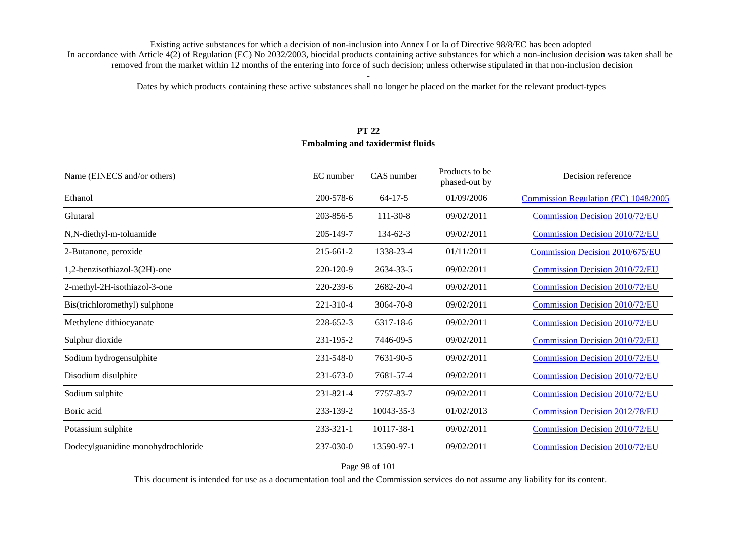Dates by which products containing these active substances shall no longer be placed on the market for the relevant product-types

## **PT 22 Embalming and taxidermist fluids**

| Name (EINECS and/or others)        | EC number       | CAS number     | Products to be<br>phased-out by | Decision reference                     |
|------------------------------------|-----------------|----------------|---------------------------------|----------------------------------------|
| Ethanol                            | 200-578-6       | $64 - 17 - 5$  | 01/09/2006                      | Commission Regulation (EC) 1048/2005   |
| Glutaral                           | 203-856-5       | $111 - 30 - 8$ | 09/02/2011                      | <b>Commission Decision 2010/72/EU</b>  |
| N,N-diethyl-m-toluamide            | 205-149-7       | $134 - 62 - 3$ | 09/02/2011                      | <b>Commission Decision 2010/72/EU</b>  |
| 2-Butanone, peroxide               | 215-661-2       | 1338-23-4      | 01/11/2011                      | <b>Commission Decision 2010/675/EU</b> |
| 1,2-benzisothiazol-3(2H)-one       | 220-120-9       | 2634-33-5      | 09/02/2011                      | <b>Commission Decision 2010/72/EU</b>  |
| 2-methyl-2H-isothiazol-3-one       | 220-239-6       | 2682-20-4      | 09/02/2011                      | <b>Commission Decision 2010/72/EU</b>  |
| Bis(trichloromethyl) sulphone      | 221-310-4       | 3064-70-8      | 09/02/2011                      | Commission Decision 2010/72/EU         |
| Methylene dithiocyanate            | 228-652-3       | 6317-18-6      | 09/02/2011                      | <b>Commission Decision 2010/72/EU</b>  |
| Sulphur dioxide                    | 231-195-2       | 7446-09-5      | 09/02/2011                      | <b>Commission Decision 2010/72/EU</b>  |
| Sodium hydrogensulphite            | 231-548-0       | 7631-90-5      | 09/02/2011                      | <b>Commission Decision 2010/72/EU</b>  |
| Disodium disulphite                | $231 - 673 - 0$ | 7681-57-4      | 09/02/2011                      | <b>Commission Decision 2010/72/EU</b>  |
| Sodium sulphite                    | 231-821-4       | 7757-83-7      | 09/02/2011                      | <b>Commission Decision 2010/72/EU</b>  |
| Boric acid                         | 233-139-2       | 10043-35-3     | 01/02/2013                      | <b>Commission Decision 2012/78/EU</b>  |
| Potassium sulphite                 | $233 - 321 - 1$ | 10117-38-1     | 09/02/2011                      | Commission Decision 2010/72/EU         |
| Dodecylguanidine monohydrochloride | 237-030-0       | 13590-97-1     | 09/02/2011                      | <b>Commission Decision 2010/72/EU</b>  |

Page 98 of 101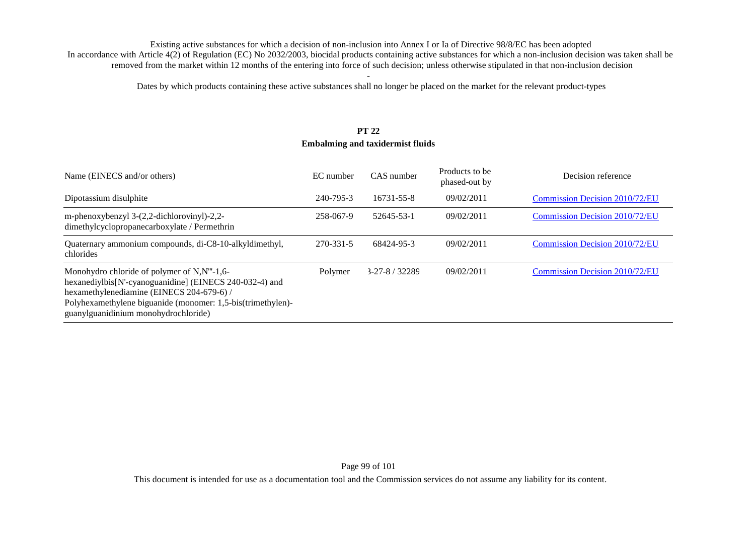Dates by which products containing these active substances shall no longer be placed on the market for the relevant product-types

## **PT 22 Embalming and taxidermist fluids**

| Name (EINECS and/or others)                                                                                                                                                                                                                                | EC number | CAS number     | Products to be<br>phased-out by | Decision reference                    |
|------------------------------------------------------------------------------------------------------------------------------------------------------------------------------------------------------------------------------------------------------------|-----------|----------------|---------------------------------|---------------------------------------|
| Dipotassium disulphite                                                                                                                                                                                                                                     | 240-795-3 | 16731-55-8     | 09/02/2011                      | Commission Decision 2010/72/EU        |
| m-phenoxybenzyl 3-(2,2-dichlorovinyl)-2,2-<br>dimethylcyclopropanecarboxylate / Permethrin                                                                                                                                                                 | 258-067-9 | 52645-53-1     | 09/02/2011                      | <b>Commission Decision 2010/72/EU</b> |
| Quaternary ammonium compounds, di-C8-10-alkyldimethyl,<br>chlorides                                                                                                                                                                                        | 270-331-5 | 68424-95-3     | 09/02/2011                      | <b>Commission Decision 2010/72/EU</b> |
| Monohydro chloride of polymer of N,N"'-1,6-<br>hexanediylbis[N'-cyanoguanidine] (EINECS 240-032-4) and<br>hexamethylenediamine (EINECS 204-679-6) /<br>Polyhexamethylene biguanide (monomer: 1,5-bis(trimethylen)-<br>guanylguanidinium monohydrochloride) | Polymer   | $3-27-8/32289$ | 09/02/2011                      | Commission Decision 2010/72/EU        |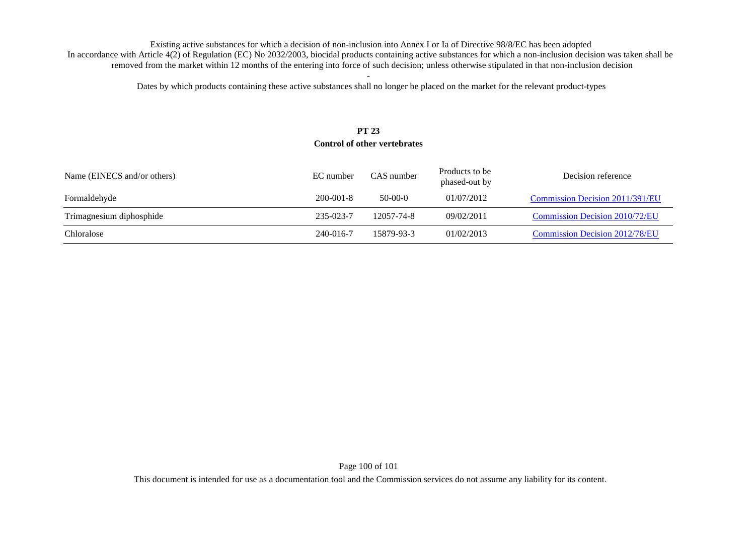Dates by which products containing these active substances shall no longer be placed on the market for the relevant product-types

## **PT 23 Control of other vertebrates**

| Name (EINECS and/or others) | EC number       | CAS number | Products to be<br>phased-out by | Decision reference                    |
|-----------------------------|-----------------|------------|---------------------------------|---------------------------------------|
| Formaldehyde                | $200 - 001 - 8$ | $50-00-0$  | 01/07/2012                      | Commission Decision 2011/391/EU       |
| Trimagnesium diphosphide    | 235-023-7       | 12057-74-8 | 09/02/2011                      | Commission Decision 2010/72/EU        |
| Chloralose                  | 240-016-7       | 15879-93-3 | 01/02/2013                      | <b>Commission Decision 2012/78/EU</b> |

Page 100 of 101